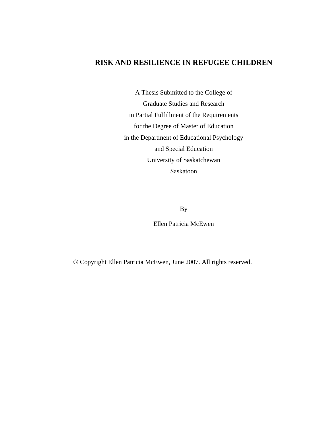# **RISK AND RESILIENCE IN REFUGEE CHILDREN**

A Thesis Submitted to the College of Graduate Studies and Research in Partial Fulfillment of the Requirements for the Degree of Master of Education in the Department of Educational Psychology and Special Education University of Saskatchewan Saskatoon

By

Ellen Patricia McEwen

© Copyright Ellen Patricia McEwen, June 2007. All rights reserved.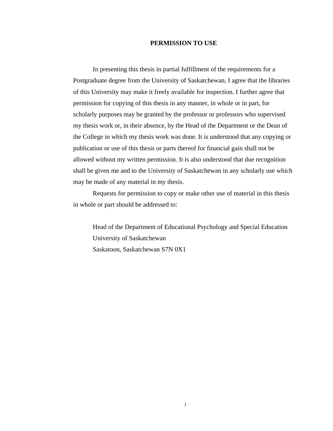#### **PERMISSION TO USE**

 In presenting this thesis in partial fulfillment of the requirements for a Postgraduate degree from the University of Saskatchewan, I agree that the libraries of this University may make it freely available for inspection. I further agree that permission for copying of this thesis in any manner, in whole or in part, for scholarly purposes may be granted by the professor or professors who supervised my thesis work or, in their absence, by the Head of the Department or the Dean of the College in which my thesis work was done. It is understood that any copying or publication or use of this thesis or parts thereof for financial gain shall not be allowed without my written permission. It is also understood that due recognition shall be given me and to the University of Saskatchewan in any scholarly use which may be made of any material in my thesis.

 Requests for permission to copy or make other use of material in this thesis in whole or part should be addressed to:

 Head of the Department of Educational Psychology and Special Education University of Saskatchewan Saskatoon, Saskatchewan S7N 0X1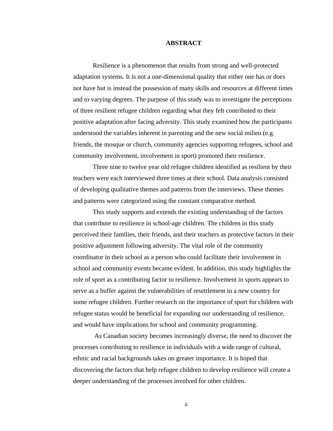#### **ABSTRACT**

 Resilience is a phenomenon that results from strong and well-protected adaptation systems. It is not a one-dimensional quality that either one has or does not have but is instead the possession of many skills and resources at different times and to varying degrees. The purpose of this study was to investigate the perceptions of three resilient refugee children regarding what they felt contributed to their positive adaptation after facing adversity. This study examined how the participants understood the variables inherent in parenting and the new social milieu (e.g. friends, the mosque or church, community agencies supporting refugees, school and community involvement, involvement in sport) promoted their resilience.

 Three nine to twelve year old refugee children identified as resilient by their teachers were each interviewed three times at their school. Data analysis consisted of developing qualitative themes and patterns from the interviews. These themes and patterns were categorized using the constant comparative method.

 This study supports and extends the existing understanding of the factors that contribute to resilience in school-age children. The children in this study perceived their families, their friends, and their teachers as protective factors in their positive adjustment following adversity. The vital role of the community coordinator in their school as a person who could facilitate their involvement in school and community events became evident. In addition, this study highlights the role of sport as a contributing factor to resilience. Involvement in sports appears to serve as a buffer against the vulnerabilities of resettlement in a new country for some refugee children. Further research on the importance of sport for children with refugee status would be beneficial for expanding our understanding of resilience, and would have implications for school and community programming.

 As Canadian society becomes increasingly diverse, the need to discover the processes contributing to resilience in individuals with a wide range of cultural, ethnic and racial backgrounds takes on greater importance. It is hoped that discovering the factors that help refugee children to develop resilience will create a deeper understanding of the processes involved for other children.

ii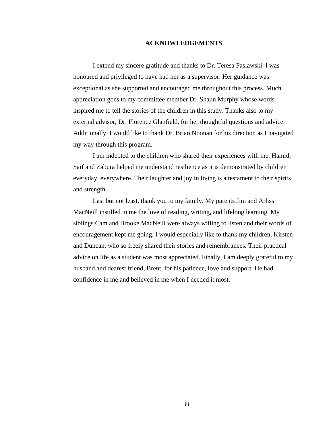#### **ACKNOWLEDGEMENTS**

I extend my sincere gratitude and thanks to Dr. Teresa Paslawski. I was honoured and privileged to have had her as a supervisor. Her guidance was exceptional as she supported and encouraged me throughout this process. Much appreciation goes to my committee member Dr. Shaun Murphy whose words inspired me to tell the stories of the children in this study. Thanks also to my external advisor, Dr. Florence Glanfield, for her thoughtful questions and advice. Additionally, I would like to thank Dr. Brian Noonan for his direction as I navigated my way through this program.

 I am indebted to the children who shared their experiences with me. Hamid, Saif and Zabura helped me understand resilience as it is demonstrated by children everyday, everywhere. Their laughter and joy in living is a testament to their spirits and strength.

 Last but not least, thank you to my family. My parents Jim and Arliss MacNeill instilled in me the love of reading, writing, and lifelong learning. My siblings Cam and Brooke MacNeill were always willing to listen and their words of encouragement kept me going. I would especially like to thank my children, Kirsten and Duncan, who so freely shared their stories and remembrances. Their practical advice on life as a student was most appreciated. Finally, I am deeply grateful to my husband and dearest friend, Brent, for his patience, love and support. He had confidence in me and believed in me when I needed it most.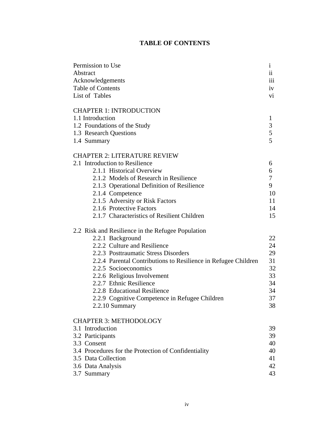# **TABLE OF CONTENTS**

| Permission to Use                                              | $\mathbf{i}$   |
|----------------------------------------------------------------|----------------|
| Abstract                                                       | $\mathbf{ii}$  |
| Acknowledgements                                               | 111            |
| Table of Contents                                              | iv             |
| List of Tables                                                 | vi             |
| <b>CHAPTER 1: INTRODUCTION</b>                                 |                |
| 1.1 Introduction                                               | $\mathbf{1}$   |
| 1.2 Foundations of the Study                                   | $\mathfrak{Z}$ |
| 1.3 Research Questions                                         | 5              |
| 1.4 Summary                                                    | 5              |
| <b>CHAPTER 2: LITERATURE REVIEW</b>                            |                |
| 2.1 Introduction to Resilience                                 | 6              |
| 2.1.1 Historical Overview                                      | 6              |
| 2.1.2 Models of Research in Resilience                         | $\tau$         |
| 2.1.3 Operational Definition of Resilience                     | 9              |
| 2.1.4 Competence                                               | 10             |
| 2.1.5 Adversity or Risk Factors                                | 11             |
| 2.1.6 Protective Factors                                       | 14             |
| 2.1.7 Characteristics of Resilient Children                    | 15             |
| 2.2 Risk and Resilience in the Refugee Population              |                |
| 2.2.1 Background                                               | 22             |
| 2.2.2 Culture and Resilience                                   | 24             |
| 2.2.3 Posttraumatic Stress Disorders                           | 29             |
| 2.2.4 Parental Contributions to Resilience in Refugee Children | 31             |
| 2.2.5 Socioeconomics                                           | 32             |
| 2.2.6 Religious Involvement                                    | 33             |
| 2.2.7 Ethnic Resilience                                        | 34             |
| 2.2.8 Educational Resilience                                   | 34             |
| 2.2.9 Cognitive Competence in Refugee Children                 | 37             |
| 2.2.10 Summary                                                 | 38             |
| <b>CHAPTER 3: METHODOLOGY</b>                                  |                |
| 3.1 Introduction                                               | 39             |
| 3.2 Participants                                               | 39             |
| 3.3 Consent                                                    | 40             |
| 3.4 Procedures for the Protection of Confidentiality           | 40             |
| 3.5 Data Collection                                            | 41             |
| 3.6 Data Analysis                                              | 42             |
| 3.7 Summary                                                    | 43             |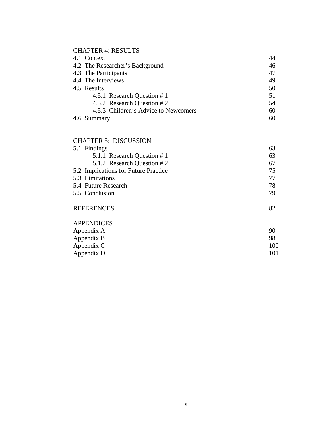# CHAPTER 4: RESULTS

|                                      | 46                                                                                                                         |
|--------------------------------------|----------------------------------------------------------------------------------------------------------------------------|
|                                      | 47                                                                                                                         |
|                                      | 49                                                                                                                         |
|                                      | 50                                                                                                                         |
| 4.5.1 Research Question #1           | 51                                                                                                                         |
| 4.5.2 Research Question #2           | 54                                                                                                                         |
| 4.5.3 Children's Advice to Newcomers | 60                                                                                                                         |
|                                      | 60                                                                                                                         |
|                                      | 4.1 Context<br>4.2 The Researcher's Background<br>4.3 The Participants<br>4.4 The Interviews<br>4.5 Results<br>4.6 Summary |

## CHAPTER 5: DISCUSSION

v

| 5.1 Findings                         | 63 |
|--------------------------------------|----|
| 5.1.1 Research Question #1           | 63 |
| 5.1.2 Research Question #2           | 67 |
| 5.2 Implications for Future Practice | 75 |
| 5.3 Limitations                      | 77 |
| 5.4 Future Research                  | 78 |
| 5.5 Conclusion                       | 79 |
| <b>REFERENCES</b>                    | 82 |
| <b>APPENDICES</b>                    |    |
| Appendix A                           | 90 |
| Appendix B                           | 98 |

| Appendix C | 100 |
|------------|-----|
| Appendix D |     |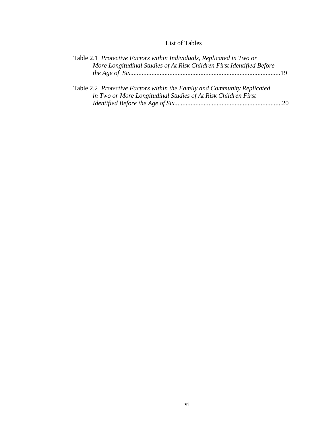## List of Tables

| Table 2.1 Protective Factors within Individuals, Replicated in Two or<br>More Longitudinal Studies of At Risk Children First Identified Before |  |
|------------------------------------------------------------------------------------------------------------------------------------------------|--|
| Table 2.2 Protective Factors within the Family and Community Replicated<br>in Two or More Longitudinal Studies of At Risk Children First       |  |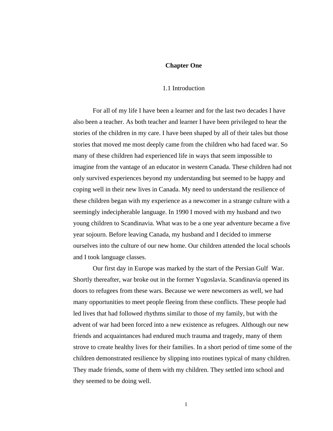#### **Chapter One**

#### 1.1 Introduction

 For all of my life I have been a learner and for the last two decades I have also been a teacher. As both teacher and learner I have been privileged to hear the stories of the children in my care. I have been shaped by all of their tales but those stories that moved me most deeply came from the children who had faced war. So many of these children had experienced life in ways that seem impossible to imagine from the vantage of an educator in western Canada. These children had not only survived experiences beyond my understanding but seemed to be happy and coping well in their new lives in Canada. My need to understand the resilience of these children began with my experience as a newcomer in a strange culture with a seemingly indecipherable language. In 1990 I moved with my husband and two young children to Scandinavia. What was to be a one year adventure became a five year sojourn. Before leaving Canada, my husband and I decided to immerse ourselves into the culture of our new home. Our children attended the local schools and I took language classes.

 Our first day in Europe was marked by the start of the Persian Gulf War. Shortly thereafter, war broke out in the former Yugoslavia. Scandinavia opened its doors to refugees from these wars. Because we were newcomers as well, we had many opportunities to meet people fleeing from these conflicts. These people had led lives that had followed rhythms similar to those of my family, but with the advent of war had been forced into a new existence as refugees. Although our new friends and acquaintances had endured much trauma and tragedy, many of them strove to create healthy lives for their families. In a short period of time some of the children demonstrated resilience by slipping into routines typical of many children. They made friends, some of them with my children. They settled into school and they seemed to be doing well.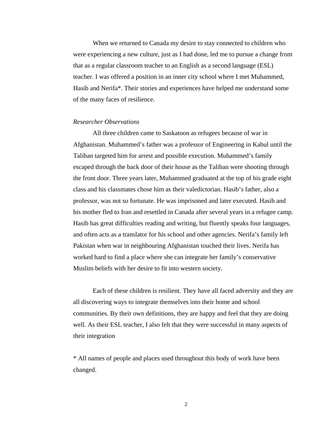When we returned to Canada my desire to stay connected to children who were experiencing a new culture, just as I had done, led me to pursue a change from that as a regular classroom teacher to an English as a second language (ESL) teacher. I was offered a position in an inner city school where I met Muhammed, Hasib and Nerifa\*. Their stories and experiences have helped me understand some of the many faces of resilience.

#### *Researcher Observations*

 All three children came to Saskatoon as refugees because of war in Afghanistan. Muhammed's father was a professor of Engineering in Kabul until the Taliban targeted him for arrest and possible execution. Muhammed's family escaped through the back door of their house as the Taliban were shooting through the front door. Three years later, Muhammed graduated at the top of his grade eight class and his classmates chose him as their valedictorian. Hasib's father, also a professor, was not so fortunate. He was imprisoned and later executed. Hasib and his mother fled to Iran and resettled in Canada after several years in a refugee camp. Hasib has great difficulties reading and writing, but fluently speaks four languages, and often acts as a translator for his school and other agencies. Nerifa's family left Pakistan when war in neighbouring Afghanistan touched their lives. Nerifa has worked hard to find a place where she can integrate her family's conservative Muslim beliefs with her desire to fit into western society.

 Each of these children is resilient. They have all faced adversity and they are all discovering ways to integrate themselves into their home and school communities. By their own definitions, they are happy and feel that they are doing well. As their ESL teacher, I also felt that they were successful in many aspects of their integration

\* All names of people and places used throughout this body of work have been changed.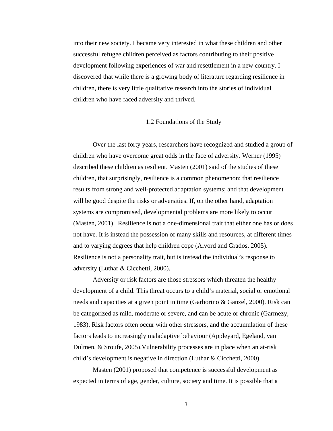into their new society. I became very interested in what these children and other successful refugee children perceived as factors contributing to their positive development following experiences of war and resettlement in a new country. I discovered that while there is a growing body of literature regarding resilience in children, there is very little qualitative research into the stories of individual children who have faced adversity and thrived.

#### 1.2 Foundations of the Study

 Over the last forty years, researchers have recognized and studied a group of children who have overcome great odds in the face of adversity. Werner (1995) described these children as resilient. Masten (2001) said of the studies of these children, that surprisingly, resilience is a common phenomenon; that resilience results from strong and well-protected adaptation systems; and that development will be good despite the risks or adversities. If, on the other hand, adaptation systems are compromised, developmental problems are more likely to occur (Masten, 2001). Resilience is not a one-dimensional trait that either one has or does not have. It is instead the possession of many skills and resources, at different times and to varying degrees that help children cope (Alvord and Grados, 2005). Resilience is not a personality trait, but is instead the individual's response to adversity (Luthar & Cicchetti, 2000).

 Adversity or risk factors are those stressors which threaten the healthy development of a child. This threat occurs to a child's material, social or emotional needs and capacities at a given point in time (Garborino & Ganzel, 2000). Risk can be categorized as mild, moderate or severe, and can be acute or chronic (Garmezy, 1983). Risk factors often occur with other stressors, and the accumulation of these factors leads to increasingly maladaptive behaviour (Appleyard, Egeland, van Dulmen, & Sroufe, 2005).Vulnerability processes are in place when an at-risk child's development is negative in direction (Luthar & Cicchetti, 2000).

 Masten (2001) proposed that competence is successful development as expected in terms of age, gender, culture, society and time. It is possible that a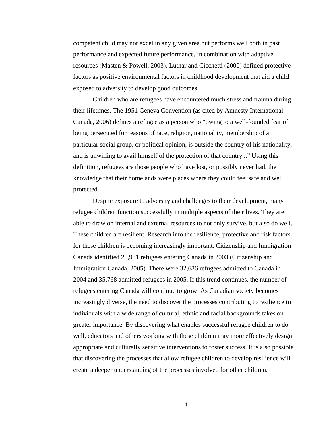competent child may not excel in any given area but performs well both in past performance and expected future performance, in combination with adaptive resources (Masten & Powell, 2003). Luthar and Cicchetti (2000) defined protective factors as positive environmental factors in childhood development that aid a child exposed to adversity to develop good outcomes.

 Children who are refugees have encountered much stress and trauma during their lifetimes. The 1951 Geneva Convention (as cited by Amnesty International Canada, 2006) defines a refugee as a person who "owing to a well-founded fear of being persecuted for reasons of race, religion, nationality, membership of a particular social group, or political opinion, is outside the country of his nationality, and is unwilling to avail himself of the protection of that country..." Using this definition, refugees are those people who have lost, or possibly never had, the knowledge that their homelands were places where they could feel safe and well protected.

 Despite exposure to adversity and challenges to their development, many refugee children function successfully in multiple aspects of their lives. They are able to draw on internal and external resources to not only survive, but also do well. These children are resilient. Research into the resilience, protective and risk factors for these children is becoming increasingly important. Citizenship and Immigration Canada identified 25,981 refugees entering Canada in 2003 (Citizenship and Immigration Canada, 2005). There were 32,686 refugees admitted to Canada in 2004 and 35,768 admitted refugees in 2005. If this trend continues, the number of refugees entering Canada will continue to grow. As Canadian society becomes increasingly diverse, the need to discover the processes contributing to resilience in individuals with a wide range of cultural, ethnic and racial backgrounds takes on greater importance. By discovering what enables successful refugee children to do well, educators and others working with these children may more effectively design appropriate and culturally sensitive interventions to foster success. It is also possible that discovering the processes that allow refugee children to develop resilience will create a deeper understanding of the processes involved for other children.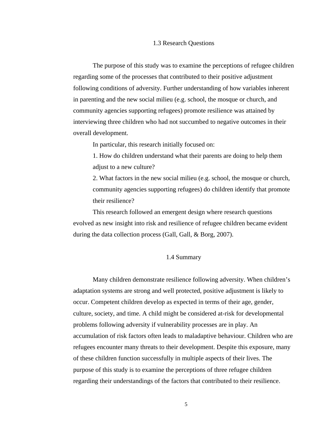#### 1.3 Research Questions

 The purpose of this study was to examine the perceptions of refugee children regarding some of the processes that contributed to their positive adjustment following conditions of adversity. Further understanding of how variables inherent in parenting and the new social milieu (e.g. school, the mosque or church, and community agencies supporting refugees) promote resilience was attained by interviewing three children who had not succumbed to negative outcomes in their overall development.

In particular, this research initially focused on:

 1. How do children understand what their parents are doing to help them adjust to a new culture?

 2. What factors in the new social milieu (e.g. school, the mosque or church, community agencies supporting refugees) do children identify that promote their resilience?

 This research followed an emergent design where research questions evolved as new insight into risk and resilience of refugee children became evident during the data collection process (Gall, Gall, & Borg, 2007).

### 1.4 Summary

 Many children demonstrate resilience following adversity. When children's adaptation systems are strong and well protected, positive adjustment is likely to occur. Competent children develop as expected in terms of their age, gender, culture, society, and time. A child might be considered at-risk for developmental problems following adversity if vulnerability processes are in play. An accumulation of risk factors often leads to maladaptive behaviour. Children who are refugees encounter many threats to their development. Despite this exposure, many of these children function successfully in multiple aspects of their lives. The purpose of this study is to examine the perceptions of three refugee children regarding their understandings of the factors that contributed to their resilience.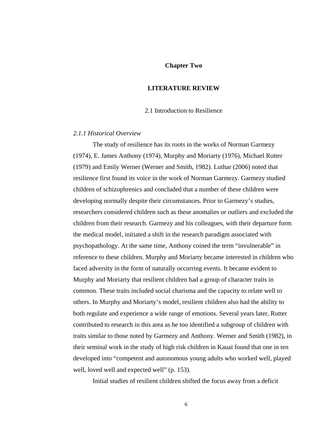### **Chapter Two**

#### **LITERATURE REVIEW**

2.1 Introduction to Resilience

### *2.1.1 Historical Overview*

 The study of resilience has its roots in the works of Norman Garmezy (1974), E. James Anthony (1974), Murphy and Moriarty (1976), Michael Rutter (1979) and Emily Werner (Werner and Smith, 1982). Luthar (2006) noted that resilience first found its voice in the work of Norman Garmezy. Garmezy studied children of schizophrenics and concluded that a number of these children were developing normally despite their circumstances. Prior to Garmezy's studies, researchers considered children such as these anomalies or outliers and excluded the children from their research. Garmezy and his colleagues, with their departure form the medical model, initiated a shift in the research paradigm associated with psychopathology. At the same time, Anthony coined the term "invulnerable" in reference to these children. Murphy and Moriarty became interested in children who faced adversity in the form of naturally occurring events. It became evident to Murphy and Moriarty that resilient children had a group of character traits in common. These traits included social charisma and the capacity to relate well to others. In Murphy and Moriarty's model, resilient children also had the ability to both regulate and experience a wide range of emotions. Several years later, Rutter contributed to research in this area as he too identified a subgroup of children with traits similar to those noted by Garmezy and Anthony. Werner and Smith (1982), in their seminal work in the study of high risk children in Kauai found that one in ten developed into "competent and autonomous young adults who worked well, played well, loved well and expected well" (p. 153).

Initial studies of resilient children shifted the focus away from a deficit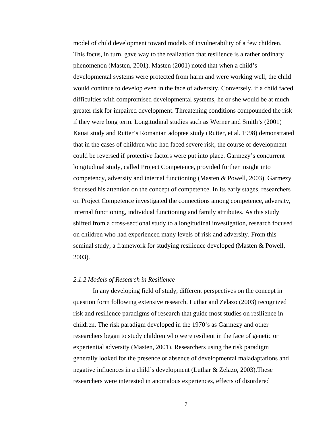model of child development toward models of invulnerability of a few children. This focus, in turn, gave way to the realization that resilience is a rather ordinary phenomenon (Masten, 2001). Masten (2001) noted that when a child's developmental systems were protected from harm and were working well, the child would continue to develop even in the face of adversity. Conversely, if a child faced difficulties with compromised developmental systems, he or she would be at much greater risk for impaired development. Threatening conditions compounded the risk if they were long term. Longitudinal studies such as Werner and Smith's (2001) Kauai study and Rutter's Romanian adoptee study (Rutter, et al. 1998) demonstrated that in the cases of children who had faced severe risk, the course of development could be reversed if protective factors were put into place. Garmezy's concurrent longitudinal study, called Project Competence, provided further insight into competency, adversity and internal functioning (Masten & Powell, 2003). Garmezy focussed his attention on the concept of competence. In its early stages, researchers on Project Competence investigated the connections among competence, adversity, internal functioning, individual functioning and family attributes. As this study shifted from a cross-sectional study to a longitudinal investigation, research focused on children who had experienced many levels of risk and adversity. From this seminal study, a framework for studying resilience developed (Masten & Powell, 2003).

### *2.1.2 Models of Research in Resilience*

In any developing field of study, different perspectives on the concept in question form following extensive research. Luthar and Zelazo (2003) recognized risk and resilience paradigms of research that guide most studies on resilience in children. The risk paradigm developed in the 1970's as Garmezy and other researchers began to study children who were resilient in the face of genetic or experiential adversity (Masten, 2001). Researchers using the risk paradigm generally looked for the presence or absence of developmental maladaptations and negative influences in a child's development (Luthar & Zelazo, 2003).These researchers were interested in anomalous experiences, effects of disordered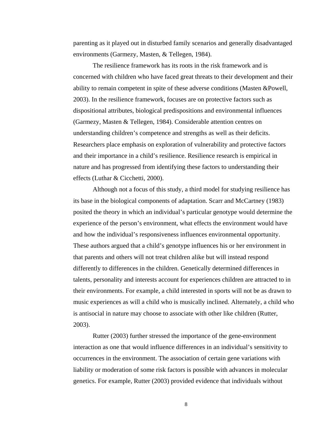parenting as it played out in disturbed family scenarios and generally disadvantaged environments (Garmezy, Masten, & Tellegen, 1984).

 The resilience framework has its roots in the risk framework and is concerned with children who have faced great threats to their development and their ability to remain competent in spite of these adverse conditions (Masten &Powell, 2003). In the resilience framework, focuses are on protective factors such as dispositional attributes, biological predispositions and environmental influences (Garmezy, Masten & Tellegen, 1984). Considerable attention centres on understanding children's competence and strengths as well as their deficits. Researchers place emphasis on exploration of vulnerability and protective factors and their importance in a child's resilience. Resilience research is empirical in nature and has progressed from identifying these factors to understanding their effects (Luthar & Cicchetti, 2000).

 Although not a focus of this study, a third model for studying resilience has its base in the biological components of adaptation. Scarr and McCartney (1983) posited the theory in which an individual's particular genotype would determine the experience of the person's environment, what effects the environment would have and how the individual's responsiveness influences environmental opportunity. These authors argued that a child's genotype influences his or her environment in that parents and others will not treat children alike but will instead respond differently to differences in the children. Genetically determined differences in talents, personality and interests account for experiences children are attracted to in their environments. For example, a child interested in sports will not be as drawn to music experiences as will a child who is musically inclined. Alternately, a child who is antisocial in nature may choose to associate with other like children (Rutter, 2003).

 Rutter (2003) further stressed the importance of the gene-environment interaction as one that would influence differences in an individual's sensitivity to occurrences in the environment. The association of certain gene variations with liability or moderation of some risk factors is possible with advances in molecular genetics. For example, Rutter (2003) provided evidence that individuals without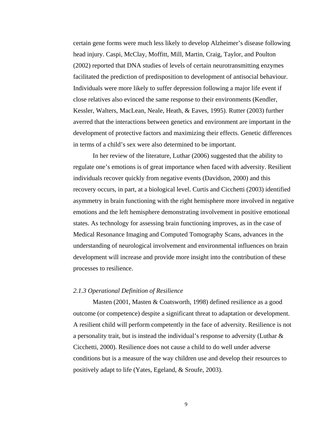certain gene forms were much less likely to develop Alzheimer's disease following head injury. Caspi, McClay, Moffitt, Mill, Martin, Craig, Taylor, and Poulton (2002) reported that DNA studies of levels of certain neurotransmitting enzymes facilitated the prediction of predisposition to development of antisocial behaviour. Individuals were more likely to suffer depression following a major life event if close relatives also evinced the same response to their environments (Kendler, Kessler, Walters, MacLean, Neale, Heath, & Eaves, 1995). Rutter (2003) further averred that the interactions between genetics and environment are important in the development of protective factors and maximizing their effects. Genetic differences in terms of a child's sex were also determined to be important.

 In her review of the literature, Luthar (2006) suggested that the ability to regulate one's emotions is of great importance when faced with adversity. Resilient individuals recover quickly from negative events (Davidson, 2000) and this recovery occurs, in part, at a biological level. Curtis and Cicchetti (2003) identified asymmetry in brain functioning with the right hemisphere more involved in negative emotions and the left hemisphere demonstrating involvement in positive emotional states. As technology for assessing brain functioning improves, as in the case of Medical Resonance Imaging and Computed Tomography Scans, advances in the understanding of neurological involvement and environmental influences on brain development will increase and provide more insight into the contribution of these processes to resilience.

#### *2.1.3 Operational Definition of Resilience*

 Masten (2001, Masten & Coatsworth, 1998) defined resilience as a good outcome (or competence) despite a significant threat to adaptation or development. A resilient child will perform competently in the face of adversity. Resilience is not a personality trait, but is instead the individual's response to adversity (Luthar & Cicchetti, 2000). Resilience does not cause a child to do well under adverse conditions but is a measure of the way children use and develop their resources to positively adapt to life (Yates, Egeland, & Sroufe, 2003).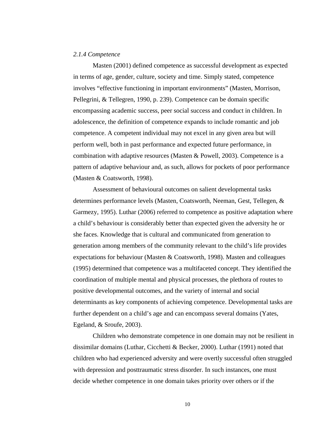#### *2.1.4 Competence*

 Masten (2001) defined competence as successful development as expected in terms of age, gender, culture, society and time. Simply stated, competence involves "effective functioning in important environments" (Masten, Morrison, Pellegrini, & Tellegren, 1990, p. 239). Competence can be domain specific encompassing academic success, peer social success and conduct in children. In adolescence, the definition of competence expands to include romantic and job competence. A competent individual may not excel in any given area but will perform well, both in past performance and expected future performance, in combination with adaptive resources (Masten & Powell, 2003). Competence is a pattern of adaptive behaviour and, as such, allows for pockets of poor performance (Masten & Coatsworth, 1998).

 Assessment of behavioural outcomes on salient developmental tasks determines performance levels (Masten, Coatsworth, Neeman, Gest, Tellegen, & Garmezy, 1995). Luthar (2006) referred to competence as positive adaptation where a child's behaviour is considerably better than expected given the adversity he or she faces. Knowledge that is cultural and communicated from generation to generation among members of the community relevant to the child's life provides expectations for behaviour (Masten & Coatsworth, 1998). Masten and colleagues (1995) determined that competence was a multifaceted concept. They identified the coordination of multiple mental and physical processes, the plethora of routes to positive developmental outcomes, and the variety of internal and social determinants as key components of achieving competence. Developmental tasks are further dependent on a child's age and can encompass several domains (Yates, Egeland, & Sroufe, 2003).

 Children who demonstrate competence in one domain may not be resilient in dissimilar domains (Luthar, Cicchetti & Becker, 2000). Luthar (1991) noted that children who had experienced adversity and were overtly successful often struggled with depression and posttraumatic stress disorder. In such instances, one must decide whether competence in one domain takes priority over others or if the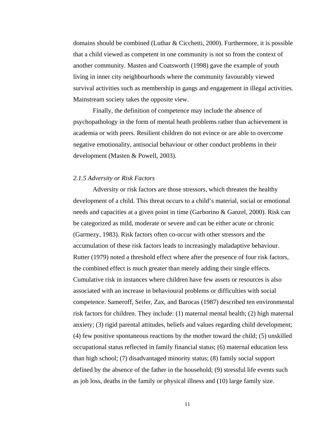domains should be combined (Luthar & Cicchetti, 2000). Furthermore, it is possible that a child viewed as competent in one community is not so from the context of another community. Masten and Coatsworth (1998) gave the example of youth living in inner city neighbourhoods where the community favourably viewed survival activities such as membership in gangs and engagement in illegal activities. Mainstream society takes the opposite view.

 Finally, the definition of competence may include the absence of psychopathology in the form of mental heath problems rather than achievement in academia or with peers. Resilient children do not evince or are able to overcome negative emotionality, antisocial behaviour or other conduct problems in their development (Masten & Powell, 2003).

#### *2.1.5 Adversity or Risk Factors*

Adversity or risk factors are those stressors, which threaten the healthy development of a child. This threat occurs to a child's material, social or emotional needs and capacities at a given point in time (Garborino & Ganzel, 2000). Risk can be categorized as mild, moderate or severe and can be either acute or chronic (Garmezy, 1983). Risk factors often co-occur with other stressors and the accumulation of these risk factors leads to increasingly maladaptive behaviour. Rutter (1979) noted a threshold effect where after the presence of four risk factors, the combined effect is much greater than merely adding their single effects. Cumulative risk in instances where children have few assets or resources is also associated with an increase in behavioural problems or difficulties with social competence. Sameroff, Seifer, Zax, and Barocas (1987) described ten environmental risk factors for children. They include: (1) maternal mental health; (2) high maternal anxiety; (3) rigid parental attitudes, beliefs and values regarding child development; (4) few positive spontaneous reactions by the mother toward the child; (5) unskilled occupational status reflected in family financial status; (6) maternal education less than high school; (7) disadvantaged minority status; (8) family social support defined by the absence of the father in the household; (9) stressful life events such as job loss, deaths in the family or physical illness and (10) large family size.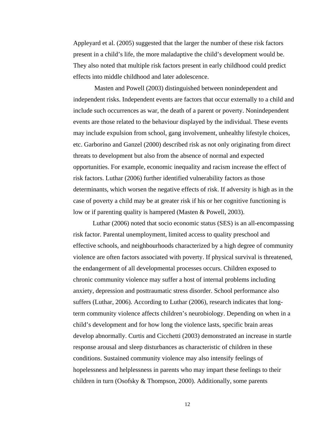Appleyard et al. (2005) suggested that the larger the number of these risk factors present in a child's life, the more maladaptive the child's development would be. They also noted that multiple risk factors present in early childhood could predict effects into middle childhood and later adolescence.

 Masten and Powell (2003) distinguished between nonindependent and independent risks. Independent events are factors that occur externally to a child and include such occurrences as war, the death of a parent or poverty. Nonindependent events are those related to the behaviour displayed by the individual. These events may include expulsion from school, gang involvement, unhealthy lifestyle choices, etc. Garborino and Ganzel (2000) described risk as not only originating from direct threats to development but also from the absence of normal and expected opportunities. For example, economic inequality and racism increase the effect of risk factors. Luthar (2006) further identified vulnerability factors as those determinants, which worsen the negative effects of risk. If adversity is high as in the case of poverty a child may be at greater risk if his or her cognitive functioning is low or if parenting quality is hampered (Masten & Powell, 2003).

 Luthar (2006) noted that socio economic status (SES) is an all-encompassing risk factor. Parental unemployment, limited access to quality preschool and effective schools, and neighbourhoods characterized by a high degree of community violence are often factors associated with poverty. If physical survival is threatened, the endangerment of all developmental processes occurs. Children exposed to chronic community violence may suffer a host of internal problems including anxiety, depression and posttraumatic stress disorder. School performance also suffers (Luthar, 2006). According to Luthar (2006), research indicates that longterm community violence affects children's neurobiology. Depending on when in a child's development and for how long the violence lasts, specific brain areas develop abnormally. Curtis and Cicchetti (2003) demonstrated an increase in startle response arousal and sleep disturbances as characteristic of children in these conditions. Sustained community violence may also intensify feelings of hopelessness and helplessness in parents who may impart these feelings to their children in turn (Osofsky & Thompson, 2000). Additionally, some parents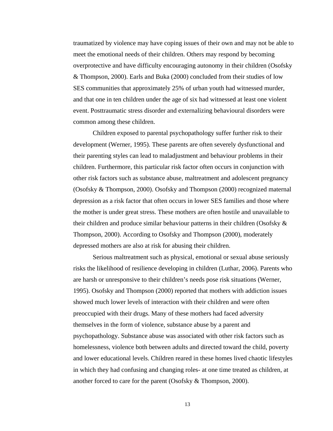traumatized by violence may have coping issues of their own and may not be able to meet the emotional needs of their children. Others may respond by becoming overprotective and have difficulty encouraging autonomy in their children (Osofsky & Thompson, 2000). Earls and Buka (2000) concluded from their studies of low SES communities that approximately 25% of urban youth had witnessed murder, and that one in ten children under the age of six had witnessed at least one violent event. Posttraumatic stress disorder and externalizing behavioural disorders were common among these children.

 Children exposed to parental psychopathology suffer further risk to their development (Werner, 1995). These parents are often severely dysfunctional and their parenting styles can lead to maladjustment and behaviour problems in their children. Furthermore, this particular risk factor often occurs in conjunction with other risk factors such as substance abuse, maltreatment and adolescent pregnancy (Osofsky & Thompson, 2000). Osofsky and Thompson (2000) recognized maternal depression as a risk factor that often occurs in lower SES families and those where the mother is under great stress. These mothers are often hostile and unavailable to their children and produce similar behaviour patterns in their children (Osofsky & Thompson, 2000). According to Osofsky and Thompson (2000), moderately depressed mothers are also at risk for abusing their children.

 Serious maltreatment such as physical, emotional or sexual abuse seriously risks the likelihood of resilience developing in children (Luthar, 2006). Parents who are harsh or unresponsive to their children's needs pose risk situations (Werner, 1995). Osofsky and Thompson (2000) reported that mothers with addiction issues showed much lower levels of interaction with their children and were often preoccupied with their drugs. Many of these mothers had faced adversity themselves in the form of violence, substance abuse by a parent and psychopathology. Substance abuse was associated with other risk factors such as homelessness, violence both between adults and directed toward the child, poverty and lower educational levels. Children reared in these homes lived chaotic lifestyles in which they had confusing and changing roles- at one time treated as children, at another forced to care for the parent (Osofsky & Thompson, 2000).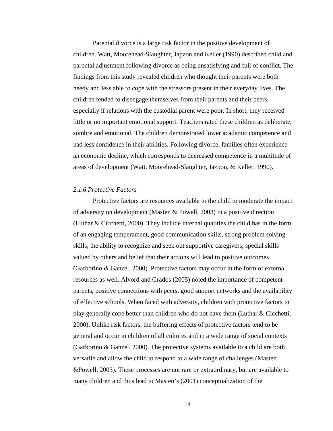Parental divorce is a large risk factor in the positive development of children. Watt, Moorehead-Slaughter, Japzon and Keller (1990) described child and parental adjustment following divorce as being unsatisfying and full of conflict. The findings from this study revealed children who thought their parents were both needy and less able to cope with the stressors present in their everyday lives. The children tended to disengage themselves from their parents and their peers, especially if relations with the custodial parent were poor. In short, they received little or no important emotional support. Teachers rated these children as deliberate, sombre and emotional. The children demonstrated lower academic competence and had less confidence in their abilities. Following divorce, families often experience an economic decline, which corresponds to decreased competence in a multitude of areas of development (Watt, Moorehead-Slaughter, Jazpon, & Keller, 1990).

#### *2.1.6 Protective Factors*

 Protective factors are resources available to the child to moderate the impact of adversity on development (Masten & Powell, 2003) in a positive direction (Luthar & Cicchetti, 2000). They include internal qualities the child has in the form of an engaging temperament, good communication skills, strong problem solving skills, the ability to recognize and seek out supportive caregivers, special skills valued by others and belief that their actions will lead to positive outcomes (Garborino & Ganzel, 2000). Protective factors may occur in the form of external resources as well. Alvord and Grados (2005) noted the importance of competent parents, positive connections with peers, good support networks and the availability of effective schools. When faced with adversity, children with protective factors in play generally cope better than children who do not have them (Luthar & Cicchetti, 2000). Unlike risk factors, the buffering effects of protective factors tend to be general and occur in children of all cultures and in a wide range of social contexts (Garborino & Ganzel, 2000). The protective systems available to a child are both versatile and allow the child to respond to a wide range of challenges (Masten &Powell, 2003). These processes are not rare or extraordinary, but are available to many children and thus lead to Masten's (2001) conceptualization of the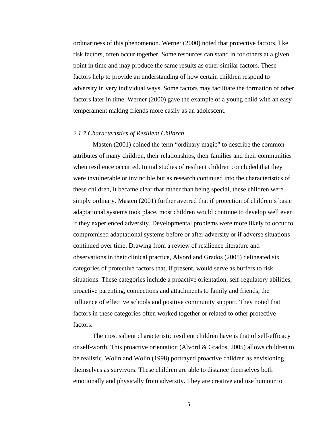ordinariness of this phenomenon. Werner (2000) noted that protective factors, like risk factors, often occur together. Some resources can stand in for others at a given point in time and may produce the same results as other similar factors. These factors help to provide an understanding of how certain children respond to adversity in very individual ways. Some factors may facilitate the formation of other factors later in time. Werner (2000) gave the example of a young child with an easy temperament making friends more easily as an adolescent.

#### *2.1.7 Characteristics of Resilient Children*

 Masten (2001) coined the term "ordinary magic" to describe the common attributes of many children, their relationships, their families and their communities when resilience occurred. Initial studies of resilient children concluded that they were invulnerable or invincible but as research continued into the characteristics of these children, it became clear that rather than being special, these children were simply ordinary. Masten (2001) further averred that if protection of children's basic adaptational systems took place, most children would continue to develop well even if they experienced adversity. Developmental problems were more likely to occur to compromised adaptational systems before or after adversity or if adverse situations continued over time. Drawing from a review of resilience literature and observations in their clinical practice, Alvord and Grados (2005) delineated six categories of protective factors that, if present, would serve as buffers to risk situations. These categories include a proactive orientation, self-regulatory abilities, proactive parenting, connections and attachments to family and friends, the influence of effective schools and positive community support. They noted that factors in these categories often worked together or related to other protective factors.

 The most salient characteristic resilient children have is that of self-efficacy or self-worth. This proactive orientation (Alvord & Grados, 2005) allows children to be realistic. Wolin and Wolin (1998) portrayed proactive children as envisioning themselves as survivors. These children are able to distance themselves both emotionally and physically from adversity. They are creative and use humour to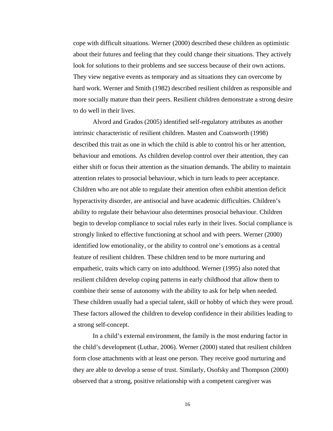cope with difficult situations. Werner (2000) described these children as optimistic about their futures and feeling that they could change their situations. They actively look for solutions to their problems and see success because of their own actions. They view negative events as temporary and as situations they can overcome by hard work. Werner and Smith (1982) described resilient children as responsible and more socially mature than their peers. Resilient children demonstrate a strong desire to do well in their lives.

 Alvord and Grados (2005) identified self-regulatory attributes as another intrinsic characteristic of resilient children. Masten and Coatsworth (1998) described this trait as one in which the child is able to control his or her attention, behaviour and emotions. As children develop control over their attention, they can either shift or focus their attention as the situation demands. The ability to maintain attention relates to prosocial behaviour, which in turn leads to peer acceptance. Children who are not able to regulate their attention often exhibit attention deficit hyperactivity disorder, are antisocial and have academic difficulties. Children's ability to regulate their behaviour also determines prosocial behaviour. Children begin to develop compliance to social rules early in their lives. Social compliance is strongly linked to effective functioning at school and with peers. Werner (2000) identified low emotionality, or the ability to control one's emotions as a central feature of resilient children. These children tend to be more nurturing and empathetic, traits which carry on into adulthood. Werner (1995) also noted that resilient children develop coping patterns in early childhood that allow them to combine their sense of autonomy with the ability to ask for help when needed. These children usually had a special talent, skill or hobby of which they were proud. These factors allowed the children to develop confidence in their abilities leading to a strong self-concept.

 In a child's external environment, the family is the most enduring factor in the child's development (Luthar, 2006). Werner (2000) stated that resilient children form close attachments with at least one person. They receive good nurturing and they are able to develop a sense of trust. Similarly, Osofsky and Thompson (2000) observed that a strong, positive relationship with a competent caregiver was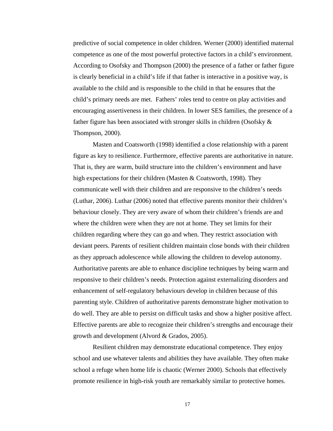predictive of social competence in older children. Werner (2000) identified maternal competence as one of the most powerful protective factors in a child's environment. According to Osofsky and Thompson (2000) the presence of a father or father figure is clearly beneficial in a child's life if that father is interactive in a positive way, is available to the child and is responsible to the child in that he ensures that the child's primary needs are met. Fathers' roles tend to centre on play activities and encouraging assertiveness in their children. In lower SES families, the presence of a father figure has been associated with stronger skills in children (Osofsky & Thompson, 2000).

 Masten and Coatsworth (1998) identified a close relationship with a parent figure as key to resilience. Furthermore, effective parents are authoritative in nature. That is, they are warm, build structure into the children's environment and have high expectations for their children (Masten & Coatsworth, 1998). They communicate well with their children and are responsive to the children's needs (Luthar, 2006). Luthar (2006) noted that effective parents monitor their children's behaviour closely. They are very aware of whom their children's friends are and where the children were when they are not at home. They set limits for their children regarding where they can go and when. They restrict association with deviant peers. Parents of resilient children maintain close bonds with their children as they approach adolescence while allowing the children to develop autonomy. Authoritative parents are able to enhance discipline techniques by being warm and responsive to their children's needs. Protection against externalizing disorders and enhancement of self-regulatory behaviours develop in children because of this parenting style. Children of authoritative parents demonstrate higher motivation to do well. They are able to persist on difficult tasks and show a higher positive affect. Effective parents are able to recognize their children's strengths and encourage their growth and development (Alvord & Grados, 2005).

 Resilient children may demonstrate educational competence. They enjoy school and use whatever talents and abilities they have available. They often make school a refuge when home life is chaotic (Werner 2000). Schools that effectively promote resilience in high-risk youth are remarkably similar to protective homes.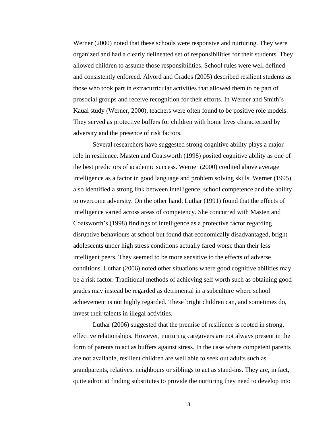Werner (2000) noted that these schools were responsive and nurturing. They were organized and had a clearly delineated set of responsibilities for their students. They allowed children to assume those responsibilities. School rules were well defined and consistently enforced. Alvord and Grados (2005) described resilient students as those who took part in extracurricular activities that allowed them to be part of prosocial groups and receive recognition for their efforts. In Werner and Smith's Kauai study (Werner, 2000), teachers were often found to be positive role models. They served as protective buffers for children with home lives characterized by adversity and the presence of risk factors.

 Several researchers have suggested strong cognitive ability plays a major role in resilience. Masten and Coatsworth (1998) posited cognitive ability as one of the best predictors of academic success. Werner (2000) credited above average intelligence as a factor in good language and problem solving skills. Werner (1995) also identified a strong link between intelligence, school competence and the ability to overcome adversity. On the other hand, Luthar (1991) found that the effects of intelligence varied across areas of competency. She concurred with Masten and Coatsworth's (1998) findings of intelligence as a protective factor regarding disruptive behaviours at school but found that economically disadvantaged, bright adolescents under high stress conditions actually fared worse than their less intelligent peers. They seemed to be more sensitive to the effects of adverse conditions. Luthar (2006) noted other situations where good cognitive abilities may be a risk factor. Traditional methods of achieving self worth such as obtaining good grades may instead be regarded as detrimental in a subculture where school achievement is not highly regarded. These bright children can, and sometimes do, invest their talents in illegal activities.

 Luthar (2006) suggested that the premise of resilience is rooted in strong, effective relationships. However, nurturing caregivers are not always present in the form of parents to act as buffers against stress. In the case where competent parents are not available, resilient children are well able to seek out adults such as grandparents, relatives, neighbours or siblings to act as stand-ins. They are, in fact, quite adroit at finding substitutes to provide the nurturing they need to develop into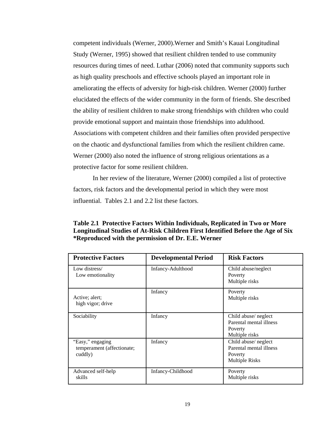competent individuals (Werner, 2000).Werner and Smith's Kauai Longitudinal Study (Werner, 1995) showed that resilient children tended to use community resources during times of need. Luthar (2006) noted that community supports such as high quality preschools and effective schools played an important role in ameliorating the effects of adversity for high-risk children. Werner (2000) further elucidated the effects of the wider community in the form of friends. She described the ability of resilient children to make strong friendships with children who could provide emotional support and maintain those friendships into adulthood. Associations with competent children and their families often provided perspective on the chaotic and dysfunctional families from which the resilient children came. Werner (2000) also noted the influence of strong religious orientations as a protective factor for some resilient children.

 In her review of the literature, Werner (2000) compiled a list of protective factors, risk factors and the developmental period in which they were most influential. Tables 2.1 and 2.2 list these factors.

**Table 2.1 Protective Factors Within Individuals, Replicated in Two or More Longitudinal Studies of At-Risk Children First Identified Before the Age of Six \*Reproduced with the permission of Dr. E.E. Werner** 

| <b>Protective Factors</b>                                 | <b>Developmental Period</b> | <b>Risk Factors</b>                                                                 |
|-----------------------------------------------------------|-----------------------------|-------------------------------------------------------------------------------------|
| Low distress/<br>Low emotionality                         | Infancy-Adulthood           | Child abuse/neglect<br>Poverty<br>Multiple risks                                    |
| Active; alert;<br>high vigor; drive                       | Infancy                     | Poverty<br>Multiple risks                                                           |
| Sociability                                               | Infancy                     | Child abuse/ neglect<br>Parental mental illness<br>Poverty<br>Multiple risks        |
| "Easy," engaging<br>temperament (affectionate;<br>cuddly) | Infancy                     | Child abuse/ neglect<br>Parental mental illness<br>Poverty<br><b>Multiple Risks</b> |
| Advanced self-help<br>skills                              | Infancy-Childhood           | Poverty<br>Multiple risks                                                           |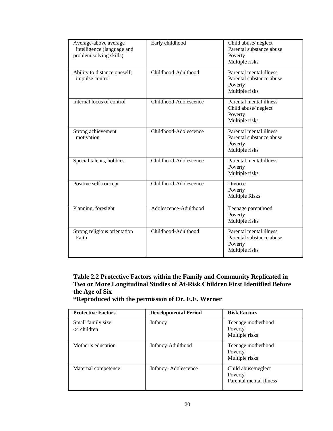| Average-above average<br>intelligence (language and<br>problem solving skills) | Early childhood       | Child abuse/ neglect<br>Parental substance abuse<br>Poverty<br>Multiple risks    |
|--------------------------------------------------------------------------------|-----------------------|----------------------------------------------------------------------------------|
| Ability to distance oneself;<br>impulse control                                | Childhood-Adulthood   | Parental mental illness<br>Parental substance abuse<br>Poverty<br>Multiple risks |
| Internal locus of control                                                      | Childhood-Adolescence | Parental mental illness<br>Child abuse/ neglect<br>Poverty<br>Multiple risks     |
| Strong achievement<br>motivation                                               | Childhood-Adolescence | Parental mental illness<br>Parental substance abuse<br>Poverty<br>Multiple risks |
| Special talents, hobbies                                                       | Childhood-Adolescence | Parental mental illness<br>Poverty<br>Multiple risks                             |
| Positive self-concept                                                          | Childhood-Adolescence | <b>Divorce</b><br>Poverty<br><b>Multiple Risks</b>                               |
| Planning, foresight                                                            | Adolescence-Adulthood | Teenage parenthood<br>Poverty<br>Multiple risks                                  |
| Strong religious orientation<br>Faith                                          | Childhood-Adulthood   | Parental mental illness<br>Parental substance abuse<br>Poverty<br>Multiple risks |

**Table 2.2 Protective Factors within the Family and Community Replicated in Two or More Longitudinal Studies of At-Risk Children First Identified Before the Age of Six** 

**\*Reproduced with the permission of Dr. E.E. Werner** 

| <b>Protective Factors</b>           | <b>Developmental Period</b> | <b>Risk Factors</b>                                       |
|-------------------------------------|-----------------------------|-----------------------------------------------------------|
| Small family size<br>$<$ 4 children | Infancy                     | Teenage motherhood<br>Poverty<br>Multiple risks           |
| Mother's education                  | Infancy-Adulthood           | Teenage motherhood<br>Poverty<br>Multiple risks           |
| Maternal competence                 | Infancy-Adolescence         | Child abuse/neglect<br>Poverty<br>Parental mental illness |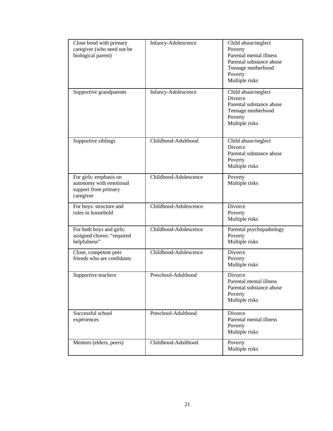| Close bond with primary<br>caregiver (who need not be<br>biological parent)            | Infancy-Adolescence   | Child abuse/neglect<br>Poverty<br>Parental mental illness<br>Parental substance abuse<br>Teenage motherhood<br>Poverty<br>Multiple risks |
|----------------------------------------------------------------------------------------|-----------------------|------------------------------------------------------------------------------------------------------------------------------------------|
| Supportive grandparents                                                                | Infancy-Adolescence   | Child abuse/neglect<br>Divorce<br>Parental substance abuse<br>Teenage motherhood<br>Poverty<br>Multiple risks                            |
| Supportive siblings                                                                    | Childhood-Adulthood   | Child abuse/neglect<br>Divorce<br>Parental substance abuse<br>Poverty<br>Multiple risks                                                  |
| For girls: emphasis on<br>autonomy with emotional<br>support from primary<br>caregiver | Childhood-Adolescence | Poverty<br>Multiple risks                                                                                                                |
| For boys: structure and<br>rules in household                                          | Childhood-Adolescence | Divorce<br>Poverty<br>Multiple risks                                                                                                     |
| For both boys and girls:<br>assigned chores: "required<br>helpfulness"                 | Childhood-Adolescence | Parental psychopathology<br>Poverty<br>Multiple risks                                                                                    |
| Close, competent peer<br>friends who are confidants                                    | Childhood-Adolescence | Divorce<br>Poverty<br>Multiple risks                                                                                                     |
| Supportive teachers                                                                    | Preschool-Adulthood   | Divorce<br>Parental mental illness<br>Parental substance abuse<br>Poverty<br>Multiple risks                                              |
| Successful school<br>experiences                                                       | Preschool-Adulthood   | Divorce<br>Parental mental illness<br>Poverty<br>Multiple risks                                                                          |
| Mentors (elders, peers)                                                                | Childhood-Adulthood   | Poverty<br>Multiple risks                                                                                                                |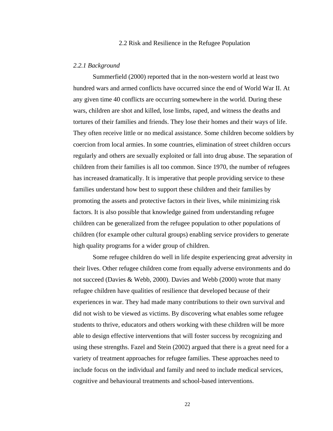#### 2.2 Risk and Resilience in the Refugee Population

### *2.2.1 Background*

Summerfield (2000) reported that in the non-western world at least two hundred wars and armed conflicts have occurred since the end of World War II. At any given time 40 conflicts are occurring somewhere in the world. During these wars, children are shot and killed, lose limbs, raped, and witness the deaths and tortures of their families and friends. They lose their homes and their ways of life. They often receive little or no medical assistance. Some children become soldiers by coercion from local armies. In some countries, elimination of street children occurs regularly and others are sexually exploited or fall into drug abuse. The separation of children from their families is all too common. Since 1970, the number of refugees has increased dramatically. It is imperative that people providing service to these families understand how best to support these children and their families by promoting the assets and protective factors in their lives, while minimizing risk factors. It is also possible that knowledge gained from understanding refugee children can be generalized from the refugee population to other populations of children (for example other cultural groups) enabling service providers to generate high quality programs for a wider group of children.

 Some refugee children do well in life despite experiencing great adversity in their lives. Other refugee children come from equally adverse environments and do not succeed (Davies & Webb, 2000). Davies and Webb (2000) wrote that many refugee children have qualities of resilience that developed because of their experiences in war. They had made many contributions to their own survival and did not wish to be viewed as victims. By discovering what enables some refugee students to thrive, educators and others working with these children will be more able to design effective interventions that will foster success by recognizing and using these strengths. Fazel and Stein (2002) argued that there is a great need for a variety of treatment approaches for refugee families. These approaches need to include focus on the individual and family and need to include medical services, cognitive and behavioural treatments and school-based interventions.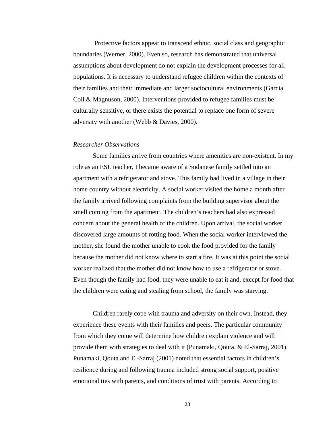Protective factors appear to transcend ethnic, social class and geographic boundaries (Werner, 2000). Even so, research has demonstrated that universal assumptions about development do not explain the development processes for all populations. It is necessary to understand refugee children within the contexts of their families and their immediate and larger sociocultural environments (Garcia Coll & Magnuson, 2000). Interventions provided to refugee families must be culturally sensitive, or there exists the potential to replace one form of severe adversity with another (Webb & Davies, 2000).

## *Researcher Observations*

 Some families arrive from countries where amenities are non-existent. In my role as an ESL teacher, I became aware of a Sudanese family settled into an apartment with a refrigerator and stove. This family had lived in a village in their home country without electricity. A social worker visited the home a month after the family arrived following complaints from the building supervisor about the smell coming from the apartment. The children's teachers had also expressed concern about the general health of the children. Upon arrival, the social worker discovered large amounts of rotting food. When the social worker interviewed the mother, she found the mother unable to cook the food provided for the family because the mother did not know where to start a fire. It was at this point the social worker realized that the mother did not know how to use a refrigerator or stove. Even though the family had food, they were unable to eat it and, except for food that the children were eating and stealing from school, the family was starving.

 Children rarely cope with trauma and adversity on their own. Instead, they experience these events with their families and peers. The particular community from which they come will determine how children explain violence and will provide them with strategies to deal with it (Punamaki, Qouta, & El-Sarraj, 2001). Punamaki, Qouta and El-Sarraj (2001) noted that essential factors in children's resilience during and following trauma included strong social support, positive emotional ties with parents, and conditions of trust with parents. According to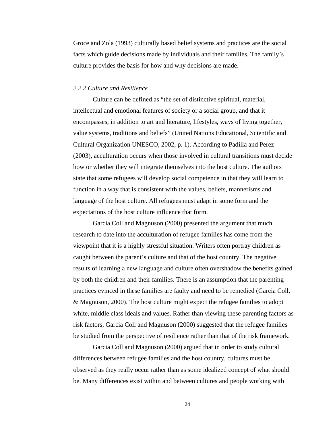Groce and Zola (1993) culturally based belief systems and practices are the social facts which guide decisions made by individuals and their families. The family's culture provides the basis for how and why decisions are made.

#### *2.2.2 Culture and Resilience*

Culture can be defined as "the set of distinctive spiritual, material, intellectual and emotional features of society or a social group, and that it encompasses, in addition to art and literature, lifestyles, ways of living together, value systems, traditions and beliefs" (United Nations Educational, Scientific and Cultural Organization UNESCO, 2002, p. 1). According to Padilla and Perez (2003), acculturation occurs when those involved in cultural transitions must decide how or whether they will integrate themselves into the host culture. The authors state that some refugees will develop social competence in that they will learn to function in a way that is consistent with the values, beliefs, mannerisms and language of the host culture. All refugees must adapt in some form and the expectations of the host culture influence that form.

 Garcia Coll and Magnuson (2000) presented the argument that much research to date into the acculturation of refugee families has come from the viewpoint that it is a highly stressful situation. Writers often portray children as caught between the parent's culture and that of the host country. The negative results of learning a new language and culture often overshadow the benefits gained by both the children and their families. There is an assumption that the parenting practices evinced in these families are faulty and need to be remedied (Garcia Coll, & Magnuson, 2000). The host culture might expect the refugee families to adopt white, middle class ideals and values. Rather than viewing these parenting factors as risk factors, Garcia Coll and Magnuson (2000) suggested that the refugee families be studied from the perspective of resilience rather than that of the risk framework.

 Garcia Coll and Magnuson (2000) argued that in order to study cultural differences between refugee families and the host country, cultures must be observed as they really occur rather than as some idealized concept of what should be. Many differences exist within and between cultures and people working with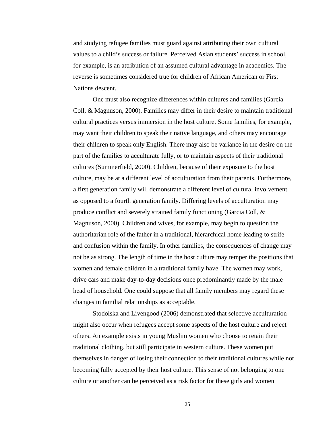and studying refugee families must guard against attributing their own cultural values to a child's success or failure. Perceived Asian students' success in school, for example, is an attribution of an assumed cultural advantage in academics. The reverse is sometimes considered true for children of African American or First Nations descent.

 One must also recognize differences within cultures and families (Garcia Coll, & Magnuson, 2000). Families may differ in their desire to maintain traditional cultural practices versus immersion in the host culture. Some families, for example, may want their children to speak their native language, and others may encourage their children to speak only English. There may also be variance in the desire on the part of the families to acculturate fully, or to maintain aspects of their traditional cultures (Summerfield, 2000). Children, because of their exposure to the host culture, may be at a different level of acculturation from their parents. Furthermore, a first generation family will demonstrate a different level of cultural involvement as opposed to a fourth generation family. Differing levels of acculturation may produce conflict and severely strained family functioning (Garcia Coll, & Magnuson, 2000). Children and wives, for example, may begin to question the authoritarian role of the father in a traditional, hierarchical home leading to strife and confusion within the family. In other families, the consequences of change may not be as strong. The length of time in the host culture may temper the positions that women and female children in a traditional family have. The women may work, drive cars and make day-to-day decisions once predominantly made by the male head of household. One could suppose that all family members may regard these changes in familial relationships as acceptable.

Stodolska and Livengood (2006) demonstrated that selective acculturation might also occur when refugees accept some aspects of the host culture and reject others. An example exists in young Muslim women who choose to retain their traditional clothing, but still participate in western culture. These women put themselves in danger of losing their connection to their traditional cultures while not becoming fully accepted by their host culture. This sense of not belonging to one culture or another can be perceived as a risk factor for these girls and women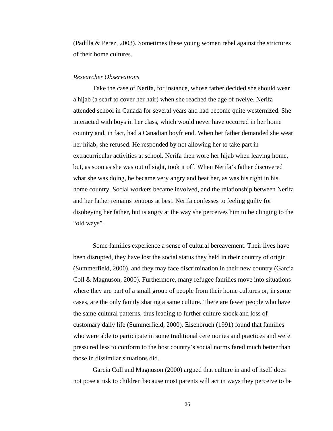(Padilla & Perez, 2003). Sometimes these young women rebel against the strictures of their home cultures.

### *Researcher Observations*

 Take the case of Nerifa, for instance, whose father decided she should wear a hijab (a scarf to cover her hair) when she reached the age of twelve. Nerifa attended school in Canada for several years and had become quite westernized. She interacted with boys in her class, which would never have occurred in her home country and, in fact, had a Canadian boyfriend. When her father demanded she wear her hijab, she refused. He responded by not allowing her to take part in extracurricular activities at school. Nerifa then wore her hijab when leaving home, but, as soon as she was out of sight, took it off. When Nerifa's father discovered what she was doing, he became very angry and beat her, as was his right in his home country. Social workers became involved, and the relationship between Nerifa and her father remains tenuous at best. Nerifa confesses to feeling guilty for disobeying her father, but is angry at the way she perceives him to be clinging to the "old ways".

 Some families experience a sense of cultural bereavement. Their lives have been disrupted, they have lost the social status they held in their country of origin (Summerfield, 2000), and they may face discrimination in their new country (Garcia Coll & Magnuson, 2000). Furthermore, many refugee families move into situations where they are part of a small group of people from their home cultures or, in some cases, are the only family sharing a same culture. There are fewer people who have the same cultural patterns, thus leading to further culture shock and loss of customary daily life (Summerfield, 2000). Eisenbruch (1991) found that families who were able to participate in some traditional ceremonies and practices and were pressured less to conform to the host country's social norms fared much better than those in dissimilar situations did.

 Garcia Coll and Magnuson (2000) argued that culture in and of itself does not pose a risk to children because most parents will act in ways they perceive to be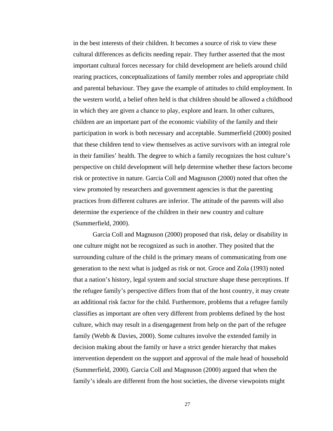in the best interests of their children. It becomes a source of risk to view these cultural differences as deficits needing repair. They further asserted that the most important cultural forces necessary for child development are beliefs around child rearing practices, conceptualizations of family member roles and appropriate child and parental behaviour. They gave the example of attitudes to child employment. In the western world, a belief often held is that children should be allowed a childhood in which they are given a chance to play, explore and learn. In other cultures, children are an important part of the economic viability of the family and their participation in work is both necessary and acceptable. Summerfield (2000) posited that these children tend to view themselves as active survivors with an integral role in their families' health. The degree to which a family recognizes the host culture's perspective on child development will help determine whether these factors become risk or protective in nature. Garcia Coll and Magnuson (2000) noted that often the view promoted by researchers and government agencies is that the parenting practices from different cultures are inferior. The attitude of the parents will also determine the experience of the children in their new country and culture (Summerfield, 2000).

 Garcia Coll and Magnuson (2000) proposed that risk, delay or disability in one culture might not be recognized as such in another. They posited that the surrounding culture of the child is the primary means of communicating from one generation to the next what is judged as risk or not. Groce and Zola (1993) noted that a nation's history, legal system and social structure shape these perceptions. If the refugee family's perspective differs from that of the host country, it may create an additional risk factor for the child. Furthermore, problems that a refugee family classifies as important are often very different from problems defined by the host culture, which may result in a disengagement from help on the part of the refugee family (Webb & Davies, 2000). Some cultures involve the extended family in decision making about the family or have a strict gender hierarchy that makes intervention dependent on the support and approval of the male head of household (Summerfield, 2000). Garcia Coll and Magnuson (2000) argued that when the family's ideals are different from the host societies, the diverse viewpoints might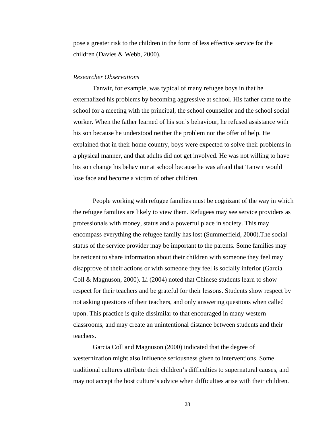pose a greater risk to the children in the form of less effective service for the children (Davies & Webb, 2000).

#### *Researcher Observations*

 Tanwir, for example, was typical of many refugee boys in that he externalized his problems by becoming aggressive at school. His father came to the school for a meeting with the principal, the school counsellor and the school social worker. When the father learned of his son's behaviour, he refused assistance with his son because he understood neither the problem nor the offer of help. He explained that in their home country, boys were expected to solve their problems in a physical manner, and that adults did not get involved. He was not willing to have his son change his behaviour at school because he was afraid that Tanwir would lose face and become a victim of other children.

 People working with refugee families must be cognizant of the way in which the refugee families are likely to view them. Refugees may see service providers as professionals with money, status and a powerful place in society. This may encompass everything the refugee family has lost (Summerfield, 2000).The social status of the service provider may be important to the parents. Some families may be reticent to share information about their children with someone they feel may disapprove of their actions or with someone they feel is socially inferior (Garcia Coll & Magnuson, 2000). Li (2004) noted that Chinese students learn to show respect for their teachers and be grateful for their lessons. Students show respect by not asking questions of their teachers, and only answering questions when called upon. This practice is quite dissimilar to that encouraged in many western classrooms, and may create an unintentional distance between students and their teachers.

 Garcia Coll and Magnuson (2000) indicated that the degree of westernization might also influence seriousness given to interventions. Some traditional cultures attribute their children's difficulties to supernatural causes, and may not accept the host culture's advice when difficulties arise with their children.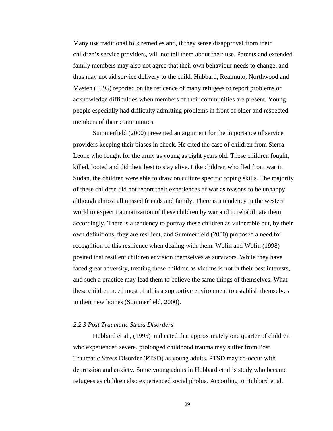Many use traditional folk remedies and, if they sense disapproval from their children's service providers, will not tell them about their use. Parents and extended family members may also not agree that their own behaviour needs to change, and thus may not aid service delivery to the child. Hubbard, Realmuto, Northwood and Masten (1995) reported on the reticence of many refugees to report problems or acknowledge difficulties when members of their communities are present. Young people especially had difficulty admitting problems in front of older and respected members of their communities.

 Summerfield (2000) presented an argument for the importance of service providers keeping their biases in check. He cited the case of children from Sierra Leone who fought for the army as young as eight years old. These children fought, killed, looted and did their best to stay alive. Like children who fled from war in Sudan, the children were able to draw on culture specific coping skills. The majority of these children did not report their experiences of war as reasons to be unhappy although almost all missed friends and family. There is a tendency in the western world to expect traumatization of these children by war and to rehabilitate them accordingly. There is a tendency to portray these children as vulnerable but, by their own definitions, they are resilient, and Summerfield (2000) proposed a need for recognition of this resilience when dealing with them. Wolin and Wolin (1998) posited that resilient children envision themselves as survivors. While they have faced great adversity, treating these children as victims is not in their best interests, and such a practice may lead them to believe the same things of themselves. What these children need most of all is a supportive environment to establish themselves in their new homes (Summerfield, 2000).

#### *2.2.3 Post Traumatic Stress Disorders*

 Hubbard et al., (1995) indicated that approximately one quarter of children who experienced severe, prolonged childhood trauma may suffer from Post Traumatic Stress Disorder (PTSD) as young adults. PTSD may co-occur with depression and anxiety. Some young adults in Hubbard et al.'s study who became refugees as children also experienced social phobia. According to Hubbard et al.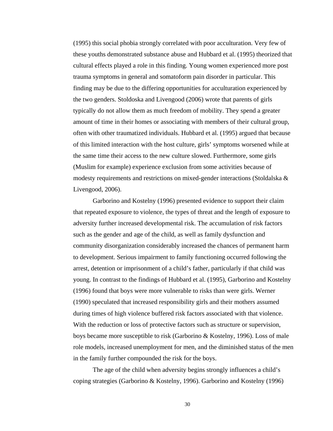(1995) this social phobia strongly correlated with poor acculturation. Very few of these youths demonstrated substance abuse and Hubbard et al. (1995) theorized that cultural effects played a role in this finding. Young women experienced more post trauma symptoms in general and somatoform pain disorder in particular. This finding may be due to the differing opportunities for acculturation experienced by the two genders. Stoldoska and Livengood (2006) wrote that parents of girls typically do not allow them as much freedom of mobility. They spend a greater amount of time in their homes or associating with members of their cultural group, often with other traumatized individuals. Hubbard et al. (1995) argued that because of this limited interaction with the host culture, girls' symptoms worsened while at the same time their access to the new culture slowed. Furthermore, some girls (Muslim for example) experience exclusion from some activities because of modesty requirements and restrictions on mixed-gender interactions (Stoldalska & Livengood, 2006).

 Garborino and Kostelny (1996) presented evidence to support their claim that repeated exposure to violence, the types of threat and the length of exposure to adversity further increased developmental risk. The accumulation of risk factors such as the gender and age of the child, as well as family dysfunction and community disorganization considerably increased the chances of permanent harm to development. Serious impairment to family functioning occurred following the arrest, detention or imprisonment of a child's father, particularly if that child was young. In contrast to the findings of Hubbard et al. (1995), Garborino and Kostelny (1996) found that boys were more vulnerable to risks than were girls. Werner (1990) speculated that increased responsibility girls and their mothers assumed during times of high violence buffered risk factors associated with that violence. With the reduction or loss of protective factors such as structure or supervision, boys became more susceptible to risk (Garborino & Kostelny, 1996). Loss of male role models, increased unemployment for men, and the diminished status of the men in the family further compounded the risk for the boys.

 The age of the child when adversity begins strongly influences a child's coping strategies (Garborino & Kostelny, 1996). Garborino and Kostelny (1996)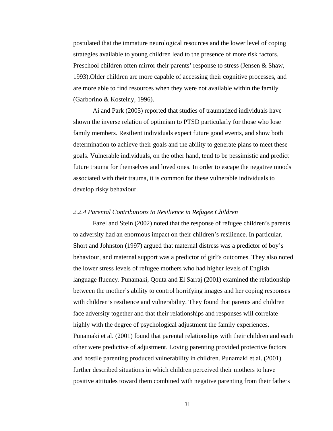postulated that the immature neurological resources and the lower level of coping strategies available to young children lead to the presence of more risk factors. Preschool children often mirror their parents' response to stress (Jensen & Shaw, 1993).Older children are more capable of accessing their cognitive processes, and are more able to find resources when they were not available within the family (Garborino & Kostelny, 1996).

 Ai and Park (2005) reported that studies of traumatized individuals have shown the inverse relation of optimism to PTSD particularly for those who lose family members. Resilient individuals expect future good events, and show both determination to achieve their goals and the ability to generate plans to meet these goals. Vulnerable individuals, on the other hand, tend to be pessimistic and predict future trauma for themselves and loved ones. In order to escape the negative moods associated with their trauma, it is common for these vulnerable individuals to develop risky behaviour.

### *2.2.4 Parental Contributions to Resilience in Refugee Children*

Fazel and Stein (2002) noted that the response of refugee children's parents to adversity had an enormous impact on their children's resilience. In particular, Short and Johnston (1997) argued that maternal distress was a predictor of boy's behaviour, and maternal support was a predictor of girl's outcomes. They also noted the lower stress levels of refugee mothers who had higher levels of English language fluency. Punamaki, Qouta and El Sarraj (2001) examined the relationship between the mother's ability to control horrifying images and her coping responses with children's resilience and vulnerability. They found that parents and children face adversity together and that their relationships and responses will correlate highly with the degree of psychological adjustment the family experiences. Punamaki et al. (2001) found that parental relationships with their children and each other were predictive of adjustment. Loving parenting provided protective factors and hostile parenting produced vulnerability in children. Punamaki et al. (2001) further described situations in which children perceived their mothers to have positive attitudes toward them combined with negative parenting from their fathers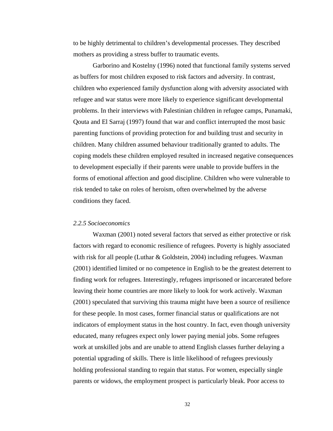to be highly detrimental to children's developmental processes. They described mothers as providing a stress buffer to traumatic events.

 Garborino and Kostelny (1996) noted that functional family systems served as buffers for most children exposed to risk factors and adversity. In contrast, children who experienced family dysfunction along with adversity associated with refugee and war status were more likely to experience significant developmental problems. In their interviews with Palestinian children in refugee camps, Punamaki, Qouta and El Sarraj (1997) found that war and conflict interrupted the most basic parenting functions of providing protection for and building trust and security in children. Many children assumed behaviour traditionally granted to adults. The coping models these children employed resulted in increased negative consequences to development especially if their parents were unable to provide buffers in the forms of emotional affection and good discipline. Children who were vulnerable to risk tended to take on roles of heroism, often overwhelmed by the adverse conditions they faced.

#### *2.2.5 Socioeconomics*

 Waxman (2001) noted several factors that served as either protective or risk factors with regard to economic resilience of refugees. Poverty is highly associated with risk for all people (Luthar & Goldstein, 2004) including refugees. Waxman (2001) identified limited or no competence in English to be the greatest deterrent to finding work for refugees. Interestingly, refugees imprisoned or incarcerated before leaving their home countries are more likely to look for work actively. Waxman (2001) speculated that surviving this trauma might have been a source of resilience for these people. In most cases, former financial status or qualifications are not indicators of employment status in the host country. In fact, even though university educated, many refugees expect only lower paying menial jobs. Some refugees work at unskilled jobs and are unable to attend English classes further delaying a potential upgrading of skills. There is little likelihood of refugees previously holding professional standing to regain that status. For women, especially single parents or widows, the employment prospect is particularly bleak. Poor access to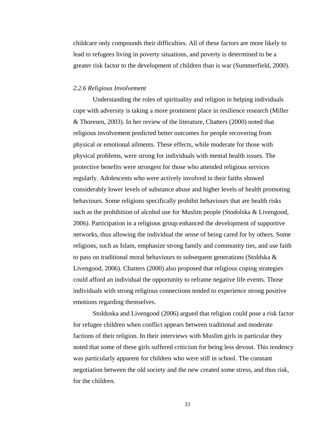childcare only compounds their difficulties. All of these factors are more likely to lead to refugees living in poverty situations, and poverty is determined to be a greater risk factor to the development of children than is war (Summerfield, 2000).

#### *2.2.6 Religious Involvement*

 Understanding the roles of spirituality and religion in helping individuals cope with adversity is taking a more prominent place in resilience research (Miller & Thoresen, 2003). In her review of the literature, Chatters (2000) noted that religious involvement predicted better outcomes for people recovering from physical or emotional ailments. These effects, while moderate for those with physical problems, were strong for individuals with mental health issues. The protective benefits were strongest for those who attended religious services regularly. Adolescents who were actively involved in their faiths showed considerably lower levels of substance abuse and higher levels of health promoting behaviours. Some religions specifically prohibit behaviours that are health risks such as the prohibition of alcohol use for Muslim people (Stodolska & Livengood, 2006). Participation in a religious group enhanced the development of supportive networks, thus allowing the individual the sense of being cared for by others. Some religions, such as Islam, emphasize strong family and community ties, and use faith to pass on traditional moral behaviours to subsequent generations (Stoldska & Livengood, 2006). Chatters (2000) also proposed that religious coping strategies could afford an individual the opportunity to reframe negative life events. Those individuals with strong religious connections tended to experience strong positive emotions regarding themselves.

 Stoldoska and Livengood (2006) argued that religion could pose a risk factor for refugee children when conflict appears between traditional and moderate factions of their religion. In their interviews with Muslim girls in particular they noted that some of these girls suffered criticism for being less devout. This tendency was particularly apparent for children who were still in school. The constant negotiation between the old society and the new created some stress, and thus risk, for the children.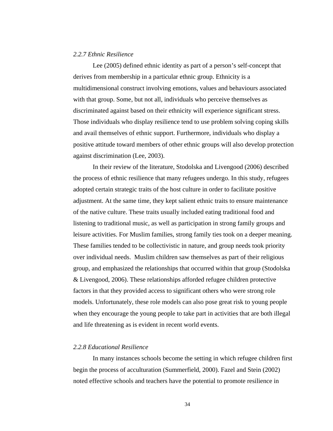#### *2.2.7 Ethnic Resilience*

 Lee (2005) defined ethnic identity as part of a person's self-concept that derives from membership in a particular ethnic group. Ethnicity is a multidimensional construct involving emotions, values and behaviours associated with that group. Some, but not all, individuals who perceive themselves as discriminated against based on their ethnicity will experience significant stress. Those individuals who display resilience tend to use problem solving coping skills and avail themselves of ethnic support. Furthermore, individuals who display a positive attitude toward members of other ethnic groups will also develop protection against discrimination (Lee, 2003).

 In their review of the literature, Stodolska and Livengood (2006) described the process of ethnic resilience that many refugees undergo. In this study, refugees adopted certain strategic traits of the host culture in order to facilitate positive adjustment. At the same time, they kept salient ethnic traits to ensure maintenance of the native culture. These traits usually included eating traditional food and listening to traditional music, as well as participation in strong family groups and leisure activities. For Muslim families, strong family ties took on a deeper meaning. These families tended to be collectivistic in nature, and group needs took priority over individual needs. Muslim children saw themselves as part of their religious group, and emphasized the relationships that occurred within that group (Stodolska & Livengood, 2006). These relationships afforded refugee children protective factors in that they provided access to significant others who were strong role models. Unfortunately, these role models can also pose great risk to young people when they encourage the young people to take part in activities that are both illegal and life threatening as is evident in recent world events.

## *2.2.8 Educational Resilience*

 In many instances schools become the setting in which refugee children first begin the process of acculturation (Summerfield, 2000). Fazel and Stein (2002) noted effective schools and teachers have the potential to promote resilience in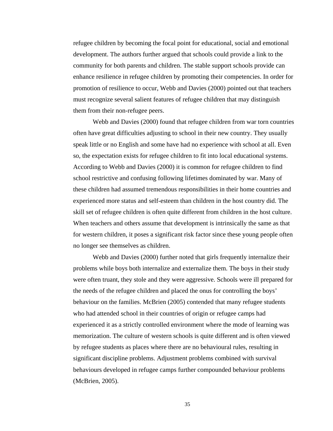refugee children by becoming the focal point for educational, social and emotional development. The authors further argued that schools could provide a link to the community for both parents and children. The stable support schools provide can enhance resilience in refugee children by promoting their competencies. In order for promotion of resilience to occur, Webb and Davies (2000) pointed out that teachers must recognize several salient features of refugee children that may distinguish them from their non-refugee peers.

 Webb and Davies (2000) found that refugee children from war torn countries often have great difficulties adjusting to school in their new country. They usually speak little or no English and some have had no experience with school at all. Even so, the expectation exists for refugee children to fit into local educational systems. According to Webb and Davies (2000) it is common for refugee children to find school restrictive and confusing following lifetimes dominated by war. Many of these children had assumed tremendous responsibilities in their home countries and experienced more status and self-esteem than children in the host country did. The skill set of refugee children is often quite different from children in the host culture. When teachers and others assume that development is intrinsically the same as that for western children, it poses a significant risk factor since these young people often no longer see themselves as children.

 Webb and Davies (2000) further noted that girls frequently internalize their problems while boys both internalize and externalize them. The boys in their study were often truant, they stole and they were aggressive. Schools were ill prepared for the needs of the refugee children and placed the onus for controlling the boys' behaviour on the families. McBrien (2005) contended that many refugee students who had attended school in their countries of origin or refugee camps had experienced it as a strictly controlled environment where the mode of learning was memorization. The culture of western schools is quite different and is often viewed by refugee students as places where there are no behavioural rules, resulting in significant discipline problems. Adjustment problems combined with survival behaviours developed in refugee camps further compounded behaviour problems (McBrien, 2005).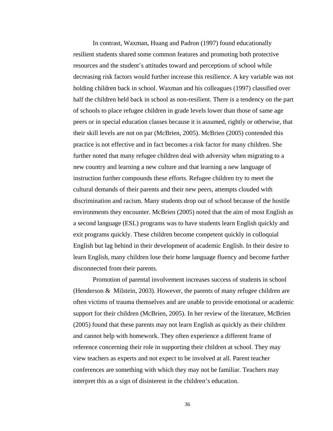In contrast, Waxman, Huang and Padron (1997) found educationally resilient students shared some common features and promoting both protective resources and the student's attitudes toward and perceptions of school while decreasing risk factors would further increase this resilience. A key variable was not holding children back in school. Waxman and his colleagues (1997) classified over half the children held back in school as non-resilient. There is a tendency on the part of schools to place refugee children in grade levels lower than those of same age peers or in special education classes because it is assumed, rightly or otherwise, that their skill levels are not on par (McBrien, 2005). McBrien (2005) contended this practice is not effective and in fact becomes a risk factor for many children. She further noted that many refugee children deal with adversity when migrating to a new country and learning a new culture and that learning a new language of instruction further compounds these efforts. Refugee children try to meet the cultural demands of their parents and their new peers, attempts clouded with discrimination and racism. Many students drop out of school because of the hostile environments they encounter. McBrien (2005) noted that the aim of most English as a second language (ESL) programs was to have students learn English quickly and exit programs quickly. These children become competent quickly in colloquial English but lag behind in their development of academic English. In their desire to learn English, many children lose their home language fluency and become further disconnected from their parents.

 Promotion of parental involvement increases success of students in school (Henderson  $\&$  Milstein, 2003). However, the parents of many refugee children are often victims of trauma themselves and are unable to provide emotional or academic support for their children (McBrien, 2005). In her review of the literature, McBrien (2005) found that these parents may not learn English as quickly as their children and cannot help with homework. They often experience a different frame of reference concerning their role in supporting their children at school. They may view teachers as experts and not expect to be involved at all. Parent teacher conferences are something with which they may not be familiar. Teachers may interpret this as a sign of disinterest in the children's education.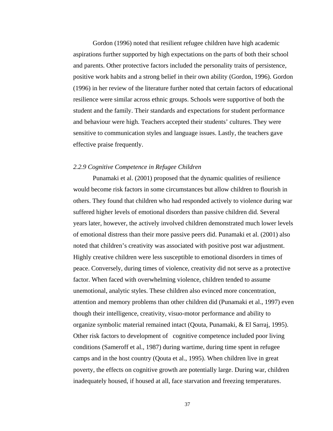Gordon (1996) noted that resilient refugee children have high academic aspirations further supported by high expectations on the parts of both their school and parents. Other protective factors included the personality traits of persistence, positive work habits and a strong belief in their own ability (Gordon, 1996). Gordon (1996) in her review of the literature further noted that certain factors of educational resilience were similar across ethnic groups. Schools were supportive of both the student and the family. Their standards and expectations for student performance and behaviour were high. Teachers accepted their students' cultures. They were sensitive to communication styles and language issues. Lastly, the teachers gave effective praise frequently.

#### *2.2.9 Cognitive Competence in Refugee Children*

Punamaki et al. (2001) proposed that the dynamic qualities of resilience would become risk factors in some circumstances but allow children to flourish in others. They found that children who had responded actively to violence during war suffered higher levels of emotional disorders than passive children did. Several years later, however, the actively involved children demonstrated much lower levels of emotional distress than their more passive peers did. Punamaki et al. (2001) also noted that children's creativity was associated with positive post war adjustment. Highly creative children were less susceptible to emotional disorders in times of peace. Conversely, during times of violence, creativity did not serve as a protective factor. When faced with overwhelming violence, children tended to assume unemotional, analytic styles. These children also evinced more concentration, attention and memory problems than other children did (Punamaki et al., 1997) even though their intelligence, creativity, visuo-motor performance and ability to organize symbolic material remained intact (Qouta, Punamaki, & El Sarraj, 1995). Other risk factors to development of cognitive competence included poor living conditions (Sameroff et al., 1987) during wartime, during time spent in refugee camps and in the host country (Qouta et al., 1995). When children live in great poverty, the effects on cognitive growth are potentially large. During war, children inadequately housed, if housed at all, face starvation and freezing temperatures.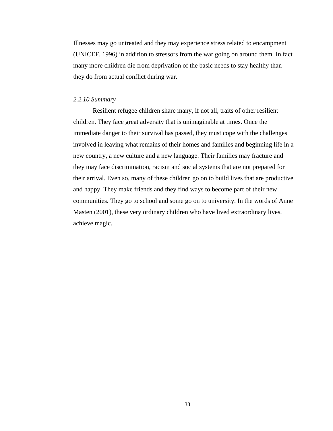Illnesses may go untreated and they may experience stress related to encampment (UNICEF, 1996) in addition to stressors from the war going on around them. In fact many more children die from deprivation of the basic needs to stay healthy than they do from actual conflict during war.

#### *2.2.10 Summary*

Resilient refugee children share many, if not all, traits of other resilient children. They face great adversity that is unimaginable at times. Once the immediate danger to their survival has passed, they must cope with the challenges involved in leaving what remains of their homes and families and beginning life in a new country, a new culture and a new language. Their families may fracture and they may face discrimination, racism and social systems that are not prepared for their arrival. Even so, many of these children go on to build lives that are productive and happy. They make friends and they find ways to become part of their new communities. They go to school and some go on to university. In the words of Anne Masten (2001), these very ordinary children who have lived extraordinary lives, achieve magic.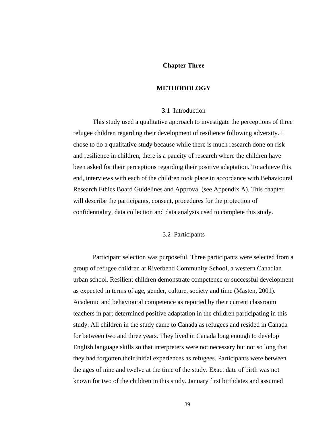## **Chapter Three**

#### **METHODOLOGY**

#### 3.1 Introduction

This study used a qualitative approach to investigate the perceptions of three refugee children regarding their development of resilience following adversity. I chose to do a qualitative study because while there is much research done on risk and resilience in children, there is a paucity of research where the children have been asked for their perceptions regarding their positive adaptation. To achieve this end, interviews with each of the children took place in accordance with Behavioural Research Ethics Board Guidelines and Approval (see Appendix A). This chapter will describe the participants, consent, procedures for the protection of confidentiality, data collection and data analysis used to complete this study.

## 3.2 Participants

 Participant selection was purposeful. Three participants were selected from a group of refugee children at Riverbend Community School, a western Canadian urban school. Resilient children demonstrate competence or successful development as expected in terms of age, gender, culture, society and time (Masten, 2001). Academic and behavioural competence as reported by their current classroom teachers in part determined positive adaptation in the children participating in this study. All children in the study came to Canada as refugees and resided in Canada for between two and three years. They lived in Canada long enough to develop English language skills so that interpreters were not necessary but not so long that they had forgotten their initial experiences as refugees. Participants were between the ages of nine and twelve at the time of the study. Exact date of birth was not known for two of the children in this study. January first birthdates and assumed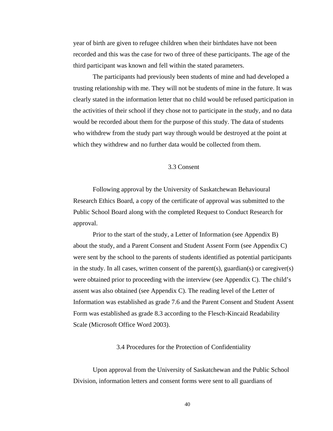year of birth are given to refugee children when their birthdates have not been recorded and this was the case for two of three of these participants. The age of the third participant was known and fell within the stated parameters.

The participants had previously been students of mine and had developed a trusting relationship with me. They will not be students of mine in the future. It was clearly stated in the information letter that no child would be refused participation in the activities of their school if they chose not to participate in the study, and no data would be recorded about them for the purpose of this study. The data of students who withdrew from the study part way through would be destroyed at the point at which they withdrew and no further data would be collected from them.

### 3.3 Consent

 Following approval by the University of Saskatchewan Behavioural Research Ethics Board, a copy of the certificate of approval was submitted to the Public School Board along with the completed Request to Conduct Research for approval.

 Prior to the start of the study, a Letter of Information (see Appendix B) about the study, and a Parent Consent and Student Assent Form (see Appendix C) were sent by the school to the parents of students identified as potential participants in the study. In all cases, written consent of the parent(s), guardian(s) or caregiver(s) were obtained prior to proceeding with the interview (see Appendix C). The child's assent was also obtained (see Appendix C). The reading level of the Letter of Information was established as grade 7.6 and the Parent Consent and Student Assent Form was established as grade 8.3 according to the Flesch-Kincaid Readability Scale (Microsoft Office Word 2003).

## 3.4 Procedures for the Protection of Confidentiality

 Upon approval from the University of Saskatchewan and the Public School Division, information letters and consent forms were sent to all guardians of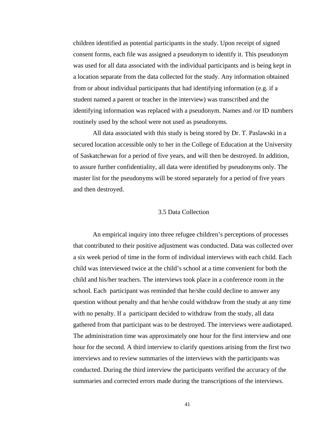children identified as potential participants in the study. Upon receipt of signed consent forms, each file was assigned a pseudonym to identify it. This pseudonym was used for all data associated with the individual participants and is being kept in a location separate from the data collected for the study. Any information obtained from or about individual participants that had identifying information (e.g. if a student named a parent or teacher in the interview) was transcribed and the identifying information was replaced with a pseudonym. Names and /or ID numbers routinely used by the school were not used as pseudonyms.

All data associated with this study is being stored by Dr. T. Paslawski in a secured location accessible only to her in the College of Education at the University of Saskatchewan for a period of five years, and will then be destroyed. In addition, to assure further confidentiality, all data were identified by pseudonyms only. The master list for the pseudonyms will be stored separately for a period of five years and then destroyed.

### 3.5 Data Collection

 An empirical inquiry into three refugee children's perceptions of processes that contributed to their positive adjustment was conducted. Data was collected over a six week period of time in the form of individual interviews with each child. Each child was interviewed twice at the child's school at a time convenient for both the child and his/her teachers. The interviews took place in a conference room in the school. Each participant was reminded that he/she could decline to answer any question without penalty and that he/she could withdraw from the study at any time with no penalty. If a participant decided to withdraw from the study, all data gathered from that participant was to be destroyed. The interviews were audiotaped. The administration time was approximately one hour for the first interview and one hour for the second. A third interview to clarify questions arising from the first two interviews and to review summaries of the interviews with the participants was conducted. During the third interview the participants verified the accuracy of the summaries and corrected errors made during the transcriptions of the interviews.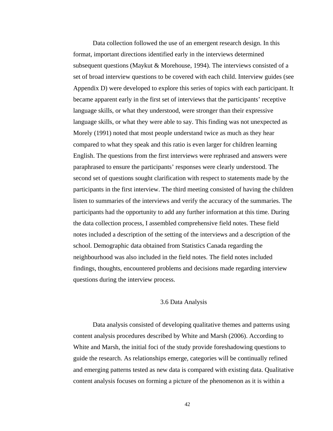Data collection followed the use of an emergent research design. In this format, important directions identified early in the interviews determined subsequent questions (Maykut & Morehouse, 1994). The interviews consisted of a set of broad interview questions to be covered with each child. Interview guides (see Appendix D) were developed to explore this series of topics with each participant. It became apparent early in the first set of interviews that the participants' receptive language skills, or what they understood, were stronger than their expressive language skills, or what they were able to say. This finding was not unexpected as Morely (1991) noted that most people understand twice as much as they hear compared to what they speak and this ratio is even larger for children learning English. The questions from the first interviews were rephrased and answers were paraphrased to ensure the participants' responses were clearly understood. The second set of questions sought clarification with respect to statements made by the participants in the first interview. The third meeting consisted of having the children listen to summaries of the interviews and verify the accuracy of the summaries. The participants had the opportunity to add any further information at this time. During the data collection process, I assembled comprehensive field notes. These field notes included a description of the setting of the interviews and a description of the school. Demographic data obtained from Statistics Canada regarding the neighbourhood was also included in the field notes. The field notes included findings, thoughts, encountered problems and decisions made regarding interview questions during the interview process.

## 3.6 Data Analysis

 Data analysis consisted of developing qualitative themes and patterns using content analysis procedures described by White and Marsh (2006). According to White and Marsh, the initial foci of the study provide foreshadowing questions to guide the research. As relationships emerge, categories will be continually refined and emerging patterns tested as new data is compared with existing data. Qualitative content analysis focuses on forming a picture of the phenomenon as it is within a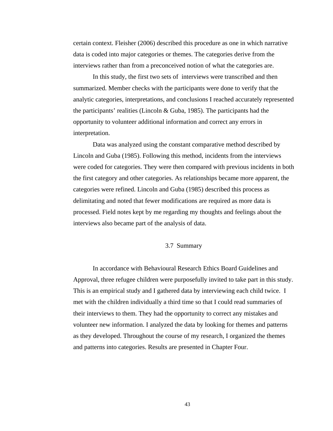certain context. Fleisher (2006) described this procedure as one in which narrative data is coded into major categories or themes. The categories derive from the interviews rather than from a preconceived notion of what the categories are.

In this study, the first two sets of interviews were transcribed and then summarized. Member checks with the participants were done to verify that the analytic categories, interpretations, and conclusions I reached accurately represented the participants' realities (Lincoln & Guba, 1985). The participants had the opportunity to volunteer additional information and correct any errors in interpretation.

Data was analyzed using the constant comparative method described by Lincoln and Guba (1985). Following this method, incidents from the interviews were coded for categories. They were then compared with previous incidents in both the first category and other categories. As relationships became more apparent, the categories were refined. Lincoln and Guba (1985) described this process as delimitating and noted that fewer modifications are required as more data is processed. Field notes kept by me regarding my thoughts and feelings about the interviews also became part of the analysis of data.

### 3.7 Summary

 In accordance with Behavioural Research Ethics Board Guidelines and Approval, three refugee children were purposefully invited to take part in this study. This is an empirical study and I gathered data by interviewing each child twice. I met with the children individually a third time so that I could read summaries of their interviews to them. They had the opportunity to correct any mistakes and volunteer new information. I analyzed the data by looking for themes and patterns as they developed. Throughout the course of my research, I organized the themes and patterns into categories. Results are presented in Chapter Four.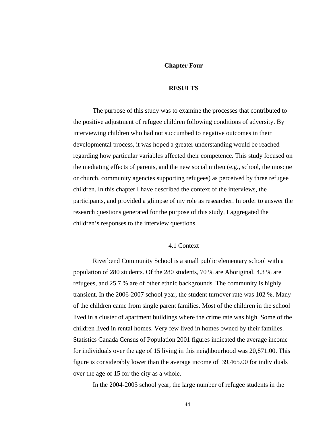#### **Chapter Four**

#### **RESULTS**

 The purpose of this study was to examine the processes that contributed to the positive adjustment of refugee children following conditions of adversity. By interviewing children who had not succumbed to negative outcomes in their developmental process, it was hoped a greater understanding would be reached regarding how particular variables affected their competence. This study focused on the mediating effects of parents, and the new social milieu (e.g., school, the mosque or church, community agencies supporting refugees) as perceived by three refugee children. In this chapter I have described the context of the interviews, the participants, and provided a glimpse of my role as researcher. In order to answer the research questions generated for the purpose of this study, I aggregated the children's responses to the interview questions.

## 4.1 Context

 Riverbend Community School is a small public elementary school with a population of 280 students. Of the 280 students, 70 % are Aboriginal, 4.3 % are refugees, and 25.7 % are of other ethnic backgrounds. The community is highly transient. In the 2006-2007 school year, the student turnover rate was 102 %. Many of the children came from single parent families. Most of the children in the school lived in a cluster of apartment buildings where the crime rate was high. Some of the children lived in rental homes. Very few lived in homes owned by their families. Statistics Canada Census of Population 2001 figures indicated the average income for individuals over the age of 15 living in this neighbourhood was 20,871.00. This figure is considerably lower than the average income of 39,465.00 for individuals over the age of 15 for the city as a whole.

In the 2004-2005 school year, the large number of refugee students in the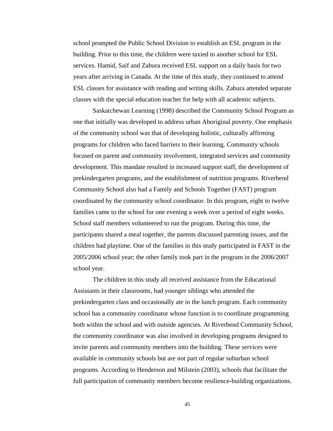school prompted the Public School Division to establish an ESL program in the building. Prior to this time, the children were taxied to another school for ESL services. Hamid, Saif and Zabura received ESL support on a daily basis for two years after arriving in Canada. At the time of this study, they continued to attend ESL classes for assistance with reading and writing skills. Zabura attended separate classes with the special education teacher for help with all academic subjects.

 Saskatchewan Learning (1998) described the Community School Program as one that initially was developed to address urban Aboriginal poverty. One emphasis of the community school was that of developing holistic, culturally affirming programs for children who faced barriers to their learning. Community schools focused on parent and community involvement, integrated services and community development. This mandate resulted in increased support staff, the development of prekindergarten programs, and the establishment of nutrition programs. Riverbend Community School also had a Family and Schools Together (FAST) program coordinated by the community school coordinator. In this program, eight to twelve families came to the school for one evening a week over a period of eight weeks. School staff members volunteered to run the program. During this time, the participants shared a meal together, the parents discussed parenting issues, and the children had playtime. One of the families in this study participated in FAST in the 2005/2006 school year; the other family took part in the program in the 2006/2007 school year.

 The children in this study all received assistance from the Educational Assistants in their classrooms, had younger siblings who attended the prekindergarten class and occasionally ate in the lunch program. Each community school has a community coordinator whose function is to coordinate programming both within the school and with outside agencies. At Riverbend Community School, the community coordinator was also involved in developing programs designed to invite parents and community members into the building. These services were available in community schools but are not part of regular suburban school programs. According to Henderson and Milstein (2003), schools that facilitate the full participation of community members become resilience-building organizations.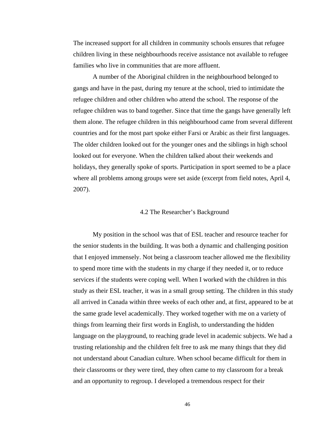The increased support for all children in community schools ensures that refugee children living in these neighbourhoods receive assistance not available to refugee families who live in communities that are more affluent.

 A number of the Aboriginal children in the neighbourhood belonged to gangs and have in the past, during my tenure at the school, tried to intimidate the refugee children and other children who attend the school. The response of the refugee children was to band together. Since that time the gangs have generally left them alone. The refugee children in this neighbourhood came from several different countries and for the most part spoke either Farsi or Arabic as their first languages. The older children looked out for the younger ones and the siblings in high school looked out for everyone. When the children talked about their weekends and holidays, they generally spoke of sports. Participation in sport seemed to be a place where all problems among groups were set aside (excerpt from field notes, April 4, 2007).

### 4.2 The Researcher's Background

 My position in the school was that of ESL teacher and resource teacher for the senior students in the building. It was both a dynamic and challenging position that I enjoyed immensely. Not being a classroom teacher allowed me the flexibility to spend more time with the students in my charge if they needed it, or to reduce services if the students were coping well. When I worked with the children in this study as their ESL teacher, it was in a small group setting. The children in this study all arrived in Canada within three weeks of each other and, at first, appeared to be at the same grade level academically. They worked together with me on a variety of things from learning their first words in English, to understanding the hidden language on the playground, to reaching grade level in academic subjects. We had a trusting relationship and the children felt free to ask me many things that they did not understand about Canadian culture. When school became difficult for them in their classrooms or they were tired, they often came to my classroom for a break and an opportunity to regroup. I developed a tremendous respect for their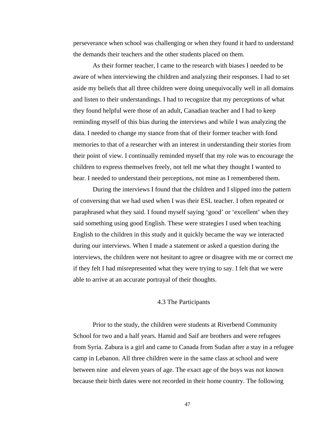perseverance when school was challenging or when they found it hard to understand the demands their teachers and the other students placed on them.

 As their former teacher, I came to the research with biases I needed to be aware of when interviewing the children and analyzing their responses. I had to set aside my beliefs that all three children were doing unequivocally well in all domains and listen to their understandings. I had to recognize that my perceptions of what they found helpful were those of an adult, Canadian teacher and I had to keep reminding myself of this bias during the interviews and while I was analyzing the data. I needed to change my stance from that of their former teacher with fond memories to that of a researcher with an interest in understanding their stories from their point of view. I continually reminded myself that my role was to encourage the children to express themselves freely, not tell me what they thought I wanted to hear. I needed to understand their perceptions, not mine as I remembered them.

 During the interviews I found that the children and I slipped into the pattern of conversing that we had used when I was their ESL teacher. I often repeated or paraphrased what they said. I found myself saying 'good' or 'excellent' when they said something using good English. These were strategies I used when teaching English to the children in this study and it quickly became the way we interacted during our interviews. When I made a statement or asked a question during the interviews, the children were not hesitant to agree or disagree with me or correct me if they felt I had misrepresented what they were trying to say. I felt that we were able to arrive at an accurate portrayal of their thoughts.

#### 4.3 The Participants

 Prior to the study, the children were students at Riverbend Community School for two and a half years. Hamid and Saif are brothers and were refugees from Syria. Zabura is a girl and came to Canada from Sudan after a stay in a refugee camp in Lebanon. All three children were in the same class at school and were between nine and eleven years of age. The exact age of the boys was not known because their birth dates were not recorded in their home country. The following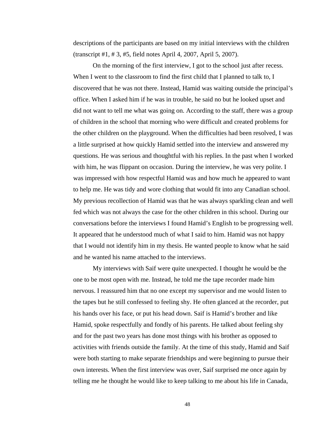descriptions of the participants are based on my initial interviews with the children (transcript #1, # 3, #5, field notes April 4, 2007, April 5, 2007).

 On the morning of the first interview, I got to the school just after recess. When I went to the classroom to find the first child that I planned to talk to, I discovered that he was not there. Instead, Hamid was waiting outside the principal's office. When I asked him if he was in trouble, he said no but he looked upset and did not want to tell me what was going on. According to the staff, there was a group of children in the school that morning who were difficult and created problems for the other children on the playground. When the difficulties had been resolved, I was a little surprised at how quickly Hamid settled into the interview and answered my questions. He was serious and thoughtful with his replies. In the past when I worked with him, he was flippant on occasion. During the interview, he was very polite. I was impressed with how respectful Hamid was and how much he appeared to want to help me. He was tidy and wore clothing that would fit into any Canadian school. My previous recollection of Hamid was that he was always sparkling clean and well fed which was not always the case for the other children in this school. During our conversations before the interviews I found Hamid's English to be progressing well. It appeared that he understood much of what I said to him. Hamid was not happy that I would not identify him in my thesis. He wanted people to know what he said and he wanted his name attached to the interviews.

 My interviews with Saif were quite unexpected. I thought he would be the one to be most open with me. Instead, he told me the tape recorder made him nervous. I reassured him that no one except my supervisor and me would listen to the tapes but he still confessed to feeling shy. He often glanced at the recorder, put his hands over his face, or put his head down. Saif is Hamid's brother and like Hamid, spoke respectfully and fondly of his parents. He talked about feeling shy and for the past two years has done most things with his brother as opposed to activities with friends outside the family. At the time of this study, Hamid and Saif were both starting to make separate friendships and were beginning to pursue their own interests. When the first interview was over, Saif surprised me once again by telling me he thought he would like to keep talking to me about his life in Canada,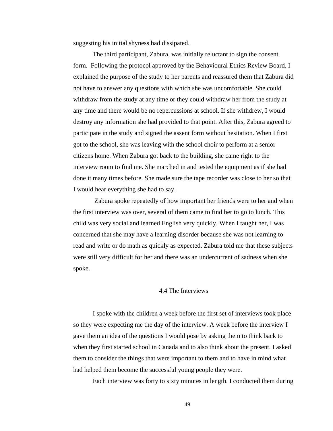suggesting his initial shyness had dissipated.

 The third participant, Zabura, was initially reluctant to sign the consent form. Following the protocol approved by the Behavioural Ethics Review Board, I explained the purpose of the study to her parents and reassured them that Zabura did not have to answer any questions with which she was uncomfortable. She could withdraw from the study at any time or they could withdraw her from the study at any time and there would be no repercussions at school. If she withdrew, I would destroy any information she had provided to that point. After this, Zabura agreed to participate in the study and signed the assent form without hesitation. When I first got to the school, she was leaving with the school choir to perform at a senior citizens home. When Zabura got back to the building, she came right to the interview room to find me. She marched in and tested the equipment as if she had done it many times before. She made sure the tape recorder was close to her so that I would hear everything she had to say.

 Zabura spoke repeatedly of how important her friends were to her and when the first interview was over, several of them came to find her to go to lunch. This child was very social and learned English very quickly. When I taught her, I was concerned that she may have a learning disorder because she was not learning to read and write or do math as quickly as expected. Zabura told me that these subjects were still very difficult for her and there was an undercurrent of sadness when she spoke.

## 4.4 The Interviews

 I spoke with the children a week before the first set of interviews took place so they were expecting me the day of the interview. A week before the interview I gave them an idea of the questions I would pose by asking them to think back to when they first started school in Canada and to also think about the present. I asked them to consider the things that were important to them and to have in mind what had helped them become the successful young people they were.

Each interview was forty to sixty minutes in length. I conducted them during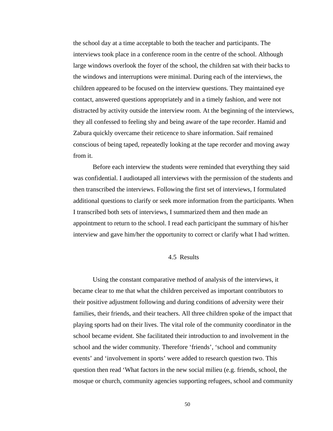the school day at a time acceptable to both the teacher and participants. The interviews took place in a conference room in the centre of the school. Although large windows overlook the foyer of the school, the children sat with their backs to the windows and interruptions were minimal. During each of the interviews, the children appeared to be focused on the interview questions. They maintained eye contact, answered questions appropriately and in a timely fashion, and were not distracted by activity outside the interview room. At the beginning of the interviews, they all confessed to feeling shy and being aware of the tape recorder. Hamid and Zabura quickly overcame their reticence to share information. Saif remained conscious of being taped, repeatedly looking at the tape recorder and moving away from it.

 Before each interview the students were reminded that everything they said was confidential. I audiotaped all interviews with the permission of the students and then transcribed the interviews. Following the first set of interviews, I formulated additional questions to clarify or seek more information from the participants. When I transcribed both sets of interviews, I summarized them and then made an appointment to return to the school. I read each participant the summary of his/her interview and gave him/her the opportunity to correct or clarify what I had written.

#### 4.5 Results

 Using the constant comparative method of analysis of the interviews, it became clear to me that what the children perceived as important contributors to their positive adjustment following and during conditions of adversity were their families, their friends, and their teachers. All three children spoke of the impact that playing sports had on their lives. The vital role of the community coordinator in the school became evident. She facilitated their introduction to and involvement in the school and the wider community. Therefore 'friends', 'school and community events' and 'involvement in sports' were added to research question two. This question then read 'What factors in the new social milieu (e.g. friends, school, the mosque or church, community agencies supporting refugees, school and community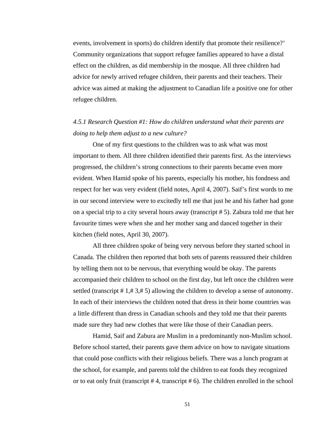events, involvement in sports) do children identify that promote their resilience?' Community organizations that support refugee families appeared to have a distal effect on the children, as did membership in the mosque. All three children had advice for newly arrived refugee children, their parents and their teachers. Their advice was aimed at making the adjustment to Canadian life a positive one for other refugee children.

## *4.5.1 Research Question #1: How do children understand what their parents are doing to help them adjust to a new culture?*

One of my first questions to the children was to ask what was most important to them. All three children identified their parents first. As the interviews progressed, the children's strong connections to their parents became even more evident. When Hamid spoke of his parents, especially his mother, his fondness and respect for her was very evident (field notes, April 4, 2007). Saif's first words to me in our second interview were to excitedly tell me that just he and his father had gone on a special trip to a city several hours away (transcript # 5). Zabura told me that her favourite times were when she and her mother sang and danced together in their kitchen (field notes, April 30, 2007).

 All three children spoke of being very nervous before they started school in Canada. The children then reported that both sets of parents reassured their children by telling them not to be nervous, that everything would be okay. The parents accompanied their children to school on the first day, but left once the children were settled (transcript # 1,# 3,# 5) allowing the children to develop a sense of autonomy. In each of their interviews the children noted that dress in their home countries was a little different than dress in Canadian schools and they told me that their parents made sure they had new clothes that were like those of their Canadian peers.

 Hamid, Saif and Zabura are Muslim in a predominantly non-Muslim school. Before school started, their parents gave them advice on how to navigate situations that could pose conflicts with their religious beliefs. There was a lunch program at the school, for example, and parents told the children to eat foods they recognized or to eat only fruit (transcript # 4, transcript # 6). The children enrolled in the school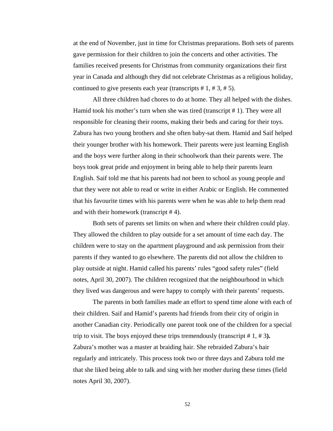at the end of November, just in time for Christmas preparations. Both sets of parents gave permission for their children to join the concerts and other activities. The families received presents for Christmas from community organizations their first year in Canada and although they did not celebrate Christmas as a religious holiday, continued to give presents each year (transcripts  $# 1, # 3, # 5$ ).

 All three children had chores to do at home. They all helped with the dishes. Hamid took his mother's turn when she was tired (transcript # 1). They were all responsible for cleaning their rooms, making their beds and caring for their toys. Zabura has two young brothers and she often baby-sat them. Hamid and Saif helped their younger brother with his homework. Their parents were just learning English and the boys were further along in their schoolwork than their parents were. The boys took great pride and enjoyment in being able to help their parents learn English. Saif told me that his parents had not been to school as young people and that they were not able to read or write in either Arabic or English. He commented that his favourite times with his parents were when he was able to help them read and with their homework (transcript # 4).

 Both sets of parents set limits on when and where their children could play. They allowed the children to play outside for a set amount of time each day. The children were to stay on the apartment playground and ask permission from their parents if they wanted to go elsewhere. The parents did not allow the children to play outside at night. Hamid called his parents' rules "good safety rules" (field notes, April 30, 2007). The children recognized that the neighbourhood in which they lived was dangerous and were happy to comply with their parents' requests.

 The parents in both families made an effort to spend time alone with each of their children. Saif and Hamid's parents had friends from their city of origin in another Canadian city. Periodically one parent took one of the children for a special trip to visit. The boys enjoyed these trips tremendously (transcript # 1, # 3**).**  Zabura's mother was a master at braiding hair. She rebraided Zabura's hair regularly and intricately. This process took two or three days and Zabura told me that she liked being able to talk and sing with her mother during these times (field notes April 30, 2007).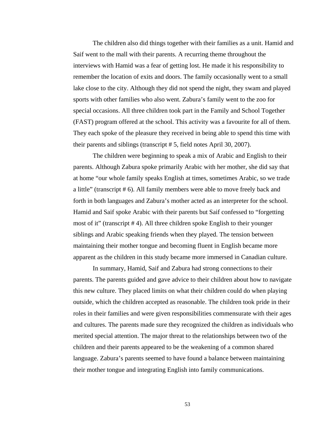The children also did things together with their families as a unit. Hamid and Saif went to the mall with their parents. A recurring theme throughout the interviews with Hamid was a fear of getting lost. He made it his responsibility to remember the location of exits and doors. The family occasionally went to a small lake close to the city. Although they did not spend the night, they swam and played sports with other families who also went. Zabura's family went to the zoo for special occasions. All three children took part in the Family and School Together (FAST) program offered at the school. This activity was a favourite for all of them. They each spoke of the pleasure they received in being able to spend this time with their parents and siblings (transcript # 5, field notes April 30, 2007).

 The children were beginning to speak a mix of Arabic and English to their parents. Although Zabura spoke primarily Arabic with her mother, she did say that at home "our whole family speaks English at times, sometimes Arabic, so we trade a little" (transcript # 6). All family members were able to move freely back and forth in both languages and Zabura's mother acted as an interpreter for the school. Hamid and Saif spoke Arabic with their parents but Saif confessed to "forgetting most of it" (transcript # 4). All three children spoke English to their younger siblings and Arabic speaking friends when they played. The tension between maintaining their mother tongue and becoming fluent in English became more apparent as the children in this study became more immersed in Canadian culture.

 In summary, Hamid, Saif and Zabura had strong connections to their parents. The parents guided and gave advice to their children about how to navigate this new culture. They placed limits on what their children could do when playing outside, which the children accepted as reasonable. The children took pride in their roles in their families and were given responsibilities commensurate with their ages and cultures. The parents made sure they recognized the children as individuals who merited special attention. The major threat to the relationships between two of the children and their parents appeared to be the weakening of a common shared language. Zabura's parents seemed to have found a balance between maintaining their mother tongue and integrating English into family communications.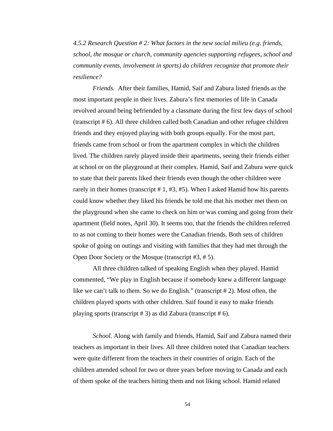*4.5.2 Research Question # 2: What factors in the new social milieu (e.g. friends, school, the mosque or church, community agencies supporting refugees, school and community events, involvement in sports) do children recognize that promote their resilience?* 

 *Friends.* After their families, Hamid, Saif and Zabura listed friends as the most important people in their lives. Zabura's first memories of life in Canada revolved around being befriended by a classmate during the first few days of school (transcript # 6). All three children called both Canadian and other refugee children friends and they enjoyed playing with both groups equally. For the most part, friends came from school or from the apartment complex in which the children lived. The children rarely played inside their apartments, seeing their friends either at school or on the playground at their complex. Hamid, Saif and Zabura were quick to state that their parents liked their friends even though the other children were rarely in their homes (transcript # 1, #3, #5). When I asked Hamid how his parents could know whether they liked his friends he told me that his mother met them on the playground when she came to check on him or was coming and going from their apartment (field notes, April 30). It seems too, that the friends the children referred to as not coming to their homes were the Canadian friends. Both sets of children spoke of going on outings and visiting with families that they had met through the Open Door Society or the Mosque (transcript #3, # 5).

 All three children talked of speaking English when they played. Hamid commented, "We play in English because if somebody knew a different language like we can't talk to them. So we do English." (transcript # 2). Most often, the children played sports with other children. Saif found it easy to make friends playing sports (transcript # 3) as did Zabura (transcript # 6).

 *School.* Along with family and friends, Hamid, Saif and Zabura named their teachers as important in their lives. All three children noted that Canadian teachers were quite different from the teachers in their countries of origin. Each of the children attended school for two or three years before moving to Canada and each of them spoke of the teachers hitting them and not liking school. Hamid related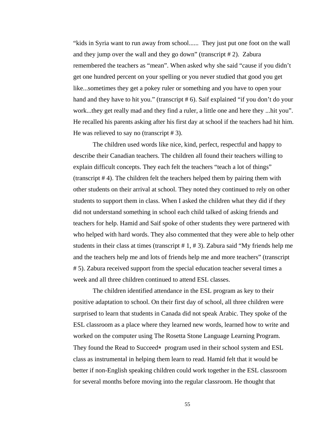"kids in Syria want to run away from school...... They just put one foot on the wall and they jump over the wall and they go down" (transcript # 2). Zabura remembered the teachers as "mean". When asked why she said "cause if you didn't get one hundred percent on your spelling or you never studied that good you get like...sometimes they get a pokey ruler or something and you have to open your hand and they have to hit you." (transcript #6). Saif explained "if you don't do your work...they get really mad and they find a ruler, a little one and here they ...hit you". He recalled his parents asking after his first day at school if the teachers had hit him. He was relieved to say no (transcript # 3).

 The children used words like nice, kind, perfect, respectful and happy to describe their Canadian teachers. The children all found their teachers willing to explain difficult concepts. They each felt the teachers "teach a lot of things" (transcript # 4). The children felt the teachers helped them by pairing them with other students on their arrival at school. They noted they continued to rely on other students to support them in class. When I asked the children what they did if they did not understand something in school each child talked of asking friends and teachers for help. Hamid and Saif spoke of other students they were partnered with who helped with hard words. They also commented that they were able to help other students in their class at times (transcript # 1, # 3). Zabura said "My friends help me and the teachers help me and lots of friends help me and more teachers" (transcript # 5). Zabura received support from the special education teacher several times a week and all three children continued to attend ESL classes.

The children identified attendance in the ESL program as key to their positive adaptation to school. On their first day of school, all three children were surprised to learn that students in Canada did not speak Arabic. They spoke of the ESL classroom as a place where they learned new words, learned how to write and worked on the computer using The Rosetta Stone Language Learning Program. They found the Read to Succeed∗ program used in their school system and ESL class as instrumental in helping them learn to read. Hamid felt that it would be better if non-English speaking children could work together in the ESL classroom for several months before moving into the regular classroom. He thought that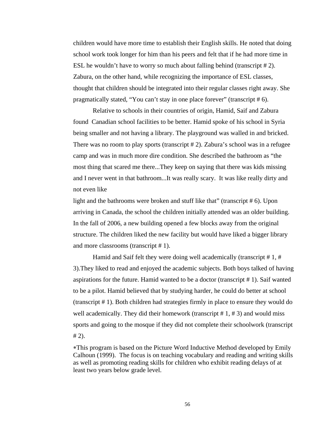children would have more time to establish their English skills. He noted that doing school work took longer for him than his peers and felt that if he had more time in ESL he wouldn't have to worry so much about falling behind (transcript # 2). Zabura, on the other hand, while recognizing the importance of ESL classes, thought that children should be integrated into their regular classes right away. She pragmatically stated, "You can't stay in one place forever" (transcript # 6).

 Relative to schools in their countries of origin, Hamid, Saif and Zabura found Canadian school facilities to be better. Hamid spoke of his school in Syria being smaller and not having a library. The playground was walled in and bricked. There was no room to play sports (transcript # 2). Zabura's school was in a refugee camp and was in much more dire condition. She described the bathroom as "the most thing that scared me there...They keep on saying that there was kids missing and I never went in that bathroom...It was really scary. It was like really dirty and not even like

light and the bathrooms were broken and stuff like that" (transcript  $# 6$ ). Upon arriving in Canada, the school the children initially attended was an older building. In the fall of 2006, a new building opened a few blocks away from the original structure. The children liked the new facility but would have liked a bigger library and more classrooms (transcript # 1).

Hamid and Saif felt they were doing well academically (transcript  $# 1, #$ 3).They liked to read and enjoyed the academic subjects. Both boys talked of having aspirations for the future. Hamid wanted to be a doctor (transcript # 1). Saif wanted to be a pilot. Hamid believed that by studying harder, he could do better at school (transcript # 1). Both children had strategies firmly in place to ensure they would do well academically. They did their homework (transcript  $# 1, # 3$ ) and would miss sports and going to the mosque if they did not complete their schoolwork (transcript  $# 2$ ).

∗This program is based on the Picture Word Inductive Method developed by Emily Calhoun (1999). The focus is on teaching vocabulary and reading and writing skills as well as promoting reading skills for children who exhibit reading delays of at least two years below grade level.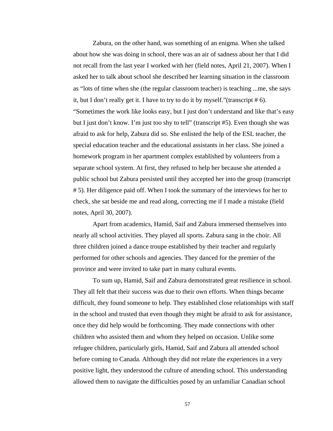Zabura, on the other hand, was something of an enigma. When she talked about how she was doing in school, there was an air of sadness about her that I did not recall from the last year I worked with her (field notes, April 21, 2007). When I asked her to talk about school she described her learning situation in the classroom as "lots of time when she (the regular classroom teacher) is teaching ...me, she says it, but I don't really get it. I have to try to do it by myself."(transcript # 6). "Sometimes the work like looks easy, but I just don't understand and like that's easy but I just don't know. I'm just too shy to tell" (transcript #5). Even though she was afraid to ask for help, Zabura did so. She enlisted the help of the ESL teacher, the special education teacher and the educational assistants in her class. She joined a homework program in her apartment complex established by volunteers from a separate school system. At first, they refused to help her because she attended a public school but Zabura persisted until they accepted her into the group (transcript # 5). Her diligence paid off. When I took the summary of the interviews for her to check, she sat beside me and read along, correcting me if I made a mistake (field notes, April 30, 2007).

 Apart from academics, Hamid, Saif and Zabura immersed themselves into nearly all school activities. They played all sports. Zabura sang in the choir. All three children joined a dance troupe established by their teacher and regularly performed for other schools and agencies. They danced for the premier of the province and were invited to take part in many cultural events.

 To sum up, Hamid, Saif and Zabura demonstrated great resilience in school. They all felt that their success was due to their own efforts. When things became difficult, they found someone to help. They established close relationships with staff in the school and trusted that even though they might be afraid to ask for assistance, once they did help would be forthcoming. They made connections with other children who assisted them and whom they helped on occasion. Unlike some refugee children, particularly girls, Hamid, Saif and Zabura all attended school before coming to Canada. Although they did not relate the experiences in a very positive light, they understood the culture of attending school. This understanding allowed them to navigate the difficulties posed by an unfamiliar Canadian school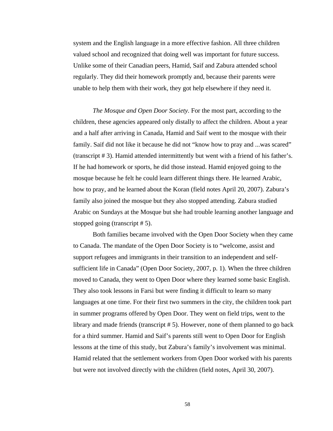system and the English language in a more effective fashion. All three children valued school and recognized that doing well was important for future success. Unlike some of their Canadian peers, Hamid, Saif and Zabura attended school regularly. They did their homework promptly and, because their parents were unable to help them with their work, they got help elsewhere if they need it.

 *The Mosque and Open Door Society.* For the most part, according to the children, these agencies appeared only distally to affect the children. About a year and a half after arriving in Canada, Hamid and Saif went to the mosque with their family. Saif did not like it because he did not "know how to pray and ...was scared" (transcript # 3). Hamid attended intermittently but went with a friend of his father's. If he had homework or sports, he did those instead. Hamid enjoyed going to the mosque because he felt he could learn different things there. He learned Arabic, how to pray, and he learned about the Koran (field notes April 20, 2007). Zabura's family also joined the mosque but they also stopped attending. Zabura studied Arabic on Sundays at the Mosque but she had trouble learning another language and stopped going (transcript # 5).

 Both families became involved with the Open Door Society when they came to Canada. The mandate of the Open Door Society is to "welcome, assist and support refugees and immigrants in their transition to an independent and selfsufficient life in Canada" (Open Door Society, 2007, p. 1). When the three children moved to Canada, they went to Open Door where they learned some basic English. They also took lessons in Farsi but were finding it difficult to learn so many languages at one time. For their first two summers in the city, the children took part in summer programs offered by Open Door. They went on field trips, went to the library and made friends (transcript # 5). However, none of them planned to go back for a third summer. Hamid and Saif's parents still went to Open Door for English lessons at the time of this study, but Zabura's family's involvement was minimal. Hamid related that the settlement workers from Open Door worked with his parents but were not involved directly with the children (field notes, April 30, 2007).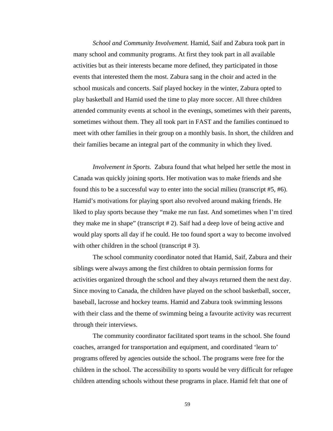*School and Community Involvement*. Hamid, Saif and Zabura took part in many school and community programs. At first they took part in all available activities but as their interests became more defined, they participated in those events that interested them the most. Zabura sang in the choir and acted in the school musicals and concerts. Saif played hockey in the winter, Zabura opted to play basketball and Hamid used the time to play more soccer. All three children attended community events at school in the evenings, sometimes with their parents, sometimes without them. They all took part in FAST and the families continued to meet with other families in their group on a monthly basis. In short, the children and their families became an integral part of the community in which they lived.

 *Involvement in Sports.* Zabura found that what helped her settle the most in Canada was quickly joining sports. Her motivation was to make friends and she found this to be a successful way to enter into the social milieu (transcript #5, #6). Hamid's motivations for playing sport also revolved around making friends. He liked to play sports because they "make me run fast. And sometimes when I'm tired they make me in shape" (transcript # 2). Saif had a deep love of being active and would play sports all day if he could. He too found sport a way to become involved with other children in the school (transcript # 3).

 The school community coordinator noted that Hamid, Saif, Zabura and their siblings were always among the first children to obtain permission forms for activities organized through the school and they always returned them the next day. Since moving to Canada, the children have played on the school basketball, soccer, baseball, lacrosse and hockey teams. Hamid and Zabura took swimming lessons with their class and the theme of swimming being a favourite activity was recurrent through their interviews.

 The community coordinator facilitated sport teams in the school. She found coaches, arranged for transportation and equipment, and coordinated 'learn to' programs offered by agencies outside the school. The programs were free for the children in the school. The accessibility to sports would be very difficult for refugee children attending schools without these programs in place. Hamid felt that one of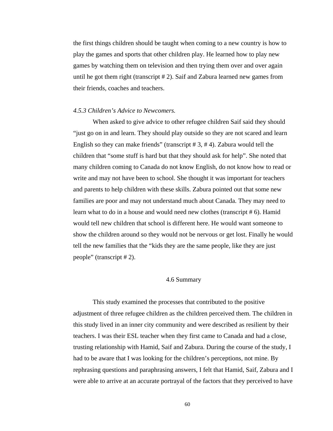the first things children should be taught when coming to a new country is how to play the games and sports that other children play. He learned how to play new games by watching them on television and then trying them over and over again until he got them right (transcript # 2). Saif and Zabura learned new games from their friends, coaches and teachers.

### *4.5.3 Children's Advice to Newcomers.*

 When asked to give advice to other refugee children Saif said they should "just go on in and learn. They should play outside so they are not scared and learn English so they can make friends" (transcript # 3, # 4). Zabura would tell the children that "some stuff is hard but that they should ask for help". She noted that many children coming to Canada do not know English, do not know how to read or write and may not have been to school. She thought it was important for teachers and parents to help children with these skills. Zabura pointed out that some new families are poor and may not understand much about Canada. They may need to learn what to do in a house and would need new clothes (transcript # 6). Hamid would tell new children that school is different here. He would want someone to show the children around so they would not be nervous or get lost. Finally he would tell the new families that the "kids they are the same people, like they are just people" (transcript # 2).

## 4.6 Summary

 This study examined the processes that contributed to the positive adjustment of three refugee children as the children perceived them. The children in this study lived in an inner city community and were described as resilient by their teachers. I was their ESL teacher when they first came to Canada and had a close, trusting relationship with Hamid, Saif and Zabura. During the course of the study, I had to be aware that I was looking for the children's perceptions, not mine. By rephrasing questions and paraphrasing answers, I felt that Hamid, Saif, Zabura and I were able to arrive at an accurate portrayal of the factors that they perceived to have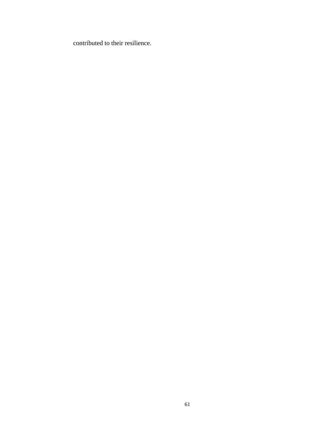contributed to their resilience.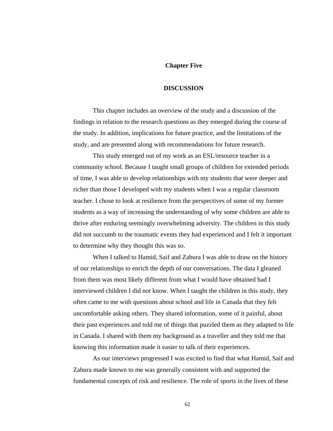#### **Chapter Five**

#### **DISCUSSION**

 This chapter includes an overview of the study and a discussion of the findings in relation to the research questions as they emerged during the course of the study. In addition, implications for future practice, and the limitations of the study, and are presented along with recommendations for future research.

 This study emerged out of my work as an ESL/resource teacher in a community school. Because I taught small groups of children for extended periods of time, I was able to develop relationships with my students that were deeper and richer than those I developed with my students when I was a regular classroom teacher. I chose to look at resilience from the perspectives of some of my former students as a way of increasing the understanding of why some children are able to thrive after enduring seemingly overwhelming adversity. The children in this study did not succumb to the traumatic events they had experienced and I felt it important to determine why they thought this was so.

 When I talked to Hamid, Saif and Zabura I was able to draw on the history of our relationships to enrich the depth of our conversations. The data I gleaned from them was most likely different from what I would have obtained had I interviewed children I did not know. When I taught the children in this study, they often came to me with questions about school and life in Canada that they felt uncomfortable asking others. They shared information, some of it painful, about their past experiences and told me of things that puzzled them as they adapted to life in Canada. I shared with them my background as a traveller and they told me that knowing this information made it easier to talk of their experiences.

 As our interviews progressed I was excited to find that what Hamid, Saif and Zabura made known to me was generally consistent with and supported the fundamental concepts of risk and resilience. The role of sports in the lives of these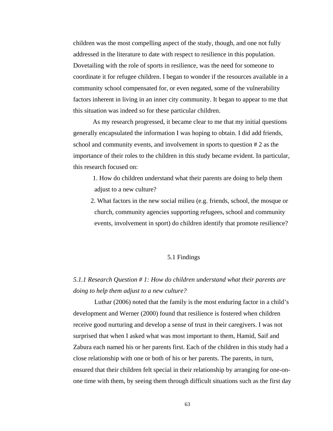children was the most compelling aspect of the study, though, and one not fully addressed in the literature to date with respect to resilience in this population. Dovetailing with the role of sports in resilience, was the need for someone to coordinate it for refugee children. I began to wonder if the resources available in a community school compensated for, or even negated, some of the vulnerability factors inherent in living in an inner city community. It began to appear to me that this situation was indeed so for these particular children.

 As my research progressed, it became clear to me that my initial questions generally encapsulated the information I was hoping to obtain. I did add friends, school and community events, and involvement in sports to question # 2 as the importance of their roles to the children in this study became evident. In particular, this research focused on:

 1. How do children understand what their parents are doing to help them adjust to a new culture?

 2. What factors in the new social milieu (e.g. friends, school, the mosque or church, community agencies supporting refugees, school and community events, involvement in sport) do children identify that promote resilience?

## 5.1 Findings

# *5.1.1 Research Question # 1: How do children understand what their parents are doing to help them adjust to a new culture?*

 Luthar (2006) noted that the family is the most enduring factor in a child's development and Werner (2000) found that resilience is fostered when children receive good nurturing and develop a sense of trust in their caregivers. I was not surprised that when I asked what was most important to them, Hamid, Saif and Zabura each named his or her parents first. Each of the children in this study had a close relationship with one or both of his or her parents. The parents, in turn, ensured that their children felt special in their relationship by arranging for one-onone time with them, by seeing them through difficult situations such as the first day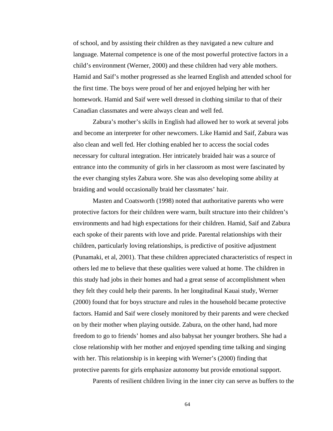of school, and by assisting their children as they navigated a new culture and language. Maternal competence is one of the most powerful protective factors in a child's environment (Werner, 2000) and these children had very able mothers. Hamid and Saif's mother progressed as she learned English and attended school for the first time. The boys were proud of her and enjoyed helping her with her homework. Hamid and Saif were well dressed in clothing similar to that of their Canadian classmates and were always clean and well fed.

 Zabura's mother's skills in English had allowed her to work at several jobs and become an interpreter for other newcomers. Like Hamid and Saif, Zabura was also clean and well fed. Her clothing enabled her to access the social codes necessary for cultural integration. Her intricately braided hair was a source of entrance into the community of girls in her classroom as most were fascinated by the ever changing styles Zabura wore. She was also developing some ability at braiding and would occasionally braid her classmates' hair.

 Masten and Coatsworth (1998) noted that authoritative parents who were protective factors for their children were warm, built structure into their children's environments and had high expectations for their children. Hamid, Saif and Zabura each spoke of their parents with love and pride. Parental relationships with their children, particularly loving relationships, is predictive of positive adjustment (Punamaki, et al, 2001). That these children appreciated characteristics of respect in others led me to believe that these qualities were valued at home. The children in this study had jobs in their homes and had a great sense of accomplishment when they felt they could help their parents. In her longitudinal Kauai study, Werner (2000) found that for boys structure and rules in the household became protective factors. Hamid and Saif were closely monitored by their parents and were checked on by their mother when playing outside. Zabura, on the other hand, had more freedom to go to friends' homes and also babysat her younger brothers. She had a close relationship with her mother and enjoyed spending time talking and singing with her. This relationship is in keeping with Werner's (2000) finding that protective parents for girls emphasize autonomy but provide emotional support.

Parents of resilient children living in the inner city can serve as buffers to the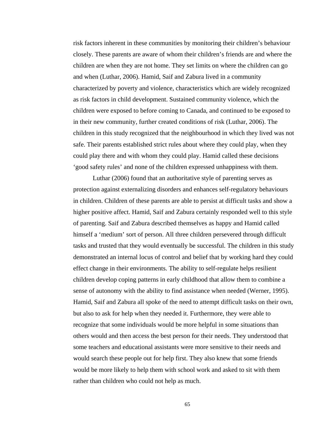risk factors inherent in these communities by monitoring their children's behaviour closely. These parents are aware of whom their children's friends are and where the children are when they are not home. They set limits on where the children can go and when (Luthar, 2006). Hamid, Saif and Zabura lived in a community characterized by poverty and violence, characteristics which are widely recognized as risk factors in child development. Sustained community violence, which the children were exposed to before coming to Canada, and continued to be exposed to in their new community, further created conditions of risk (Luthar, 2006). The children in this study recognized that the neighbourhood in which they lived was not safe. Their parents established strict rules about where they could play, when they could play there and with whom they could play. Hamid called these decisions 'good safety rules' and none of the children expressed unhappiness with them.

 Luthar (2006) found that an authoritative style of parenting serves as protection against externalizing disorders and enhances self-regulatory behaviours in children. Children of these parents are able to persist at difficult tasks and show a higher positive affect. Hamid, Saif and Zabura certainly responded well to this style of parenting. Saif and Zabura described themselves as happy and Hamid called himself a 'medium' sort of person. All three children persevered through difficult tasks and trusted that they would eventually be successful. The children in this study demonstrated an internal locus of control and belief that by working hard they could effect change in their environments. The ability to self-regulate helps resilient children develop coping patterns in early childhood that allow them to combine a sense of autonomy with the ability to find assistance when needed (Werner, 1995). Hamid, Saif and Zabura all spoke of the need to attempt difficult tasks on their own, but also to ask for help when they needed it. Furthermore, they were able to recognize that some individuals would be more helpful in some situations than others would and then access the best person for their needs. They understood that some teachers and educational assistants were more sensitive to their needs and would search these people out for help first. They also knew that some friends would be more likely to help them with school work and asked to sit with them rather than children who could not help as much.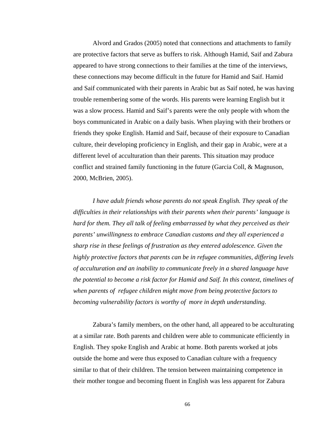Alvord and Grados (2005) noted that connections and attachments to family are protective factors that serve as buffers to risk. Although Hamid, Saif and Zabura appeared to have strong connections to their families at the time of the interviews, these connections may become difficult in the future for Hamid and Saif. Hamid and Saif communicated with their parents in Arabic but as Saif noted, he was having trouble remembering some of the words. His parents were learning English but it was a slow process. Hamid and Saif's parents were the only people with whom the boys communicated in Arabic on a daily basis. When playing with their brothers or friends they spoke English. Hamid and Saif, because of their exposure to Canadian culture, their developing proficiency in English, and their gap in Arabic, were at a different level of acculturation than their parents. This situation may produce conflict and strained family functioning in the future (Garcia Coll, & Magnuson, 2000, McBrien, 2005).

 *I have adult friends whose parents do not speak English. They speak of the difficulties in their relationships with their parents when their parents' language is hard for them. They all talk of feeling embarrassed by what they perceived as their parents' unwillingness to embrace Canadian customs and they all experienced a sharp rise in these feelings of frustration as they entered adolescence. Given the highly protective factors that parents can be in refugee communities, differing levels of acculturation and an inability to communicate freely in a shared language have the potential to become a risk factor for Hamid and Saif. In this context, timelines of when parents of refugee children might move from being protective factors to becoming vulnerability factors is worthy of more in depth understanding*.

 Zabura's family members, on the other hand, all appeared to be acculturating at a similar rate. Both parents and children were able to communicate efficiently in English. They spoke English and Arabic at home. Both parents worked at jobs outside the home and were thus exposed to Canadian culture with a frequency similar to that of their children. The tension between maintaining competence in their mother tongue and becoming fluent in English was less apparent for Zabura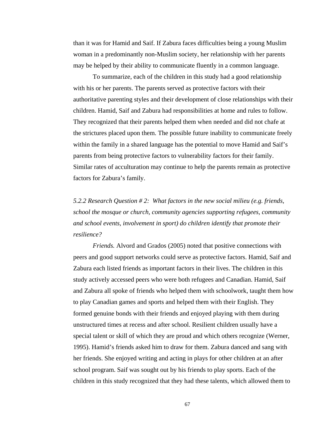than it was for Hamid and Saif. If Zabura faces difficulties being a young Muslim woman in a predominantly non-Muslim society, her relationship with her parents may be helped by their ability to communicate fluently in a common language.

 To summarize, each of the children in this study had a good relationship with his or her parents. The parents served as protective factors with their authoritative parenting styles and their development of close relationships with their children. Hamid, Saif and Zabura had responsibilities at home and rules to follow. They recognized that their parents helped them when needed and did not chafe at the strictures placed upon them. The possible future inability to communicate freely within the family in a shared language has the potential to move Hamid and Saif's parents from being protective factors to vulnerability factors for their family. Similar rates of acculturation may continue to help the parents remain as protective factors for Zabura's family.

*5.2.2 Research Question # 2: What factors in the new social milieu (e.g. friends, school the mosque or church, community agencies supporting refugees, community and school events, involvement in sport) do children identify that promote their resilience?* 

 *Friends.* Alvord and Grados (2005) noted that positive connections with peers and good support networks could serve as protective factors. Hamid, Saif and Zabura each listed friends as important factors in their lives. The children in this study actively accessed peers who were both refugees and Canadian. Hamid, Saif and Zabura all spoke of friends who helped them with schoolwork, taught them how to play Canadian games and sports and helped them with their English. They formed genuine bonds with their friends and enjoyed playing with them during unstructured times at recess and after school. Resilient children usually have a special talent or skill of which they are proud and which others recognize (Werner, 1995). Hamid's friends asked him to draw for them. Zabura danced and sang with her friends. She enjoyed writing and acting in plays for other children at an after school program. Saif was sought out by his friends to play sports. Each of the children in this study recognized that they had these talents, which allowed them to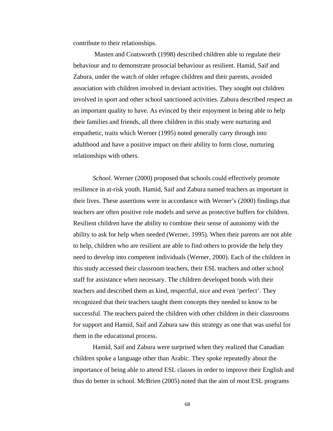contribute to their relationships.

 Masten and Coatsworth (1998) described children able to regulate their behaviour and to demonstrate prosocial behaviour as resilient. Hamid, Saif and Zabura, under the watch of older refugee children and their parents, avoided association with children involved in deviant activities. They sought out children involved in sport and other school sanctioned activities. Zabura described respect as an important quality to have. As evinced by their enjoyment in being able to help their families and friends, all three children in this study were nurturing and empathetic, traits which Werner (1995) noted generally carry through into adulthood and have a positive impact on their ability to form close, nurturing relationships with others.

 *School.* Werner (2000) proposed that schools could effectively promote resilience in at-risk youth. Hamid, Saif and Zabura named teachers as important in their lives. These assertions were in accordance with Werner's (2000) findings that teachers are often positive role models and serve as protective buffers for children. Resilient children have the ability to combine their sense of autonomy with the ability to ask for help when needed (Werner, 1995). When their parents are not able to help, children who are resilient are able to find others to provide the help they need to develop into competent individuals (Werner, 2000). Each of the children in this study accessed their classroom teachers, their ESL teachers and other school staff for assistance when necessary. The children developed bonds with their teachers and described them as kind, respectful, nice and even 'perfect'. They recognized that their teachers taught them concepts they needed to know to be successful. The teachers paired the children with other children in their classrooms for support and Hamid, Saif and Zabura saw this strategy as one that was useful for them in the educational process.

 Hamid, Saif and Zabura were surprised when they realized that Canadian children spoke a language other than Arabic. They spoke repeatedly about the importance of being able to attend ESL classes in order to improve their English and thus do better in school. McBrien (2005) noted that the aim of most ESL programs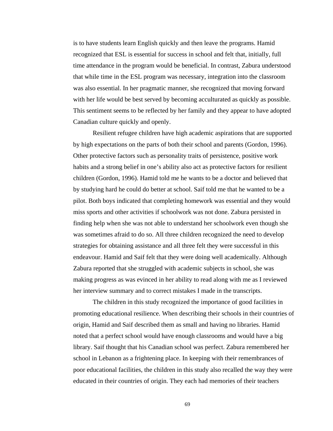is to have students learn English quickly and then leave the programs. Hamid recognized that ESL is essential for success in school and felt that, initially, full time attendance in the program would be beneficial. In contrast, Zabura understood that while time in the ESL program was necessary, integration into the classroom was also essential. In her pragmatic manner, she recognized that moving forward with her life would be best served by becoming acculturated as quickly as possible. This sentiment seems to be reflected by her family and they appear to have adopted Canadian culture quickly and openly.

 Resilient refugee children have high academic aspirations that are supported by high expectations on the parts of both their school and parents (Gordon, 1996). Other protective factors such as personality traits of persistence, positive work habits and a strong belief in one's ability also act as protective factors for resilient children (Gordon, 1996). Hamid told me he wants to be a doctor and believed that by studying hard he could do better at school. Saif told me that he wanted to be a pilot. Both boys indicated that completing homework was essential and they would miss sports and other activities if schoolwork was not done. Zabura persisted in finding help when she was not able to understand her schoolwork even though she was sometimes afraid to do so. All three children recognized the need to develop strategies for obtaining assistance and all three felt they were successful in this endeavour. Hamid and Saif felt that they were doing well academically. Although Zabura reported that she struggled with academic subjects in school, she was making progress as was evinced in her ability to read along with me as I reviewed her interview summary and to correct mistakes I made in the transcripts.

 The children in this study recognized the importance of good facilities in promoting educational resilience. When describing their schools in their countries of origin, Hamid and Saif described them as small and having no libraries. Hamid noted that a perfect school would have enough classrooms and would have a big library. Saif thought that his Canadian school was perfect. Zabura remembered her school in Lebanon as a frightening place. In keeping with their remembrances of poor educational facilities, the children in this study also recalled the way they were educated in their countries of origin. They each had memories of their teachers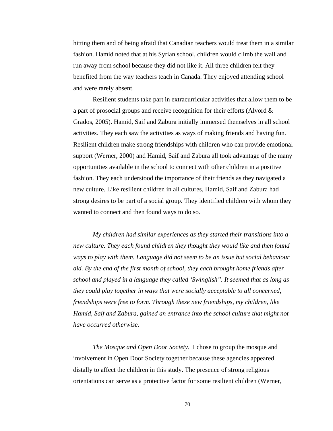hitting them and of being afraid that Canadian teachers would treat them in a similar fashion. Hamid noted that at his Syrian school, children would climb the wall and run away from school because they did not like it. All three children felt they benefited from the way teachers teach in Canada. They enjoyed attending school and were rarely absent.

 Resilient students take part in extracurricular activities that allow them to be a part of prosocial groups and receive recognition for their efforts (Alvord & Grados, 2005). Hamid, Saif and Zabura initially immersed themselves in all school activities. They each saw the activities as ways of making friends and having fun. Resilient children make strong friendships with children who can provide emotional support (Werner, 2000) and Hamid, Saif and Zabura all took advantage of the many opportunities available in the school to connect with other children in a positive fashion. They each understood the importance of their friends as they navigated a new culture. Like resilient children in all cultures, Hamid, Saif and Zabura had strong desires to be part of a social group. They identified children with whom they wanted to connect and then found ways to do so.

 *My children had similar experiences as they started their transitions into a new culture. They each found children they thought they would like and then found ways to play with them. Language did not seem to be an issue but social behaviour did. By the end of the first month of school, they each brought home friends after school and played in a language they called 'Swinglish". It seemed that as long as they could play together in ways that were socially acceptable to all concerned, friendships were free to form. Through these new friendships, my children, like Hamid, Saif and Zabura, gained an entrance into the school culture that might not have occurred otherwise.* 

 *The Mosque and Open Door Society.* I chose to group the mosque and involvement in Open Door Society together because these agencies appeared distally to affect the children in this study. The presence of strong religious orientations can serve as a protective factor for some resilient children (Werner,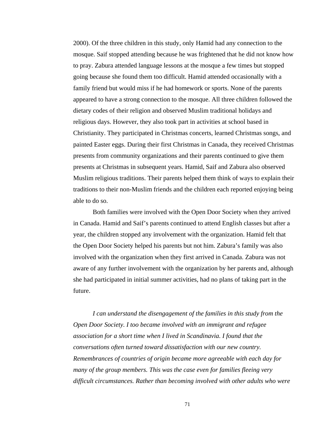2000). Of the three children in this study, only Hamid had any connection to the mosque. Saif stopped attending because he was frightened that he did not know how to pray. Zabura attended language lessons at the mosque a few times but stopped going because she found them too difficult. Hamid attended occasionally with a family friend but would miss if he had homework or sports. None of the parents appeared to have a strong connection to the mosque. All three children followed the dietary codes of their religion and observed Muslim traditional holidays and religious days. However, they also took part in activities at school based in Christianity. They participated in Christmas concerts, learned Christmas songs, and painted Easter eggs. During their first Christmas in Canada, they received Christmas presents from community organizations and their parents continued to give them presents at Christmas in subsequent years. Hamid, Saif and Zabura also observed Muslim religious traditions. Their parents helped them think of ways to explain their traditions to their non-Muslim friends and the children each reported enjoying being able to do so.

 Both families were involved with the Open Door Society when they arrived in Canada. Hamid and Saif's parents continued to attend English classes but after a year, the children stopped any involvement with the organization. Hamid felt that the Open Door Society helped his parents but not him. Zabura's family was also involved with the organization when they first arrived in Canada. Zabura was not aware of any further involvement with the organization by her parents and, although she had participated in initial summer activities, had no plans of taking part in the future.

 *I can understand the disengagement of the families in this study from the Open Door Society. I too became involved with an immigrant and refugee association for a short time when I lived in Scandinavia. I found that the conversations often turned toward dissatisfaction with our new country. Remembrances of countries of origin became more agreeable with each day for many of the group members. This was the case even for families fleeing very difficult circumstances. Rather than becoming involved with other adults who were*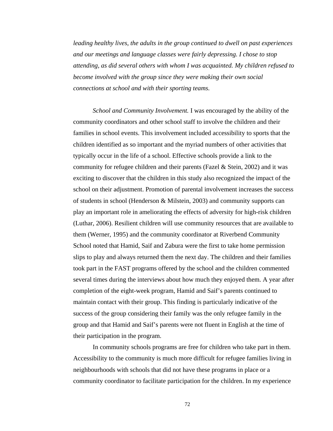*leading healthy lives, the adults in the group continued to dwell on past experiences and our meetings and language classes were fairly depressing. I chose to stop attending, as did several others with whom I was acquainted. My children refused to become involved with the group since they were making their own social connections at school and with their sporting teams.* 

 *School and Community Involvement.* I was encouraged by the ability of the community coordinators and other school staff to involve the children and their families in school events. This involvement included accessibility to sports that the children identified as so important and the myriad numbers of other activities that typically occur in the life of a school. Effective schools provide a link to the community for refugee children and their parents (Fazel  $\&$  Stein, 2002) and it was exciting to discover that the children in this study also recognized the impact of the school on their adjustment. Promotion of parental involvement increases the success of students in school (Henderson & Milstein, 2003) and community supports can play an important role in ameliorating the effects of adversity for high-risk children (Luthar, 2006). Resilient children will use community resources that are available to them (Werner, 1995) and the community coordinator at Riverbend Community School noted that Hamid, Saif and Zabura were the first to take home permission slips to play and always returned them the next day. The children and their families took part in the FAST programs offered by the school and the children commented several times during the interviews about how much they enjoyed them. A year after completion of the eight-week program, Hamid and Saif's parents continued to maintain contact with their group. This finding is particularly indicative of the success of the group considering their family was the only refugee family in the group and that Hamid and Saif's parents were not fluent in English at the time of their participation in the program.

 In community schools programs are free for children who take part in them. Accessibility to the community is much more difficult for refugee families living in neighbourhoods with schools that did not have these programs in place or a community coordinator to facilitate participation for the children. In my experience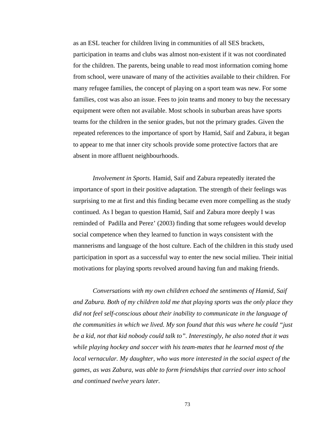as an ESL teacher for children living in communities of all SES brackets, participation in teams and clubs was almost non-existent if it was not coordinated for the children. The parents, being unable to read most information coming home from school, were unaware of many of the activities available to their children. For many refugee families, the concept of playing on a sport team was new. For some families, cost was also an issue. Fees to join teams and money to buy the necessary equipment were often not available. Most schools in suburban areas have sports teams for the children in the senior grades, but not the primary grades. Given the repeated references to the importance of sport by Hamid, Saif and Zabura, it began to appear to me that inner city schools provide some protective factors that are absent in more affluent neighbourhoods.

 *Involvement in Sports.* Hamid, Saif and Zabura repeatedly iterated the importance of sport in their positive adaptation. The strength of their feelings was surprising to me at first and this finding became even more compelling as the study continued. As I began to question Hamid, Saif and Zabura more deeply I was reminded of Padilla and Perez' (2003) finding that some refugees would develop social competence when they learned to function in ways consistent with the mannerisms and language of the host culture. Each of the children in this study used participation in sport as a successful way to enter the new social milieu. Their initial motivations for playing sports revolved around having fun and making friends.

*Conversations with my own children echoed the sentiments of Hamid, Saif and Zabura. Both of my children told me that playing sports was the only place they did not feel self-conscious about their inability to communicate in the language of the communities in which we lived. My son found that this was where he could "just be a kid, not that kid nobody could talk to". Interestingly, he also noted that it was while playing hockey and soccer with his team-mates that he learned most of the local vernacular. My daughter, who was more interested in the social aspect of the games, as was Zabura, was able to form friendships that carried over into school and continued twelve years later.*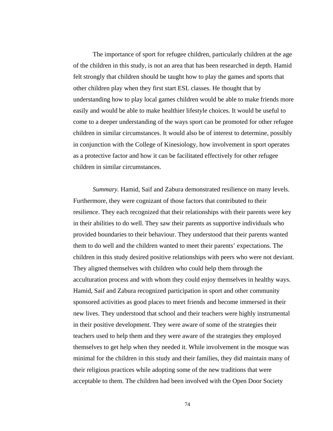The importance of sport for refugee children, particularly children at the age of the children in this study, is not an area that has been researched in depth. Hamid felt strongly that children should be taught how to play the games and sports that other children play when they first start ESL classes. He thought that by understanding how to play local games children would be able to make friends more easily and would be able to make healthier lifestyle choices. It would be useful to come to a deeper understanding of the ways sport can be promoted for other refugee children in similar circumstances. It would also be of interest to determine, possibly in conjunction with the College of Kinesiology, how involvement in sport operates as a protective factor and how it can be facilitated effectively for other refugee children in similar circumstances.

 *Summary.* Hamid, Saif and Zabura demonstrated resilience on many levels. Furthermore, they were cognizant of those factors that contributed to their resilience. They each recognized that their relationships with their parents were key in their abilities to do well. They saw their parents as supportive individuals who provided boundaries to their behaviour. They understood that their parents wanted them to do well and the children wanted to meet their parents' expectations. The children in this study desired positive relationships with peers who were not deviant. They aligned themselves with children who could help them through the acculturation process and with whom they could enjoy themselves in healthy ways. Hamid, Saif and Zabura recognized participation in sport and other community sponsored activities as good places to meet friends and become immersed in their new lives. They understood that school and their teachers were highly instrumental in their positive development. They were aware of some of the strategies their teachers used to help them and they were aware of the strategies they employed themselves to get help when they needed it. While involvement in the mosque was minimal for the children in this study and their families, they did maintain many of their religious practices while adopting some of the new traditions that were acceptable to them. The children had been involved with the Open Door Society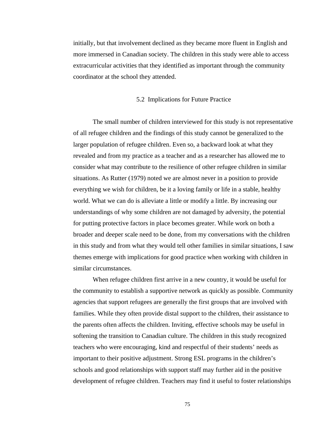initially, but that involvement declined as they became more fluent in English and more immersed in Canadian society. The children in this study were able to access extracurricular activities that they identified as important through the community coordinator at the school they attended.

### 5.2 Implications for Future Practice

 The small number of children interviewed for this study is not representative of all refugee children and the findings of this study cannot be generalized to the larger population of refugee children. Even so, a backward look at what they revealed and from my practice as a teacher and as a researcher has allowed me to consider what may contribute to the resilience of other refugee children in similar situations. As Rutter (1979) noted we are almost never in a position to provide everything we wish for children, be it a loving family or life in a stable, healthy world. What we can do is alleviate a little or modify a little. By increasing our understandings of why some children are not damaged by adversity, the potential for putting protective factors in place becomes greater. While work on both a broader and deeper scale need to be done, from my conversations with the children in this study and from what they would tell other families in similar situations, I saw themes emerge with implications for good practice when working with children in similar circumstances.

 When refugee children first arrive in a new country, it would be useful for the community to establish a supportive network as quickly as possible. Community agencies that support refugees are generally the first groups that are involved with families. While they often provide distal support to the children, their assistance to the parents often affects the children. Inviting, effective schools may be useful in softening the transition to Canadian culture. The children in this study recognized teachers who were encouraging, kind and respectful of their students' needs as important to their positive adjustment. Strong ESL programs in the children's schools and good relationships with support staff may further aid in the positive development of refugee children. Teachers may find it useful to foster relationships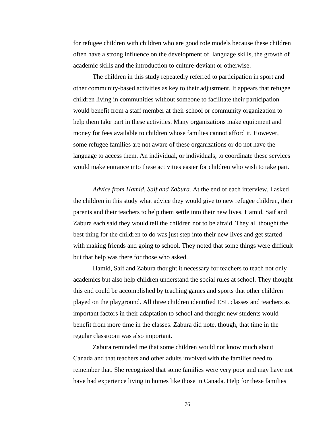for refugee children with children who are good role models because these children often have a strong influence on the development of language skills, the growth of academic skills and the introduction to culture-deviant or otherwise.

 The children in this study repeatedly referred to participation in sport and other community-based activities as key to their adjustment. It appears that refugee children living in communities without someone to facilitate their participation would benefit from a staff member at their school or community organization to help them take part in these activities. Many organizations make equipment and money for fees available to children whose families cannot afford it. However, some refugee families are not aware of these organizations or do not have the language to access them. An individual, or individuals, to coordinate these services would make entrance into these activities easier for children who wish to take part.

 *Advice from Hamid, Saif and Zabura.* At the end of each interview, I asked the children in this study what advice they would give to new refugee children, their parents and their teachers to help them settle into their new lives. Hamid, Saif and Zabura each said they would tell the children not to be afraid. They all thought the best thing for the children to do was just step into their new lives and get started with making friends and going to school. They noted that some things were difficult but that help was there for those who asked.

 Hamid, Saif and Zabura thought it necessary for teachers to teach not only academics but also help children understand the social rules at school. They thought this end could be accomplished by teaching games and sports that other children played on the playground. All three children identified ESL classes and teachers as important factors in their adaptation to school and thought new students would benefit from more time in the classes. Zabura did note, though, that time in the regular classroom was also important.

 Zabura reminded me that some children would not know much about Canada and that teachers and other adults involved with the families need to remember that. She recognized that some families were very poor and may have not have had experience living in homes like those in Canada. Help for these families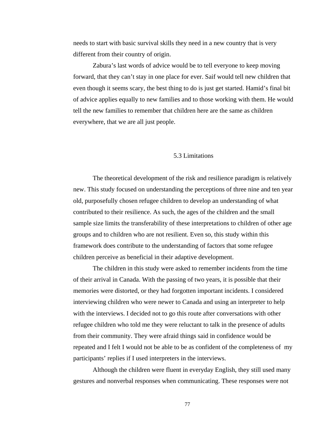needs to start with basic survival skills they need in a new country that is very different from their country of origin.

 Zabura's last words of advice would be to tell everyone to keep moving forward, that they can't stay in one place for ever. Saif would tell new children that even though it seems scary, the best thing to do is just get started. Hamid's final bit of advice applies equally to new families and to those working with them. He would tell the new families to remember that children here are the same as children everywhere, that we are all just people.

## 5.3 Limitations

 The theoretical development of the risk and resilience paradigm is relatively new. This study focused on understanding the perceptions of three nine and ten year old, purposefully chosen refugee children to develop an understanding of what contributed to their resilience. As such, the ages of the children and the small sample size limits the transferability of these interpretations to children of other age groups and to children who are not resilient. Even so, this study within this framework does contribute to the understanding of factors that some refugee children perceive as beneficial in their adaptive development.

 The children in this study were asked to remember incidents from the time of their arrival in Canada. With the passing of two years, it is possible that their memories were distorted, or they had forgotten important incidents. I considered interviewing children who were newer to Canada and using an interpreter to help with the interviews. I decided not to go this route after conversations with other refugee children who told me they were reluctant to talk in the presence of adults from their community. They were afraid things said in confidence would be repeated and I felt I would not be able to be as confident of the completeness of my participants' replies if I used interpreters in the interviews.

 Although the children were fluent in everyday English, they still used many gestures and nonverbal responses when communicating. These responses were not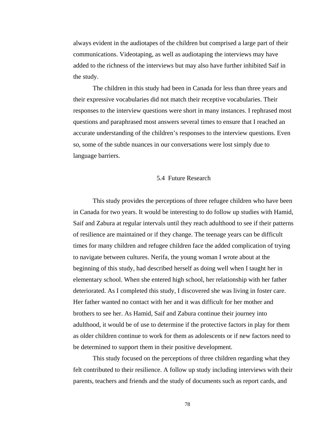always evident in the audiotapes of the children but comprised a large part of their communications. Videotaping, as well as audiotaping the interviews may have added to the richness of the interviews but may also have further inhibited Saif in the study.

 The children in this study had been in Canada for less than three years and their expressive vocabularies did not match their receptive vocabularies. Their responses to the interview questions were short in many instances. I rephrased most questions and paraphrased most answers several times to ensure that I reached an accurate understanding of the children's responses to the interview questions. Even so, some of the subtle nuances in our conversations were lost simply due to language barriers.

### 5.4 Future Research

 This study provides the perceptions of three refugee children who have been in Canada for two years. It would be interesting to do follow up studies with Hamid, Saif and Zabura at regular intervals until they reach adulthood to see if their patterns of resilience are maintained or if they change. The teenage years can be difficult times for many children and refugee children face the added complication of trying to navigate between cultures. Nerifa, the young woman I wrote about at the beginning of this study, had described herself as doing well when I taught her in elementary school. When she entered high school, her relationship with her father deteriorated. As I completed this study, I discovered she was living in foster care. Her father wanted no contact with her and it was difficult for her mother and brothers to see her. As Hamid, Saif and Zabura continue their journey into adulthood, it would be of use to determine if the protective factors in play for them as older children continue to work for them as adolescents or if new factors need to be determined to support them in their positive development.

 This study focused on the perceptions of three children regarding what they felt contributed to their resilience. A follow up study including interviews with their parents, teachers and friends and the study of documents such as report cards, and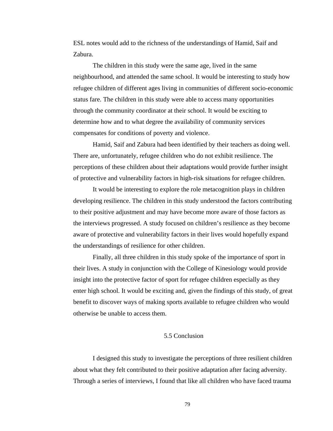ESL notes would add to the richness of the understandings of Hamid, Saif and Zabura.

 The children in this study were the same age, lived in the same neighbourhood, and attended the same school. It would be interesting to study how refugee children of different ages living in communities of different socio-economic status fare. The children in this study were able to access many opportunities through the community coordinator at their school. It would be exciting to determine how and to what degree the availability of community services compensates for conditions of poverty and violence.

 Hamid, Saif and Zabura had been identified by their teachers as doing well. There are, unfortunately, refugee children who do not exhibit resilience. The perceptions of these children about their adaptations would provide further insight of protective and vulnerability factors in high-risk situations for refugee children.

 It would be interesting to explore the role metacognition plays in children developing resilience. The children in this study understood the factors contributing to their positive adjustment and may have become more aware of those factors as the interviews progressed. A study focused on children's resilience as they become aware of protective and vulnerability factors in their lives would hopefully expand the understandings of resilience for other children.

 Finally, all three children in this study spoke of the importance of sport in their lives. A study in conjunction with the College of Kinesiology would provide insight into the protective factor of sport for refugee children especially as they enter high school. It would be exciting and, given the findings of this study, of great benefit to discover ways of making sports available to refugee children who would otherwise be unable to access them.

# 5.5 Conclusion

 I designed this study to investigate the perceptions of three resilient children about what they felt contributed to their positive adaptation after facing adversity. Through a series of interviews, I found that like all children who have faced trauma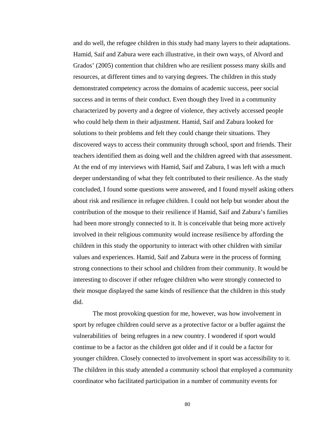and do well, the refugee children in this study had many layers to their adaptations. Hamid, Saif and Zabura were each illustrative, in their own ways, of Alvord and Grados' (2005) contention that children who are resilient possess many skills and resources, at different times and to varying degrees. The children in this study demonstrated competency across the domains of academic success, peer social success and in terms of their conduct. Even though they lived in a community characterized by poverty and a degree of violence, they actively accessed people who could help them in their adjustment. Hamid, Saif and Zabura looked for solutions to their problems and felt they could change their situations. They discovered ways to access their community through school, sport and friends. Their teachers identified them as doing well and the children agreed with that assessment. At the end of my interviews with Hamid, Saif and Zabura, I was left with a much deeper understanding of what they felt contributed to their resilience. As the study concluded, I found some questions were answered, and I found myself asking others about risk and resilience in refugee children. I could not help but wonder about the contribution of the mosque to their resilience if Hamid, Saif and Zabura's families had been more strongly connected to it. It is conceivable that being more actively involved in their religious community would increase resilience by affording the children in this study the opportunity to interact with other children with similar values and experiences. Hamid, Saif and Zabura were in the process of forming strong connections to their school and children from their community. It would be interesting to discover if other refugee children who were strongly connected to their mosque displayed the same kinds of resilience that the children in this study did.

 The most provoking question for me, however, was how involvement in sport by refugee children could serve as a protective factor or a buffer against the vulnerabilities of being refugees in a new country. I wondered if sport would continue to be a factor as the children got older and if it could be a factor for younger children. Closely connected to involvement in sport was accessibility to it. The children in this study attended a community school that employed a community coordinator who facilitated participation in a number of community events for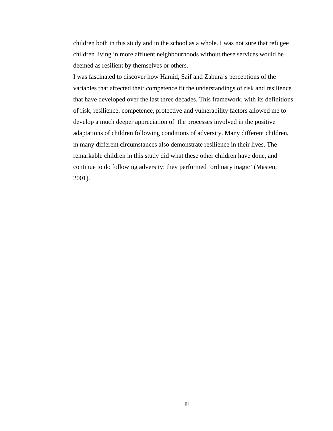children both in this study and in the school as a whole. I was not sure that refugee children living in more affluent neighbourhoods without these services would be deemed as resilient by themselves or others.

I was fascinated to discover how Hamid, Saif and Zabura's perceptions of the variables that affected their competence fit the understandings of risk and resilience that have developed over the last three decades. This framework, with its definitions of risk, resilience, competence, protective and vulnerability factors allowed me to develop a much deeper appreciation of the processes involved in the positive adaptations of children following conditions of adversity. Many different children, in many different circumstances also demonstrate resilience in their lives. The remarkable children in this study did what these other children have done, and continue to do following adversity: they performed 'ordinary magic' (Masten, 2001).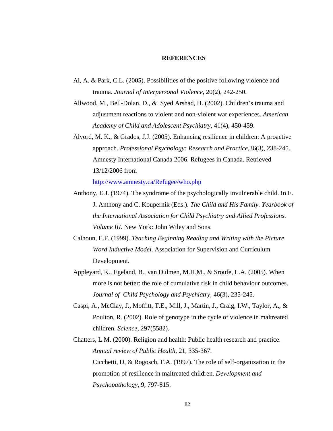#### **REFERENCES**

- Ai, A. & Park, C.L. (2005). Possibilities of the positive following violence and trauma. *Journal of Interpersonal Violence,* 20(2), 242-250.
- Allwood, M., Bell-Dolan, D., & Syed Arshad, H. (2002). Children's trauma and adjustment reactions to violent and non-violent war experiences. *American Academy of Child and Adolescent Psychiatry,* 41(4), 450-459.
- Alvord, M. K., & Grados, J.J. (2005). Enhancing resilience in children: A proactive approach. *Professional Psychology: Research and Practice,*36(3), 238-245. Amnesty International Canada 2006. Refugees in Canada. Retrieved 13/12/2006 from

http://www.amnesty.ca/Refugee/who.php

- Anthony, E.J. (1974). The syndrome of the psychologically invulnerable child. In E. J. Anthony and C. Koupernik (Eds.). *The Child and His Family. Yearbook of the International Association for Child Psychiatry and Allied Professions. Volume III.* New York: John Wiley and Sons.
- Calhoun, E.F. (1999). *Teaching Beginning Reading and Writing with the Picture Word Inductive Model.* Association for Supervision and Curriculum Development.
- Appleyard, K., Egeland, B., van Dulmen, M.H.M., & Sroufe, L.A. (2005). When more is not better: the role of cumulative risk in child behaviour outcomes. *Journal of Child Psychology and Psychiatry,* 46(3), 235-245.
- Caspi, A., McClay, J., Moffitt, T.E., Mill, J., Martin, J., Craig, I.W., Taylor, A., & Poulton, R. (2002). Role of genotype in the cycle of violence in maltreated children. *Science,* 297(5582).
- Chatters, L.M. (2000). Religion and health: Public health research and practice. *Annual review of Public Health,* 21, 335-367. Cicchetti, D, & Rogosch, F.A. (1997). The role of self-organization in the promotion of resilience in maltreated children. *Development and Psychopathology,* 9, 797-815.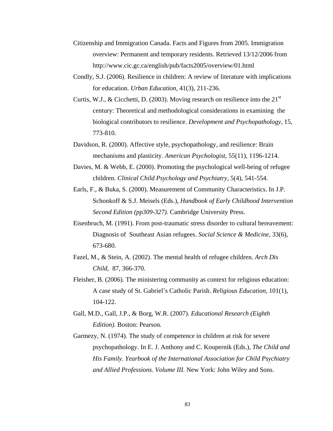- Citizenship and Immigration Canada. Facts and Figures from 2005. Immigration overview: Permanent and temporary residents. Retrieved 13/12/2006 from http://www.cic.gc.ca/english/pub/facts2005/overview/01.html
- Condly, S.J. (2006). Resilience in children: A review of literature with implications for education. *Urban Education,* 41(3), 211-236.
- Curtis, W.J., & Cicchetti, D. (2003). Moving research on resilience into the  $21<sup>st</sup>$  century: Theoretical and methodological considerations in examining the biological contributors to resilience. *Development and Psychopathology,* 15, 773-810.
- Davidson, R. (2000). Affective style, psychopathology, and resilience: Brain mechanisms and plasticity. *American Psychologist,* 55(11), 1196-1214.
- Davies, M. & Webb, E. (2000). Promoting the psychological well-being of refugee children. *Clinical Child Psychology and Psychiatry,* 5(4), 541-554.
- Earls, F., & Buka, S. (2000). Measurement of Community Characteristics. In J.P. Schonkoff & S.J. Meisels (Eds.), *Handbook of Early Childhood Intervention Second Edition (pp309-327).* Cambridge University Press.
- Eisenbruch, M. (1991). From post-traumatic stress disorder to cultural bereavement: Diagnosis of Southeast Asian refugees. *Social Science & Medicine,* 33(6), 673-680.
- Fazel, M., & Stein, A. (2002). The mental health of refugee children. *Arch Dis Child,* 87, 366-370.
- Fleisher, B. (2006). The ministering community as context for religious education: A case study of St. Gabriel's Catholic Parish. *Religious Education,* 101(1), 104-122.
- Gall, M.D., Gall, J.P., & Borg, W.R. (2007). *Educational Research (Eighth Edition).* Boston: Pearson*.*
- Garmezy, N. (1974). The study of competence in children at risk for severe psychopathology. In E. J. Anthony and C. Koupernik (Eds.), *The Child and His Family. Yearbook of the International Association for Child Psychiatry and Allied Professions. Volume III.* New York: John Wiley and Sons.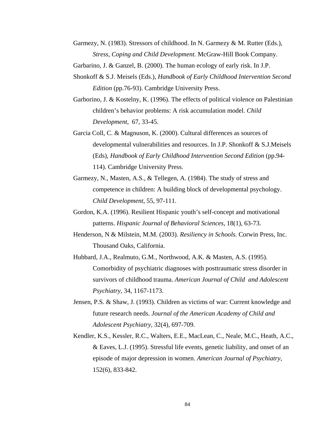- Garmezy, N. (1983). Stressors of childhood. In N. Garmezy & M. Rutter (Eds.), *Stress, Coping and Child Development.* McGraw-Hill Book Company.
- Garbarino, J. & Ganzel, B. (2000). The human ecology of early risk. In J.P.
- Shonkoff & S.J. Meisels (Eds.), *Handbook of Early Childhood Intervention Second Edition* (pp.76-93). Cambridge University Press.
- Garborino, J. & Kostelny, K. (1996). The effects of political violence on Palestinian children's behavior problems: A risk accumulation model. *Child Development,* 67, 33-45.
- Garcia Coll, C. & Magnuson, K. (2000). Cultural differences as sources of developmental vulnerabilities and resources. In J.P. Shonkoff & S.J.Meisels (Eds), *Handbook of Early Childhood Intervention Second Edition* (pp.94- 114). Cambridge University Press.
- Garmezy, N., Masten, A.S., & Tellegen, A. (1984). The study of stress and competence in children: A building block of developmental psychology. *Child Development,* 55, 97-111.
- Gordon, K.A. (1996). Resilient Hispanic youth's self-concept and motivational patterns. *Hispanic Journal of Behavioral Sciences,* 18(1), 63-73.
- Henderson, N & Milstein, M.M. (2003). *Resiliency in Schools.* Corwin Press, Inc. Thousand Oaks, California.
- Hubbard, J.A., Realmuto, G.M., Northwood, A.K. & Masten, A.S. (1995). Comorbidity of psychiatric diagnoses with posttraumatic stress disorder in survivors of childhood trauma. *American Journal of Child and Adolescent Psychiatry,* 34, 1167-1173.
- Jensen, P.S. & Shaw, J. (1993). Children as victims of war: Current knowledge and future research needs. *Journal of the American Academy of Child and Adolescent Psychiatry,* 32(4), 697-709.
- Kendler, K.S., Kessler, R.C., Walters, E.E., MacLean, C., Neale, M.C., Heath, A.C., & Eaves, L.J. (1995). Stressful life events, genetic liability, and onset of an episode of major depression in women. *American Journal of Psychiatry,*  152(6), 833-842.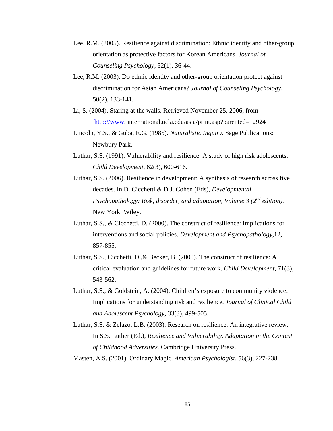- Lee, R.M. (2005). Resilience against discrimination: Ethnic identity and other-group orientation as protective factors for Korean Americans. *Journal of Counseling Psychology,* 52(1), 36-44.
- Lee, R.M. (2003). Do ethnic identity and other-group orientation protect against discrimination for Asian Americans? *Journal of Counseling Psychology,*  50(2), 133-141.
- Li, S. (2004). Staring at the walls. Retrieved November 25, 2006, from http://www. international.ucla.edu/asia/print.asp?parented=12924
- Lincoln, Y.S., & Guba, E.G. (1985). *Naturalistic Inquiry.* Sage Publications: Newbury Park.
- Luthar, S.S. (1991). Vulnerability and resilience: A study of high risk adolescents. *Child Development,* 62(3), 600-616.
- Luthar, S.S. (2006). Resilience in development: A synthesis of research across five decades. In D. Cicchetti & D.J. Cohen (Eds), *Developmental Psychopathology: Risk, disorder, and adaptation, Volume 3 (2<sup>nd</sup> edition).* New York: Wiley.
- Luthar, S.S., & Cicchetti, D. (2000). The construct of resilience: Implications for interventions and social policies. *Development and Psychopathology,*12, 857-855.
- Luthar, S.S., Cicchetti, D.,& Becker, B. (2000). The construct of resilience: A critical evaluation and guidelines for future work. *Child Development,* 71(3), 543-562.
- Luthar, S.S., & Goldstein, A. (2004). Children's exposure to community violence: Implications for understanding risk and resilience. *Journal of Clinical Child and Adolescent Psychology,* 33(3), 499-505.
- Luthar, S.S. & Zelazo, L.B. (2003). Research on resilience: An integrative review. In S.S. Luther (Ed.), *Resilience and Vulnerability. Adaptation in the Context of Childhood Adversities.* Cambridge University Press.

Masten, A.S. (2001). Ordinary Magic*. American Psychologist,* 56(3), 227-238.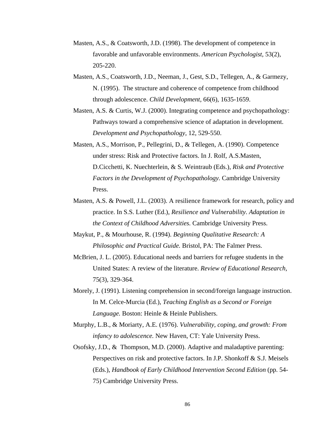- Masten, A.S., & Coatsworth, J.D. (1998). The development of competence in favorable and unfavorable environments. *American Psychologist,* 53(2), 205-220.
- Masten, A.S., Coatsworth, J.D., Neeman, J., Gest, S.D., Tellegen, A., & Garmezy, N. (1995). The structure and coherence of competence from childhood through adolescence. *Child Development,* 66(6), 1635-1659.
- Masten, A.S. & Curtis, W.J. (2000). Integrating competence and psychopathology: Pathways toward a comprehensive science of adaptation in development. *Development and Psychopathology,* 12, 529-550.
- Masten, A.S., Morrison, P., Pellegrini, D., & Tellegen, A. (1990). Competence under stress: Risk and Protective factors. In J. Rolf, A.S.Masten, D.Cicchetti, K. Nuechterlein, & S. Weintraub (Eds.), *Risk and Protective Factors in the Development of Psychopathology.* Cambridge University Press.
- Masten, A.S. & Powell, J.L. (2003). A resilience framework for research, policy and practice. In S.S. Luther (Ed.), *Resilience and Vulnerability. Adaptation in the Context of Childhood Adversities.* Cambridge University Press.
- Maykut, P., & Mourhouse, R. (1994). *Beginning Qualitative Research: A Philosophic and Practical Guide.* Bristol, PA: The Falmer Press.
- McBrien, J. L. (2005). Educational needs and barriers for refugee students in the United States: A review of the literature. *Review of Educational Research,*  75(3), 329-364.
- Morely, J. (1991). Listening comprehension in second/foreign language instruction. In M. Celce-Murcia (Ed.), *Teaching English as a Second or Foreign Language.* Boston: Heinle & Heinle Publishers.
- Murphy, L.B., & Moriarty, A.E. (1976). *Vulnerability, coping, and growth: From infancy to adolescence.* New Haven, CT: Yale University Press.
- Osofsky, J.D., & Thompson, M.D. (2000). Adaptive and maladaptive parenting: Perspectives on risk and protective factors. In J.P. Shonkoff & S.J. Meisels (Eds.), *Handbook of Early Childhood Intervention Second Edition* (pp. 54-75) Cambridge University Press.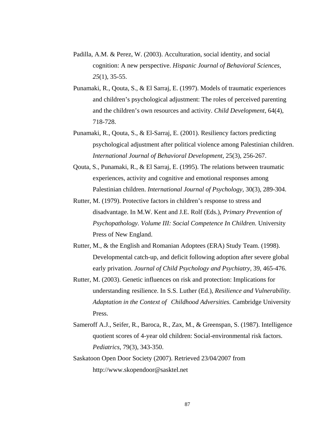- Padilla, A.M. & Perez, W. (2003). Acculturation, social identity, and social cognition: A new perspective. *Hispanic Journal of Behavioral Sciences, 25*(1), 35-55.
- Punamaki, R., Qouta, S., & El Sarraj, E. (1997). Models of traumatic experiences and children's psychological adjustment: The roles of perceived parenting and the children's own resources and activity. *Child Development,* 64(4), 718-728.
- Punamaki, R., Qouta, S., & El-Sarraj, E. (2001). Resiliency factors predicting psychological adjustment after political violence among Palestinian children. *International Journal of Behavioral Development,* 25(3), 256-267.
- Qouta, S., Punamaki, R., & El Sarraj, E. (1995). The relations between traumatic experiences, activity and cognitive and emotional responses among Palestinian children. *International Journal of Psychology,* 30(3), 289-304.
- Rutter, M. (1979). Protective factors in children's response to stress and disadvantage. In M.W. Kent and J.E. Rolf (Eds.), *Primary Prevention of Psychopathology. Volume III: Social Competence In Children. University* Press of New England.
- Rutter, M., & the English and Romanian Adoptees (ERA) Study Team. (1998). Developmental catch-up, and deficit following adoption after severe global early privation. *Journal of Child Psychology and Psychiatry,* 39, 465-476.
- Rutter, M. (2003). Genetic influences on risk and protection: Implications for understanding resilience. In S.S. Luther (Ed.), *Resilience and Vulnerability. Adaptation in the Context of Childhood Adversities.* Cambridge University Press.
- Sameroff A.J., Seifer, R., Baroca, R., Zax, M., & Greenspan, S. (1987). Intelligence quotient scores of 4-year old children: Social-environmental risk factors. *Pediatrics,* 79(3), 343-350.
- Saskatoon Open Door Society (2007). Retrieved 23/04/2007 from http://www.skopendoor@sasktel.net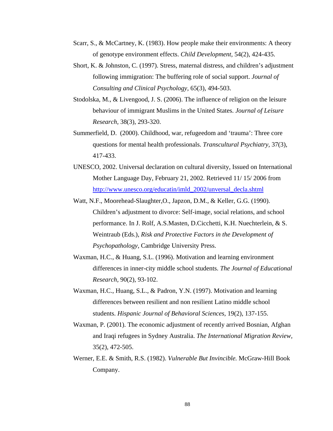- Scarr, S., & McCartney, K. (1983). How people make their environments: A theory of genotype environment effects. *Child Development,* 54(2), 424-435.
- Short, K. & Johnston, C. (1997). Stress, maternal distress, and children's adjustment following immigration: The buffering role of social support. *Journal of Consulting and Clinical Psychology,* 65(3), 494-503.
- Stodolska, M., & Livengood, J. S. (2006). The influence of religion on the leisure behaviour of immigrant Muslims in the United States. *Journal of Leisure Research,* 38(3), 293-320.
- Summerfield, D. (2000). Childhood, war, refugeedom and 'trauma': Three core questions for mental health professionals. *Transcultural Psychiatry,* 37(3), 417-433.
- UNESCO, 2002. Universal declaration on cultural diversity, Issued on International Mother Language Day, February 21, 2002. Retrieved 11/ 15/ 2006 from http://www.unesco.org/educatin/imld\_2002/unversal\_decla.shtml
- Watt, N.F., Moorehead-Slaughter,O., Japzon, D.M., & Keller, G.G. (1990). Children's adjustment to divorce: Self-image, social relations, and school performance. In J. Rolf, A.S.Masten, D.Cicchetti, K.H. Nuechterlein, & S. Weintraub (Eds.), *Risk and Protective Factors in the Development of Psychopathology,* Cambridge University Press.
- Waxman, H.C., & Huang, S.L. (1996). Motivation and learning environment differences in inner-city middle school students. *The Journal of Educational Research,* 90(2), 93-102.
- Waxman, H.C., Huang, S.L., & Padron, Y.N. (1997). Motivation and learning differences between resilient and non resilient Latino middle school students. *Hispanic Journal of Behavioral Sciences,* 19(2), 137-155.
- Waxman, P. (2001). The economic adjustment of recently arrived Bosnian, Afghan and Iraqi refugees in Sydney Australia. *The International Migration Review,*  35(2), 472-505.
- Werner, E.E. & Smith, R.S. (1982). *Vulnerable But Invincible.* McGraw-Hill Book Company.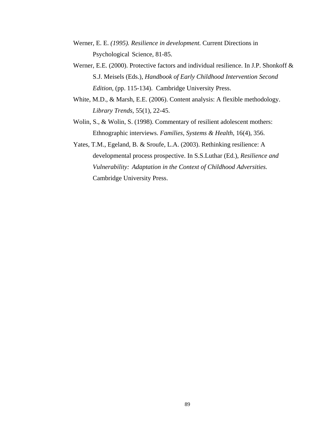- Werner, E. E. *(1995). Resilience in development.* Current Directions in Psychological Science, 81-85.
- Werner, E.E. (2000). Protective factors and individual resilience. In J.P. Shonkoff & S.J. Meisels (Eds.), *Handbook of Early Childhood Intervention Second Edition,* (pp. 115-134).Cambridge University Press.
- White, M.D., & Marsh, E.E. (2006). Content analysis: A flexible methodology.  *Library Trends,* 55(1), 22-45.
- Wolin, S., & Wolin, S. (1998). Commentary of resilient adolescent mothers: Ethnographic interviews. *Families, Systems & Health,* 16(4), 356.
- Yates, T.M., Egeland, B. & Sroufe, L.A. (2003). Rethinking resilience: A developmental process prospective. In S.S.Luthar (Ed.), *Resilience and Vulnerability: Adaptation in the Context of Childhood Adversities.*  Cambridge University Press.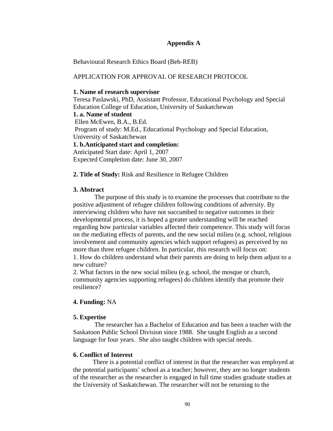# **Appendix A**

Behavioural Research Ethics Board (Beh-REB)

# APPLICATION FOR APPROVAL OF RESEARCH PROTOCOL

## **1. Name of research supervisor**

Teresa Paslawski, PhD, Assistant Professor, Educational Psychology and Special Education College of Education, University of Saskatchewan

**1. a. Name of student**  Ellen McEwen, B.A., B.Ed. Program of study: M.Ed., Educational Psychology and Special Education, University of Saskatchewan **1. b.Anticipated start and completion:**  Anticipated Start date: April 1, 2007

Expected Completion date: June 30, 2007

# **2. Title of Study:** Risk and Resilience in Refugee Children

# **3. Abstract**

 The purpose of this study is to examine the processes that contribute to the positive adjustment of refugee children following conditions of adversity. By interviewing children who have not succumbed to negative outcomes in their developmental process, it is hoped a greater understanding will be reached regarding how particular variables affected their competence. This study will focus on the mediating effects of parents, and the new social milieu (e.g. school, religious involvement and community agencies which support refugees) as perceived by no more than three refugee children. In particular, this research will focus on: 1. How do children understand what their parents are doing to help them adjust to a new culture?

2. What factors in the new social milieu (e.g. school, the mosque or church, community agencies supporting refugees) do children identify that promote their resilience?

# **4. Funding:** NA

# **5. Expertise**

 The researcher has a Bachelor of Education and has been a teacher with the Saskatoon Public School Division since 1988. She taught English as a second language for four years. She also taught children with special needs.

# **6. Conflict of Interest**

 There is a potential conflict of interest in that the researcher was employed at the potential participants' school as a teacher; however, they are no longer students of the researcher as the researcher is engaged in full time studies graduate studies at the University of Saskatchewan. The researcher will not be returning to the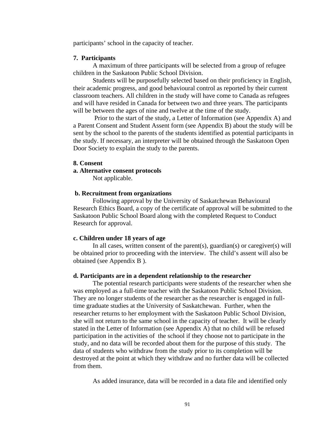participants' school in the capacity of teacher.

#### **7. Participants**

A maximum of three participants will be selected from a group of refugee children in the Saskatoon Public School Division.

 Students will be purposefully selected based on their proficiency in English, their academic progress, and good behavioural control as reported by their current classroom teachers. All children in the study will have come to Canada as refugees and will have resided in Canada for between two and three years. The participants will be between the ages of nine and twelve at the time of the study.

 Prior to the start of the study, a Letter of Information (see Appendix A) and a Parent Consent and Student Assent form (see Appendix B) about the study will be sent by the school to the parents of the students identified as potential participants in the study. If necessary, an interpreter will be obtained through the Saskatoon Open Door Society to explain the study to the parents.

#### **8. Consent**

#### **a. Alternative consent protocols**

Not applicable.

### **b. Recruitment from organizations**

 Following approval by the University of Saskatchewan Behavioural Research Ethics Board, a copy of the certificate of approval will be submitted to the Saskatoon Public School Board along with the completed Request to Conduct Research for approval.

#### **c. Children under 18 years of age**

In all cases, written consent of the parent(s), guardian(s) or caregiver(s) will be obtained prior to proceeding with the interview. The child's assent will also be obtained (see Appendix B ).

#### **d. Participants are in a dependent relationship to the researcher**

 The potential research participants were students of the researcher when she was employed as a full-time teacher with the Saskatoon Public School Division. They are no longer students of the researcher as the researcher is engaged in fulltime graduate studies at the University of Saskatchewan. Further, when the researcher returns to her employment with the Saskatoon Public School Division, she will not return to the same school in the capacity of teacher. It will be clearly stated in the Letter of Information (see Appendix A) that no child will be refused participation in the activities of the school if they choose not to participate in the study, and no data will be recorded about them for the purpose of this study. The data of students who withdraw from the study prior to its completion will be destroyed at the point at which they withdraw and no further data will be collected from them.

As added insurance, data will be recorded in a data file and identified only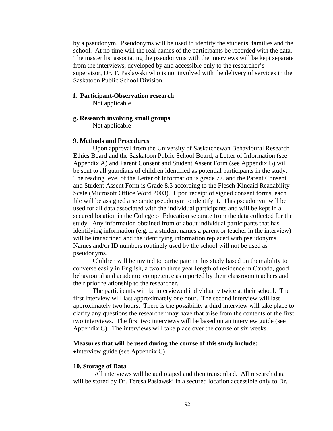by a pseudonym. Pseudonyms will be used to identify the students, families and the school. At no time will the real names of the participants be recorded with the data. The master list associating the pseudonyms with the interviews will be kept separate from the interviews, developed by and accessible only to the researcher's supervisor, Dr. T. Paslawski who is not involved with the delivery of services in the Saskatoon Public School Division.

#### **f. Participant-Observation research**

Not applicable

## **g. Research involving small groups**

Not applicable

#### **9. Methods and Procedures**

Upon approval from the University of Saskatchewan Behavioural Research Ethics Board and the Saskatoon Public School Board, a Letter of Information (see Appendix A) and Parent Consent and Student Assent Form (see Appendix B) will be sent to all guardians of children identified as potential participants in the study. The reading level of the Letter of Information is grade 7.6 and the Parent Consent and Student Assent Form is Grade 8.3 according to the Flesch-Kincaid Readability Scale (Microsoft Office Word 2003). Upon receipt of signed consent forms, each file will be assigned a separate pseudonym to identify it. This pseudonym will be used for all data associated with the individual participants and will be kept in a secured location in the College of Education separate from the data collected for the study. Any information obtained from or about individual participants that has identifying information (e.g. if a student names a parent or teacher in the interview) will be transcribed and the identifying information replaced with pseudonyms. Names and/or ID numbers routinely used by the school will not be used as pseudonyms.

 Children will be invited to participate in this study based on their ability to converse easily in English, a two to three year length of residence in Canada, good behavioural and academic competence as reported by their classroom teachers and their prior relationship to the researcher.

The participants will be interviewed individually twice at their school. The first interview will last approximately one hour. The second interview will last approximately two hours. There is the possibility a third interview will take place to clarify any questions the researcher may have that arise from the contents of the first two interviews. The first two interviews will be based on an interview guide (see Appendix C). The interviews will take place over the course of six weeks.

#### **Measures that will be used during the course of this study include:**

•Interview guide (see Appendix C)

### **10. Storage of Data**

All interviews will be audiotaped and then transcribed. All research data will be stored by Dr. Teresa Paslawski in a secured location accessible only to Dr.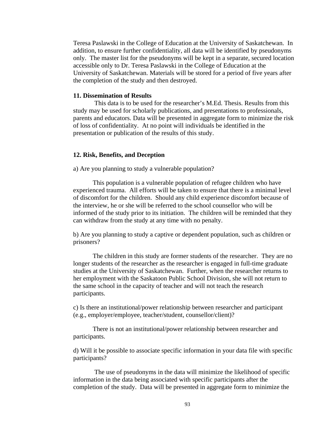Teresa Paslawski in the College of Education at the University of Saskatchewan. In addition, to ensure further confidentiality, all data will be identified by pseudonyms only. The master list for the pseudonyms will be kept in a separate, secured location accessible only to Dr. Teresa Paslawski in the College of Education at the University of Saskatchewan. Materials will be stored for a period of five years after the completion of the study and then destroyed.

## **11. Dissemination of Results**

This data is to be used for the researcher's M.Ed. Thesis. Results from this study may be used for scholarly publications, and presentations to professionals, parents and educators. Data will be presented in aggregate form to minimize the risk of loss of confidentiality. At no point will individuals be identified in the presentation or publication of the results of this study.

#### **12. Risk, Benefits, and Deception**

a) Are you planning to study a vulnerable population?

 This population is a vulnerable population of refugee children who have experienced trauma. All efforts will be taken to ensure that there is a minimal level of discomfort for the children. Should any child experience discomfort because of the interview, he or she will be referred to the school counsellor who will be informed of the study prior to its initiation. The children will be reminded that they can withdraw from the study at any time with no penalty.

b) Are you planning to study a captive or dependent population, such as children or prisoners?

 The children in this study are former students of the researcher. They are no longer students of the researcher as the researcher is engaged in full-time graduate studies at the University of Saskatchewan. Further, when the researcher returns to her employment with the Saskatoon Public School Division, she will not return to the same school in the capacity of teacher and will not teach the research participants.

c) Is there an institutional/power relationship between researcher and participant (e.g., employer/employee, teacher/student, counsellor/client)?

 There is not an institutional/power relationship between researcher and participants.

d) Will it be possible to associate specific information in your data file with specific participants?

 The use of pseudonyms in the data will minimize the likelihood of specific information in the data being associated with specific participants after the completion of the study. Data will be presented in aggregate form to minimize the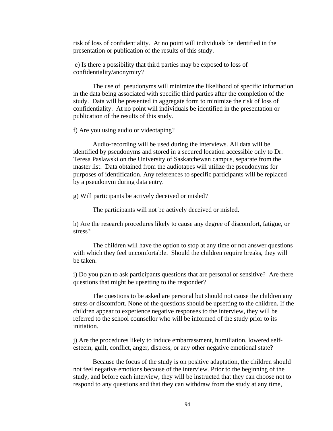risk of loss of confidentiality. At no point will individuals be identified in the presentation or publication of the results of this study.

 e) Is there a possibility that third parties may be exposed to loss of confidentiality/anonymity?

 The use of pseudonyms will minimize the likelihood of specific information in the data being associated with specific third parties after the completion of the study. Data will be presented in aggregate form to minimize the risk of loss of confidentiality. At no point will individuals be identified in the presentation or publication of the results of this study.

f) Are you using audio or videotaping?

 Audio-recording will be used during the interviews. All data will be identified by pseudonyms and stored in a secured location accessible only to Dr. Teresa Paslawski on the University of Saskatchewan campus, separate from the master list. Data obtained from the audiotapes will utilize the pseudonyms for purposes of identification. Any references to specific participants will be replaced by a pseudonym during data entry.

g) Will participants be actively deceived or misled?

The participants will not be actively deceived or misled.

h) Are the research procedures likely to cause any degree of discomfort, fatigue, or stress?

 The children will have the option to stop at any time or not answer questions with which they feel uncomfortable. Should the children require breaks, they will be taken.

i) Do you plan to ask participants questions that are personal or sensitive? Are there questions that might be upsetting to the responder?

 The questions to be asked are personal but should not cause the children any stress or discomfort. None of the questions should be upsetting to the children. If the children appear to experience negative responses to the interview, they will be referred to the school counsellor who will be informed of the study prior to its initiation.

j) Are the procedures likely to induce embarrassment, humiliation, lowered selfesteem, guilt, conflict, anger, distress, or any other negative emotional state?

 Because the focus of the study is on positive adaptation, the children should not feel negative emotions because of the interview. Prior to the beginning of the study, and before each interview, they will be instructed that they can choose not to respond to any questions and that they can withdraw from the study at any time,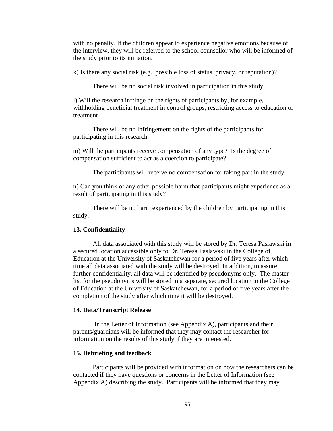with no penalty. If the children appear to experience negative emotions because of the interview, they will be referred to the school counsellor who will be informed of the study prior to its initiation.

k) Is there any social risk (e.g., possible loss of status, privacy, or reputation)?

There will be no social risk involved in participation in this study.

l) Will the research infringe on the rights of participants by, for example, withholding beneficial treatment in control groups, restricting access to education or treatment?

 There will be no infringement on the rights of the participants for participating in this research.

m) Will the participants receive compensation of any type? Is the degree of compensation sufficient to act as a coercion to participate?

The participants will receive no compensation for taking part in the study.

n) Can you think of any other possible harm that participants might experience as a result of participating in this study?

 There will be no harm experienced by the children by participating in this study.

#### **13. Confidentiality**

 All data associated with this study will be stored by Dr. Teresa Paslawski in a secured location accessible only to Dr. Teresa Paslawski in the College of Education at the University of Saskatchewan for a period of five years after which time all data associated with the study will be destroyed. In addition, to assure further confidentiality, all data will be identified by pseudonyms only. The master list for the pseudonyms will be stored in a separate, secured location in the College of Education at the University of Saskatchewan, for a period of five years after the completion of the study after which time it will be destroyed.

## **14. Data/Transcript Release**

 In the Letter of Information (see Appendix A), participants and their parents/guardians will be informed that they may contact the researcher for information on the results of this study if they are interested.

#### **15. Debriefing and feedback**

 Participants will be provided with information on how the researchers can be contacted if they have questions or concerns in the Letter of Information (see Appendix A) describing the study. Participants will be informed that they may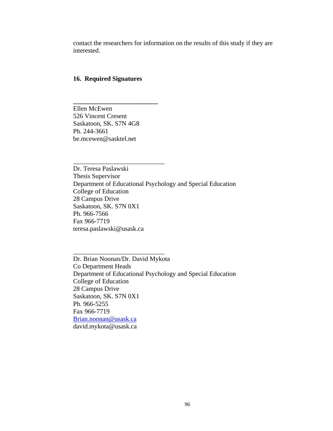contact the researchers for information on the results of this study if they are interested.

#### **16. Required Signatures**

**\_\_\_\_\_\_\_\_\_\_\_\_\_\_\_\_\_\_\_\_\_\_\_\_\_\_** 

\_\_\_\_\_\_\_\_\_\_\_\_\_\_\_\_\_\_\_\_\_\_\_\_\_\_\_\_

\_\_\_\_\_\_\_\_\_\_\_\_\_\_\_\_\_\_\_\_\_\_\_\_\_\_\_\_

Ellen McEwen 526 Vincent Cresent Saskatoon, SK. S7N 4G8 Ph. 244-3661 be.mcewen@sasktel.net

Dr. Teresa Paslawski Thesis Supervisor Department of Educational Psychology and Special Education College of Education 28 Campus Drive Saskatoon, SK. S7N 0X1 Ph. 966-7566 Fax 966-7719 teresa.paslawski@usask.ca

Dr. Brian Noonan/Dr. David Mykota Co Department Heads Department of Educational Psychology and Special Education College of Education 28 Campus Drive Saskatoon, SK. S7N 0X1 Ph. 966-5255 Fax 966-7719 Brian.noonan@usask.ca david.mykota@usask.ca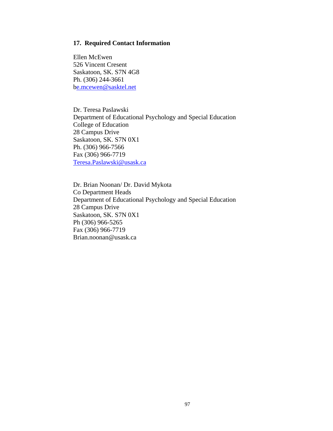### **17. Required Contact Information**

Ellen McEwen 526 Vincent Cresent Saskatoon, SK. S7N 4G8 Ph. (306) 244-3661 be.mcewen@sasktel.net

Dr. Teresa Paslawski Department of Educational Psychology and Special Education College of Education 28 Campus Drive Saskatoon, SK. S7N 0X1 Ph. (306) 966-7566 Fax (306) 966-7719 Teresa.Paslawski@usask.ca

Dr. Brian Noonan/ Dr. David Mykota Co Department Heads Department of Educational Psychology and Special Education 28 Campus Drive Saskatoon, SK. S7N 0X1 Ph (306) 966-5265 Fax (306) 966-7719 Brian.noonan@usask.ca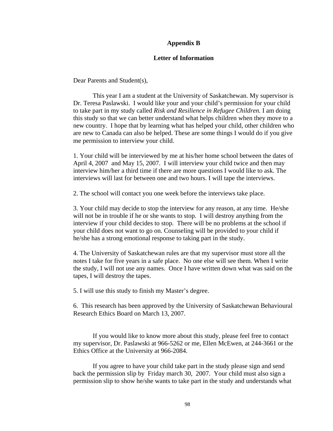### **Appendix B**

#### **Letter of Information**

Dear Parents and Student(s),

 This year I am a student at the University of Saskatchewan. My supervisor is Dr. Teresa Paslawski. I would like your and your child's permission for your child to take part in my study called *Risk and Resilience in Refugee Children.* I am doing this study so that we can better understand what helps children when they move to a new country. I hope that by learning what has helped your child, other children who are new to Canada can also be helped. These are some things I would do if you give me permission to interview your child.

1. Your child will be interviewed by me at his/her home school between the dates of April 4, 2007 and May 15, 2007. I will interview your child twice and then may interview him/her a third time if there are more questions I would like to ask. The interviews will last for between one and two hours. I will tape the interviews.

2. The school will contact you one week before the interviews take place.

3. Your child may decide to stop the interview for any reason, at any time. He/she will not be in trouble if he or she wants to stop. I will destroy anything from the interview if your child decides to stop. There will be no problems at the school if your child does not want to go on. Counseling will be provided to your child if he/she has a strong emotional response to taking part in the study.

4. The University of Saskatchewan rules are that my supervisor must store all the notes I take for five years in a safe place. No one else will see them. When I write the study, I will not use any names. Once I have written down what was said on the tapes, I will destroy the tapes.

5. I will use this study to finish my Master's degree.

6. This research has been approved by the University of Saskatchewan Behavioural Research Ethics Board on March 13, 2007.

 If you would like to know more about this study, please feel free to contact my supervisor, Dr. Paslawski at 966-5262 or me, Ellen McEwen, at 244-3661 or the Ethics Office at the University at 966-2084.

 If you agree to have your child take part in the study please sign and send back the permission slip by Friday march 30, 2007. Your child must also sign a permission slip to show he/she wants to take part in the study and understands what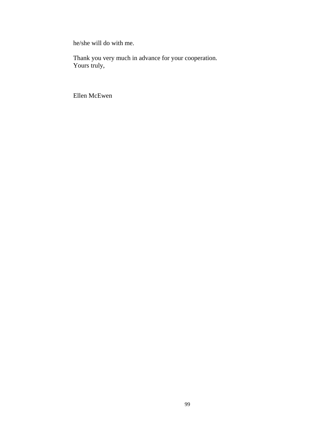he/she will do with me.

Thank you very much in advance for your cooperation. Yours truly,

Ellen McEwen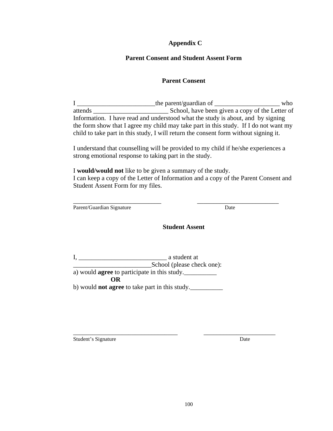# **Appendix C**

# **Parent Consent and Student Assent Form**

# **Parent Consent**

I \_\_\_\_\_\_\_\_\_\_\_\_\_\_\_\_\_\_\_\_\_\_\_\_\_\_\_\_\_the parent/guardian of \_\_\_\_\_\_\_\_\_\_\_\_\_\_\_\_\_\_\_\_\_\_\_\_\_\_ who attends \_\_\_\_\_\_\_\_\_\_\_\_\_\_\_\_\_\_\_\_\_\_\_ School, have been given a copy of the Letter of Information. I have read and understood what the study is about, and by signing the form show that I agree my child may take part in this study. If I do not want my child to take part in this study, I will return the consent form without signing it.

I understand that counselling will be provided to my child if he/she experiences a strong emotional response to taking part in the study.

I **would/would not** like to be given a summary of the study. I can keep a copy of the Letter of Information and a copy of the Parent Consent and Student Assent Form for my files.

\_\_\_\_\_\_\_\_\_\_\_\_\_\_\_\_\_\_\_\_\_\_\_\_\_\_\_ \_\_\_\_\_\_\_\_\_\_\_\_\_\_\_\_\_\_\_\_\_\_\_\_\_ Parent/Guardian Signature Date

# **Student Assent**

I, \_\_\_\_\_\_\_\_\_\_\_\_\_\_\_\_\_\_\_\_\_\_\_\_\_\_\_ a student at \_\_\_\_\_\_\_\_\_\_\_\_\_\_\_\_\_\_\_\_\_\_\_\_School (please check one): a) would **agree** to participate in this study.\_\_\_\_\_\_\_\_\_\_ **OR**  b) would **not agree** to take part in this study.\_\_\_\_\_\_\_\_\_\_

Student's Signature Date

\_\_\_\_\_\_\_\_\_\_\_\_\_\_\_\_\_\_\_\_\_\_\_\_\_\_\_\_\_\_\_\_ \_\_\_\_\_\_\_\_\_\_\_\_\_\_\_\_\_\_\_\_\_\_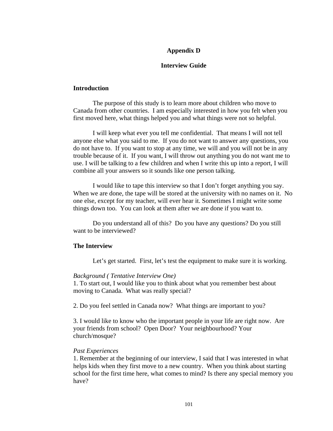## **Appendix D**

## **Interview Guide**

#### **Introduction**

 The purpose of this study is to learn more about children who move to Canada from other countries. I am especially interested in how you felt when you first moved here, what things helped you and what things were not so helpful.

 I will keep what ever you tell me confidential. That means I will not tell anyone else what you said to me. If you do not want to answer any questions, you do not have to. If you want to stop at any time, we will and you will not be in any trouble because of it. If you want, I will throw out anything you do not want me to use. I will be talking to a few children and when I write this up into a report, I will combine all your answers so it sounds like one person talking.

 I would like to tape this interview so that I don't forget anything you say. When we are done, the tape will be stored at the university with no names on it. No one else, except for my teacher, will ever hear it. Sometimes I might write some things down too. You can look at them after we are done if you want to.

 Do you understand all of this? Do you have any questions? Do you still want to be interviewed?

#### **The Interview**

Let's get started. First, let's test the equipment to make sure it is working.

#### *Background ( Tentative Interview One)*

1. To start out, I would like you to think about what you remember best about moving to Canada. What was really special?

2. Do you feel settled in Canada now? What things are important to you?

3. I would like to know who the important people in your life are right now. Are your friends from school? Open Door? Your neighbourhood? Your church/mosque?

#### *Past Experiences*

1. Remember at the beginning of our interview, I said that I was interested in what helps kids when they first move to a new country. When you think about starting school for the first time here, what comes to mind? Is there any special memory you have?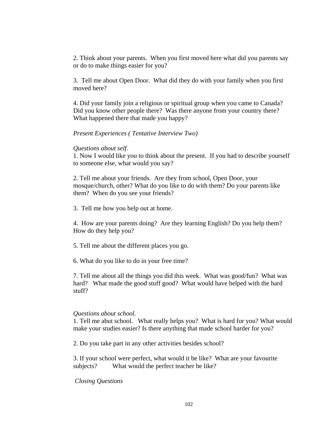2. Think about your parents. When you first moved here what did you parents say or do to make things easier for you?

3. Tell me about Open Door. What did they do with your family when you first moved here?

4. Did your family join a religious or spiritual group when you came to Canada? Did you know other people there? Was there anyone from your country there? What happened there that made you happy?

*Present Experiences ( Tentative Interview Two)* 

## *Questions about self.*

1. Now I would like you to think about the present. If you had to describe yourself to someone else, what would you say?

2. Tell me about your friends. Are they from school, Open Door, your mosque/church, other? What do you like to do with them? Do your parents like them? When do you see your friends?

3. Tell me how you help out at home.

4. How are your parents doing? Are they learning English? Do you help them? How do they help you?

5. Tell me about the different places you go.

6. What do you like to do in your free time?

7. Tell me about all the things you did this week. What was good/fun? What was hard? What made the good stuff good? What would have helped with the hard stuff?

## *Questions about school.*

1. Tell me abut school. What really helps you? What is hard for you? What would make your studies easier? Is there anything that made school harder for you?

2. Do you take part in any other activities besides school?

3. If your school were perfect, what would it be like? What are your favourite subjects? What would the perfect teacher be like?

 *Closing Questions*